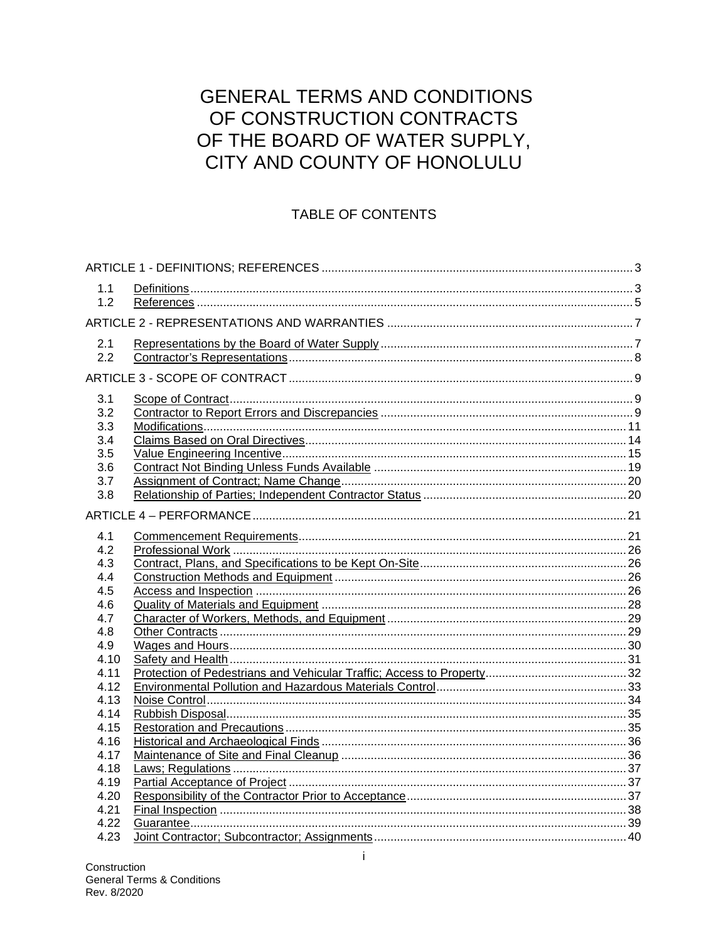# **GENERAL TERMS AND CONDITIONS** OF CONSTRUCTION CONTRACTS OF THE BOARD OF WATER SUPPLY, CITY AND COUNTY OF HONOLULU

# TABLE OF CONTENTS

| 1.1  |  |  |  |  |  |
|------|--|--|--|--|--|
| 1.2  |  |  |  |  |  |
|      |  |  |  |  |  |
| 2.1  |  |  |  |  |  |
| 2.2  |  |  |  |  |  |
|      |  |  |  |  |  |
| 3.1  |  |  |  |  |  |
| 3.2  |  |  |  |  |  |
| 3.3  |  |  |  |  |  |
| 3.4  |  |  |  |  |  |
| 3.5  |  |  |  |  |  |
| 3.6  |  |  |  |  |  |
| 3.7  |  |  |  |  |  |
| 3.8  |  |  |  |  |  |
|      |  |  |  |  |  |
| 4.1  |  |  |  |  |  |
| 4.2  |  |  |  |  |  |
| 4.3  |  |  |  |  |  |
| 4.4  |  |  |  |  |  |
| 4.5  |  |  |  |  |  |
| 4.6  |  |  |  |  |  |
| 4.7  |  |  |  |  |  |
| 4.8  |  |  |  |  |  |
| 4.9  |  |  |  |  |  |
| 4.10 |  |  |  |  |  |
| 4.11 |  |  |  |  |  |
| 4.12 |  |  |  |  |  |
| 4.13 |  |  |  |  |  |
| 4.14 |  |  |  |  |  |
| 4.15 |  |  |  |  |  |
| 4.16 |  |  |  |  |  |
| 4.17 |  |  |  |  |  |
| 4.18 |  |  |  |  |  |
| 4.19 |  |  |  |  |  |
| 4.20 |  |  |  |  |  |
| 4.21 |  |  |  |  |  |
| 4.22 |  |  |  |  |  |
| 4.23 |  |  |  |  |  |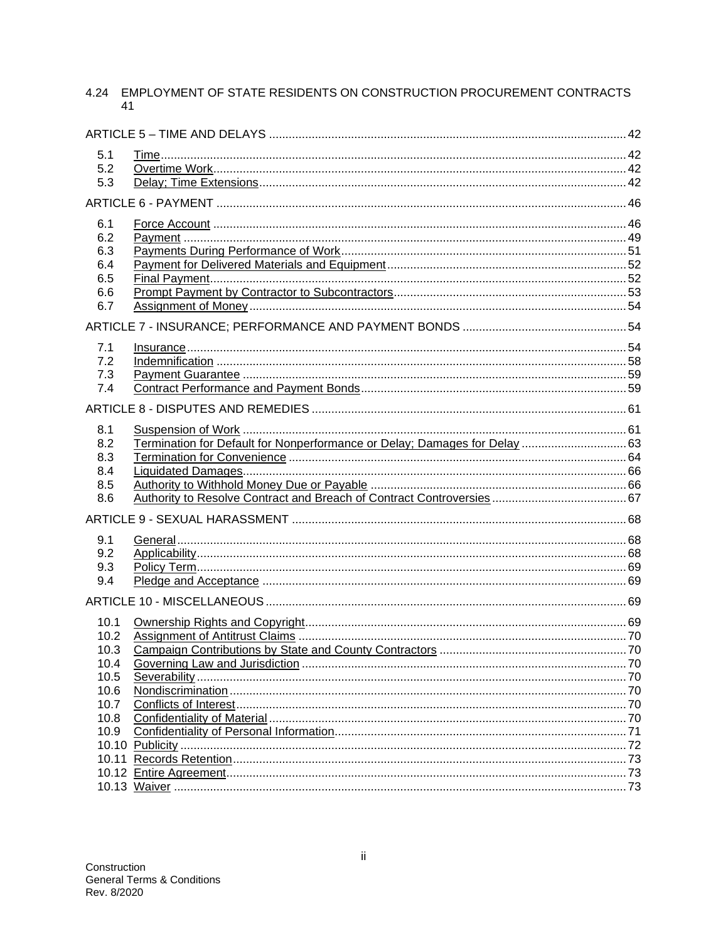# 4.24 EMPLOYMENT OF STATE RESIDENTS ON CONSTRUCTION PROCUREMENT CONTRACTS 41

| 5.1  |                                                                            |  |  |  |
|------|----------------------------------------------------------------------------|--|--|--|
| 5.2  |                                                                            |  |  |  |
| 5.3  |                                                                            |  |  |  |
|      |                                                                            |  |  |  |
| 6.1  |                                                                            |  |  |  |
| 6.2  |                                                                            |  |  |  |
| 6.3  |                                                                            |  |  |  |
| 6.4  |                                                                            |  |  |  |
| 6.5  |                                                                            |  |  |  |
| 6.6  |                                                                            |  |  |  |
| 6.7  |                                                                            |  |  |  |
|      |                                                                            |  |  |  |
| 7.1  |                                                                            |  |  |  |
| 7.2  |                                                                            |  |  |  |
| 7.3  |                                                                            |  |  |  |
| 7.4  |                                                                            |  |  |  |
|      |                                                                            |  |  |  |
| 8.1  |                                                                            |  |  |  |
| 8.2  | Termination for Default for Nonperformance or Delay; Damages for Delay  63 |  |  |  |
| 8.3  |                                                                            |  |  |  |
| 8.4  |                                                                            |  |  |  |
| 8.5  |                                                                            |  |  |  |
| 8.6  |                                                                            |  |  |  |
|      |                                                                            |  |  |  |
| 9.1  |                                                                            |  |  |  |
| 9.2  |                                                                            |  |  |  |
| 9.3  |                                                                            |  |  |  |
| 9.4  |                                                                            |  |  |  |
|      |                                                                            |  |  |  |
| 10.1 |                                                                            |  |  |  |
| 10.2 |                                                                            |  |  |  |
| 10.3 |                                                                            |  |  |  |
| 10.4 |                                                                            |  |  |  |
| 10.5 |                                                                            |  |  |  |
| 10.6 |                                                                            |  |  |  |
| 10.7 |                                                                            |  |  |  |
| 10.8 |                                                                            |  |  |  |
| 10.9 |                                                                            |  |  |  |
|      |                                                                            |  |  |  |
|      |                                                                            |  |  |  |
|      |                                                                            |  |  |  |
|      |                                                                            |  |  |  |
|      |                                                                            |  |  |  |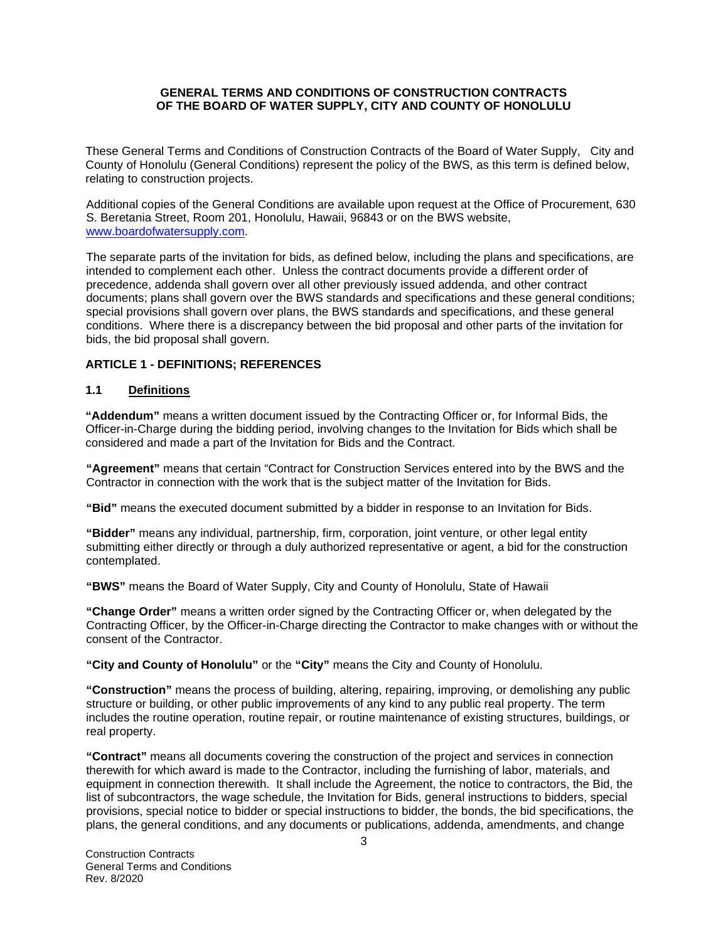#### **GENERAL TERMS AND CONDITIONS OF CONSTRUCTION CONTRACTS OF THE BOARD OF WATER SUPPLY, CITY AND COUNTY OF HONOLULU**

These General Terms and Conditions of Construction Contracts of the Board of Water Supply, City and County of Honolulu (General Conditions) represent the policy of the BWS, as this term is defined below, relating to construction projects.

Additional copies of the General Conditions are available upon request at the Office of Procurement, 630 S. Beretania Street, Room 201, Honolulu, Hawaii, 96843 or on the BWS website, [www.boardofwatersupply.com.](http://www.boardofwatersupply.com/)

The separate parts of the invitation for bids, as defined below, including the plans and specifications, are intended to complement each other. Unless the contract documents provide a different order of precedence, addenda shall govern over all other previously issued addenda, and other contract documents; plans shall govern over the BWS standards and specifications and these general conditions; special provisions shall govern over plans, the BWS standards and specifications, and these general conditions. Where there is a discrepancy between the bid proposal and other parts of the invitation for bids, the bid proposal shall govern.

#### **ARTICLE 1 - DEFINITIONS; REFERENCES**

#### **1.1 Definitions**

**"Addendum"** means a written document issued by the Contracting Officer or, for Informal Bids, the Officer-in-Charge during the bidding period, involving changes to the Invitation for Bids which shall be considered and made a part of the Invitation for Bids and the Contract.

**"Agreement"** means that certain "Contract for Construction Services entered into by the BWS and the Contractor in connection with the work that is the subject matter of the Invitation for Bids.

**"Bid"** means the executed document submitted by a bidder in response to an Invitation for Bids.

**"Bidder"** means any individual, partnership, firm, corporation, joint venture, or other legal entity submitting either directly or through a duly authorized representative or agent, a bid for the construction contemplated.

**"BWS"** means the Board of Water Supply, City and County of Honolulu, State of Hawaii

**"Change Order"** means a written order signed by the Contracting Officer or, when delegated by the Contracting Officer, by the Officer-in-Charge directing the Contractor to make changes with or without the consent of the Contractor.

**"City and County of Honolulu"** or the **"City"** means the City and County of Honolulu.

**"Construction"** means the process of building, altering, repairing, improving, or demolishing any public structure or building, or other public improvements of any kind to any public real property. The term includes the routine operation, routine repair, or routine maintenance of existing structures, buildings, or real property.

**"Contract"** means all documents covering the construction of the project and services in connection therewith for which award is made to the Contractor, including the furnishing of labor, materials, and equipment in connection therewith. It shall include the Agreement, the notice to contractors, the Bid, the list of subcontractors, the wage schedule, the Invitation for Bids, general instructions to bidders, special provisions, special notice to bidder or special instructions to bidder, the bonds, the bid specifications, the plans, the general conditions, and any documents or publications, addenda, amendments, and change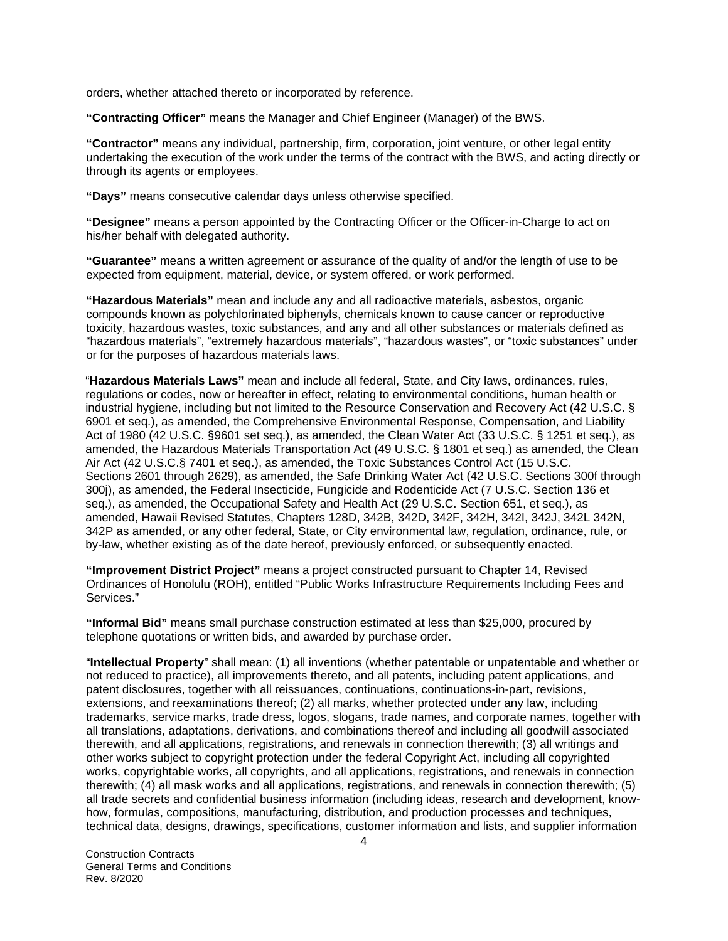orders, whether attached thereto or incorporated by reference.

**"Contracting Officer"** means the Manager and Chief Engineer (Manager) of the BWS.

**"Contractor"** means any individual, partnership, firm, corporation, joint venture, or other legal entity undertaking the execution of the work under the terms of the contract with the BWS, and acting directly or through its agents or employees.

**"Days"** means consecutive calendar days unless otherwise specified.

**"Designee"** means a person appointed by the Contracting Officer or the Officer-in-Charge to act on his/her behalf with delegated authority.

**"Guarantee"** means a written agreement or assurance of the quality of and/or the length of use to be expected from equipment, material, device, or system offered, or work performed.

**"Hazardous Materials"** mean and include any and all radioactive materials, asbestos, organic compounds known as polychlorinated biphenyls, chemicals known to cause cancer or reproductive toxicity, hazardous wastes, toxic substances, and any and all other substances or materials defined as "hazardous materials", "extremely hazardous materials", "hazardous wastes", or "toxic substances" under or for the purposes of hazardous materials laws.

"**Hazardous Materials Laws"** mean and include all federal, State, and City laws, ordinances, rules, regulations or codes, now or hereafter in effect, relating to environmental conditions, human health or industrial hygiene, including but not limited to the Resource Conservation and Recovery Act (42 U.S.C. § 6901 et seq.), as amended, the Comprehensive Environmental Response, Compensation, and Liability Act of 1980 (42 U.S.C. §9601 set seq.), as amended, the Clean Water Act (33 U.S.C. § 1251 et seq.), as amended, the Hazardous Materials Transportation Act (49 U.S.C. § 1801 et seq.) as amended, the Clean Air Act (42 U.S.C.§ 7401 et seq.), as amended, the Toxic Substances Control Act (15 U.S.C. Sections 2601 through 2629), as amended, the Safe Drinking Water Act (42 U.S.C. Sections 300f through 300j), as amended, the Federal Insecticide, Fungicide and Rodenticide Act (7 U.S.C. Section 136 et seq.), as amended, the Occupational Safety and Health Act (29 U.S.C. Section 651, et seq.), as amended, Hawaii Revised Statutes, Chapters 128D, 342B, 342D, 342F, 342H, 342I, 342J, 342L 342N, 342P as amended, or any other federal, State, or City environmental law, regulation, ordinance, rule, or by-law, whether existing as of the date hereof, previously enforced, or subsequently enacted.

**"Improvement District Project"** means a project constructed pursuant to Chapter 14, Revised Ordinances of Honolulu (ROH), entitled "Public Works Infrastructure Requirements Including Fees and Services."

**"Informal Bid"** means small purchase construction estimated at less than \$25,000, procured by telephone quotations or written bids, and awarded by purchase order.

"**Intellectual Property**" shall mean: (1) all inventions (whether patentable or unpatentable and whether or not reduced to practice), all improvements thereto, and all patents, including patent applications, and patent disclosures, together with all reissuances, continuations, continuations-in-part, revisions, extensions, and reexaminations thereof; (2) all marks, whether protected under any law, including trademarks, service marks, trade dress, logos, slogans, trade names, and corporate names, together with all translations, adaptations, derivations, and combinations thereof and including all goodwill associated therewith, and all applications, registrations, and renewals in connection therewith; (3) all writings and other works subject to copyright protection under the federal Copyright Act, including all copyrighted works, copyrightable works, all copyrights, and all applications, registrations, and renewals in connection therewith; (4) all mask works and all applications, registrations, and renewals in connection therewith; (5) all trade secrets and confidential business information (including ideas, research and development, knowhow, formulas, compositions, manufacturing, distribution, and production processes and techniques, technical data, designs, drawings, specifications, customer information and lists, and supplier information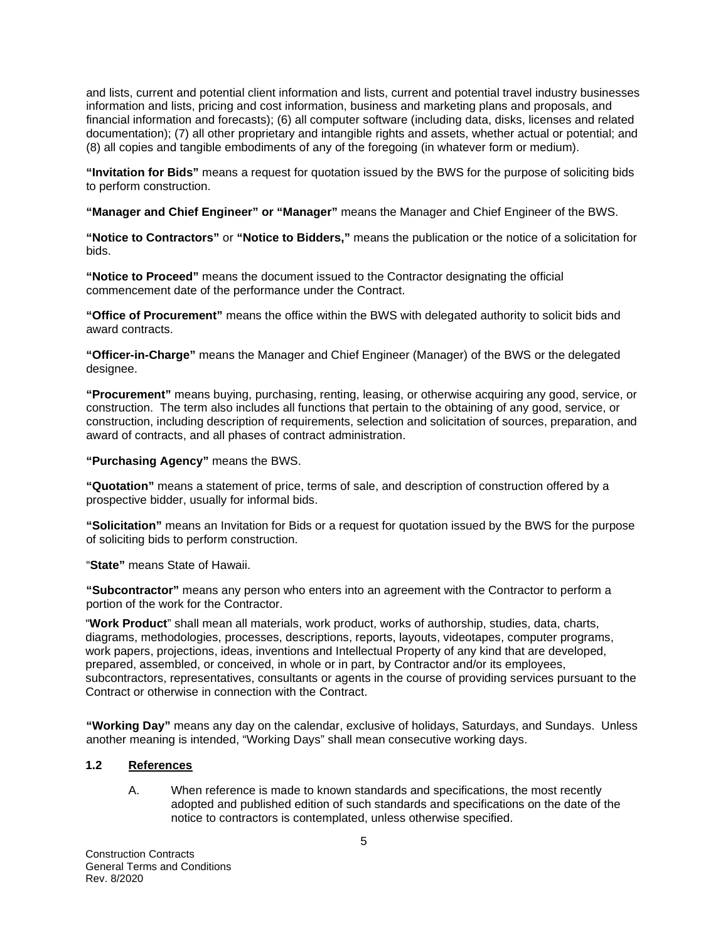and lists, current and potential client information and lists, current and potential travel industry businesses information and lists, pricing and cost information, business and marketing plans and proposals, and financial information and forecasts); (6) all computer software (including data, disks, licenses and related documentation); (7) all other proprietary and intangible rights and assets, whether actual or potential; and (8) all copies and tangible embodiments of any of the foregoing (in whatever form or medium).

**"Invitation for Bids"** means a request for quotation issued by the BWS for the purpose of soliciting bids to perform construction.

**"Manager and Chief Engineer" or "Manager"** means the Manager and Chief Engineer of the BWS.

**"Notice to Contractors"** or **"Notice to Bidders,"** means the publication or the notice of a solicitation for bids.

**"Notice to Proceed"** means the document issued to the Contractor designating the official commencement date of the performance under the Contract.

**"Office of Procurement"** means the office within the BWS with delegated authority to solicit bids and award contracts.

**"Officer-in-Charge"** means the Manager and Chief Engineer (Manager) of the BWS or the delegated designee.

**"Procurement"** means buying, purchasing, renting, leasing, or otherwise acquiring any good, service, or construction. The term also includes all functions that pertain to the obtaining of any good, service, or construction, including description of requirements, selection and solicitation of sources, preparation, and award of contracts, and all phases of contract administration.

**"Purchasing Agency"** means the BWS.

**"Quotation"** means a statement of price, terms of sale, and description of construction offered by a prospective bidder, usually for informal bids.

**"Solicitation"** means an Invitation for Bids or a request for quotation issued by the BWS for the purpose of soliciting bids to perform construction.

"**State"** means State of Hawaii.

**"Subcontractor"** means any person who enters into an agreement with the Contractor to perform a portion of the work for the Contractor.

"**Work Product**" shall mean all materials, work product, works of authorship, studies, data, charts, diagrams, methodologies, processes, descriptions, reports, layouts, videotapes, computer programs, work papers, projections, ideas, inventions and Intellectual Property of any kind that are developed, prepared, assembled, or conceived, in whole or in part, by Contractor and/or its employees, subcontractors, representatives, consultants or agents in the course of providing services pursuant to the Contract or otherwise in connection with the Contract.

**"Working Day"** means any day on the calendar, exclusive of holidays, Saturdays, and Sundays. Unless another meaning is intended, "Working Days" shall mean consecutive working days.

# **1.2 References**

A. When reference is made to known standards and specifications, the most recently adopted and published edition of such standards and specifications on the date of the notice to contractors is contemplated, unless otherwise specified.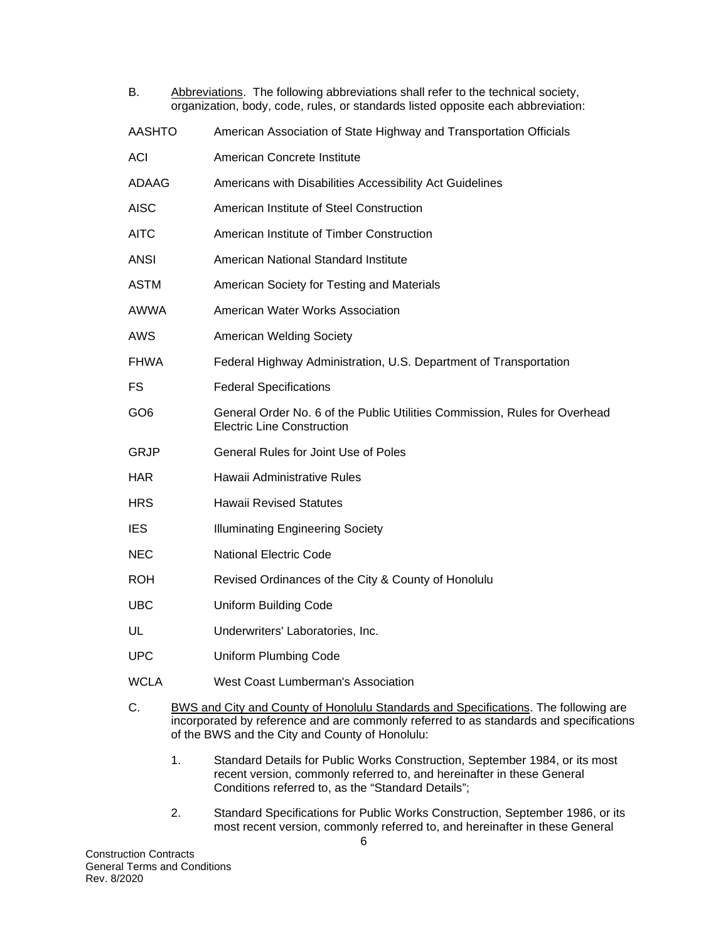| В.              | Abbreviations. The following abbreviations shall refer to the technical society,<br>organization, body, code, rules, or standards listed opposite each abbreviation:                                                                    |
|-----------------|-----------------------------------------------------------------------------------------------------------------------------------------------------------------------------------------------------------------------------------------|
| <b>AASHTO</b>   | American Association of State Highway and Transportation Officials                                                                                                                                                                      |
| ACI             | American Concrete Institute                                                                                                                                                                                                             |
| ADAAG           | Americans with Disabilities Accessibility Act Guidelines                                                                                                                                                                                |
| <b>AISC</b>     | American Institute of Steel Construction                                                                                                                                                                                                |
| <b>AITC</b>     | American Institute of Timber Construction                                                                                                                                                                                               |
| <b>ANSI</b>     | American National Standard Institute                                                                                                                                                                                                    |
| <b>ASTM</b>     | American Society for Testing and Materials                                                                                                                                                                                              |
| <b>AWWA</b>     | American Water Works Association                                                                                                                                                                                                        |
| AWS             | <b>American Welding Society</b>                                                                                                                                                                                                         |
| <b>FHWA</b>     | Federal Highway Administration, U.S. Department of Transportation                                                                                                                                                                       |
| FS              | <b>Federal Specifications</b>                                                                                                                                                                                                           |
| GO <sub>6</sub> | General Order No. 6 of the Public Utilities Commission, Rules for Overhead<br><b>Electric Line Construction</b>                                                                                                                         |
| GRJP            | <b>General Rules for Joint Use of Poles</b>                                                                                                                                                                                             |
| <b>HAR</b>      | Hawaii Administrative Rules                                                                                                                                                                                                             |
| <b>HRS</b>      | <b>Hawaii Revised Statutes</b>                                                                                                                                                                                                          |
| <b>IES</b>      | <b>Illuminating Engineering Society</b>                                                                                                                                                                                                 |
| <b>NEC</b>      | <b>National Electric Code</b>                                                                                                                                                                                                           |
| <b>ROH</b>      | Revised Ordinances of the City & County of Honolulu                                                                                                                                                                                     |
| <b>UBC</b>      | <b>Uniform Building Code</b>                                                                                                                                                                                                            |
| UL              | Underwriters' Laboratories, Inc.                                                                                                                                                                                                        |
| <b>UPC</b>      | <b>Uniform Plumbing Code</b>                                                                                                                                                                                                            |
| <b>WCLA</b>     | West Coast Lumberman's Association                                                                                                                                                                                                      |
| С.              | <b>BWS and City and County of Honolulu Standards and Specifications.</b> The following are<br>incorporated by reference and are commonly referred to as standards and specifications<br>of the BWS and the City and County of Honolulu: |

- 1. Standard Details for Public Works Construction, September 1984, or its most recent version, commonly referred to, and hereinafter in these General Conditions referred to, as the "Standard Details";
- 2. Standard Specifications for Public Works Construction, September 1986, or its most recent version, commonly referred to, and hereinafter in these General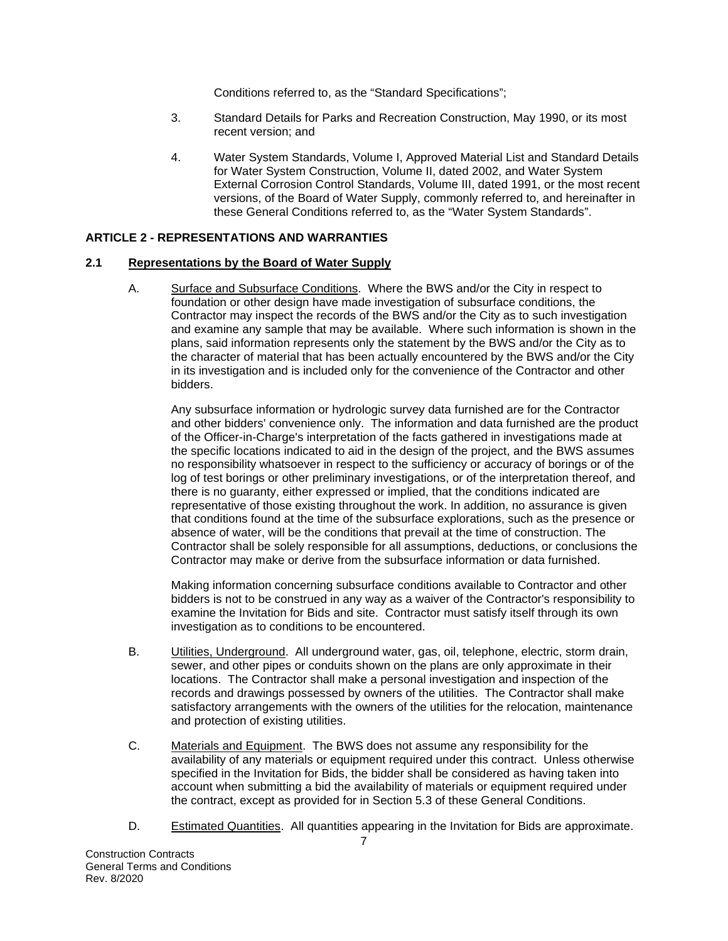Conditions referred to, as the "Standard Specifications";

- 3. Standard Details for Parks and Recreation Construction, May 1990, or its most recent version; and
- 4. Water System Standards, Volume I, Approved Material List and Standard Details for Water System Construction, Volume II, dated 2002, and Water System External Corrosion Control Standards, Volume III, dated 1991, or the most recent versions, of the Board of Water Supply, commonly referred to, and hereinafter in these General Conditions referred to, as the "Water System Standards".

#### **ARTICLE 2 - REPRESENTATIONS AND WARRANTIES**

#### **2.1 Representations by the Board of Water Supply**

A. Surface and Subsurface Conditions. Where the BWS and/or the City in respect to foundation or other design have made investigation of subsurface conditions, the Contractor may inspect the records of the BWS and/or the City as to such investigation and examine any sample that may be available. Where such information is shown in the plans, said information represents only the statement by the BWS and/or the City as to the character of material that has been actually encountered by the BWS and/or the City in its investigation and is included only for the convenience of the Contractor and other bidders.

Any subsurface information or hydrologic survey data furnished are for the Contractor and other bidders' convenience only. The information and data furnished are the product of the Officer-in-Charge's interpretation of the facts gathered in investigations made at the specific locations indicated to aid in the design of the project, and the BWS assumes no responsibility whatsoever in respect to the sufficiency or accuracy of borings or of the log of test borings or other preliminary investigations, or of the interpretation thereof, and there is no guaranty, either expressed or implied, that the conditions indicated are representative of those existing throughout the work. In addition, no assurance is given that conditions found at the time of the subsurface explorations, such as the presence or absence of water, will be the conditions that prevail at the time of construction. The Contractor shall be solely responsible for all assumptions, deductions, or conclusions the Contractor may make or derive from the subsurface information or data furnished.

Making information concerning subsurface conditions available to Contractor and other bidders is not to be construed in any way as a waiver of the Contractor's responsibility to examine the Invitation for Bids and site. Contractor must satisfy itself through its own investigation as to conditions to be encountered.

- B. Utilities, Underground. All underground water, gas, oil, telephone, electric, storm drain, sewer, and other pipes or conduits shown on the plans are only approximate in their locations. The Contractor shall make a personal investigation and inspection of the records and drawings possessed by owners of the utilities. The Contractor shall make satisfactory arrangements with the owners of the utilities for the relocation, maintenance and protection of existing utilities.
- C. Materials and Equipment. The BWS does not assume any responsibility for the availability of any materials or equipment required under this contract. Unless otherwise specified in the Invitation for Bids, the bidder shall be considered as having taken into account when submitting a bid the availability of materials or equipment required under the contract, except as provided for in Section 5.3 of these General Conditions.
- D. Estimated Quantities. All quantities appearing in the Invitation for Bids are approximate.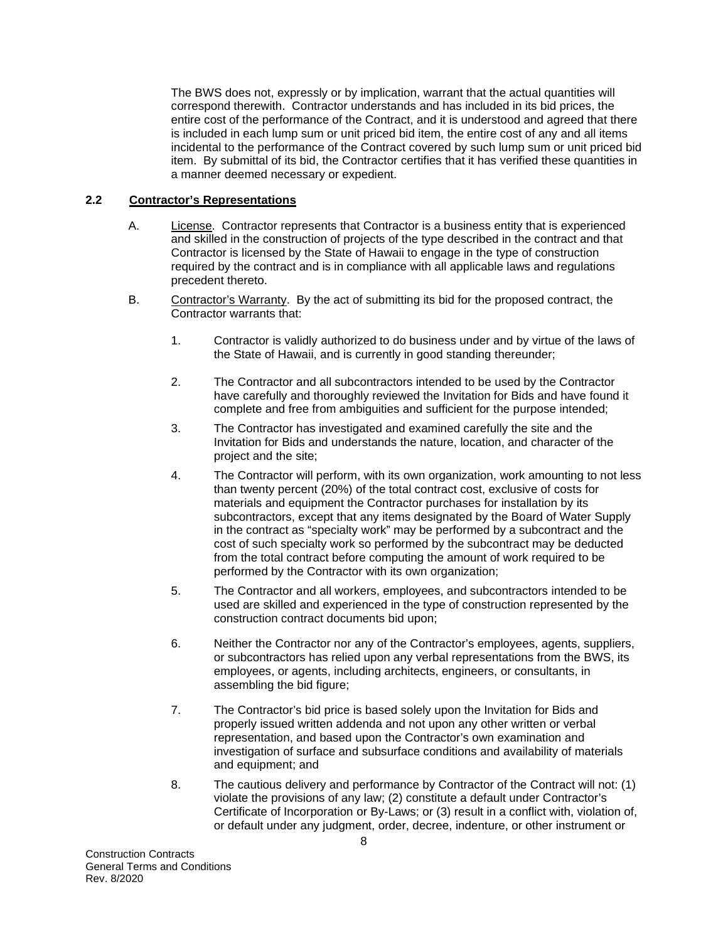The BWS does not, expressly or by implication, warrant that the actual quantities will correspond therewith. Contractor understands and has included in its bid prices, the entire cost of the performance of the Contract, and it is understood and agreed that there is included in each lump sum or unit priced bid item, the entire cost of any and all items incidental to the performance of the Contract covered by such lump sum or unit priced bid item. By submittal of its bid, the Contractor certifies that it has verified these quantities in a manner deemed necessary or expedient.

#### **2.2 Contractor's Representations**

- A. License. Contractor represents that Contractor is a business entity that is experienced and skilled in the construction of projects of the type described in the contract and that Contractor is licensed by the State of Hawaii to engage in the type of construction required by the contract and is in compliance with all applicable laws and regulations precedent thereto.
- B. Contractor's Warranty. By the act of submitting its bid for the proposed contract, the Contractor warrants that:
	- 1. Contractor is validly authorized to do business under and by virtue of the laws of the State of Hawaii, and is currently in good standing thereunder;
	- 2. The Contractor and all subcontractors intended to be used by the Contractor have carefully and thoroughly reviewed the Invitation for Bids and have found it complete and free from ambiguities and sufficient for the purpose intended;
	- 3. The Contractor has investigated and examined carefully the site and the Invitation for Bids and understands the nature, location, and character of the project and the site;
	- 4. The Contractor will perform, with its own organization, work amounting to not less than twenty percent (20%) of the total contract cost, exclusive of costs for materials and equipment the Contractor purchases for installation by its subcontractors, except that any items designated by the Board of Water Supply in the contract as "specialty work" may be performed by a subcontract and the cost of such specialty work so performed by the subcontract may be deducted from the total contract before computing the amount of work required to be performed by the Contractor with its own organization;
	- 5. The Contractor and all workers, employees, and subcontractors intended to be used are skilled and experienced in the type of construction represented by the construction contract documents bid upon;
	- 6. Neither the Contractor nor any of the Contractor's employees, agents, suppliers, or subcontractors has relied upon any verbal representations from the BWS, its employees, or agents, including architects, engineers, or consultants, in assembling the bid figure;
	- 7. The Contractor's bid price is based solely upon the Invitation for Bids and properly issued written addenda and not upon any other written or verbal representation, and based upon the Contractor's own examination and investigation of surface and subsurface conditions and availability of materials and equipment; and
	- 8. The cautious delivery and performance by Contractor of the Contract will not: (1) violate the provisions of any law; (2) constitute a default under Contractor's Certificate of Incorporation or By-Laws; or (3) result in a conflict with, violation of, or default under any judgment, order, decree, indenture, or other instrument or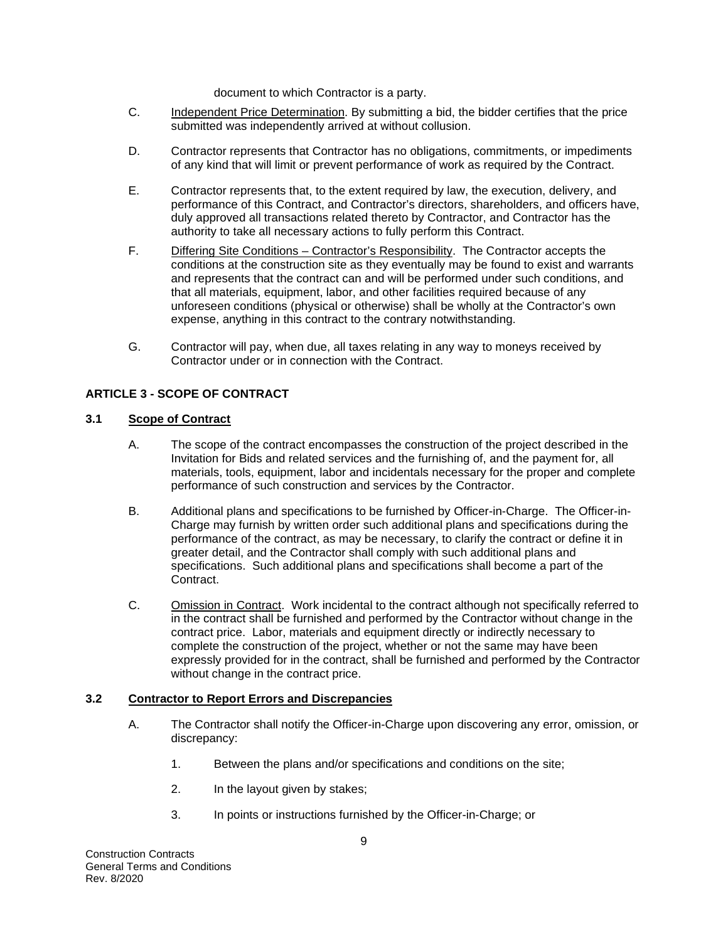document to which Contractor is a party.

- C. Independent Price Determination. By submitting a bid, the bidder certifies that the price submitted was independently arrived at without collusion.
- D. Contractor represents that Contractor has no obligations, commitments, or impediments of any kind that will limit or prevent performance of work as required by the Contract.
- E. Contractor represents that, to the extent required by law, the execution, delivery, and performance of this Contract, and Contractor's directors, shareholders, and officers have, duly approved all transactions related thereto by Contractor, and Contractor has the authority to take all necessary actions to fully perform this Contract.
- F. Differing Site Conditions Contractor's Responsibility. The Contractor accepts the conditions at the construction site as they eventually may be found to exist and warrants and represents that the contract can and will be performed under such conditions, and that all materials, equipment, labor, and other facilities required because of any unforeseen conditions (physical or otherwise) shall be wholly at the Contractor's own expense, anything in this contract to the contrary notwithstanding.
- G. Contractor will pay, when due, all taxes relating in any way to moneys received by Contractor under or in connection with the Contract.

# **ARTICLE 3 - SCOPE OF CONTRACT**

#### **3.1 Scope of Contract**

- A. The scope of the contract encompasses the construction of the project described in the Invitation for Bids and related services and the furnishing of, and the payment for, all materials, tools, equipment, labor and incidentals necessary for the proper and complete performance of such construction and services by the Contractor.
- B. Additional plans and specifications to be furnished by Officer-in-Charge. The Officer-in-Charge may furnish by written order such additional plans and specifications during the performance of the contract, as may be necessary, to clarify the contract or define it in greater detail, and the Contractor shall comply with such additional plans and specifications. Such additional plans and specifications shall become a part of the Contract.
- C. Omission in Contract. Work incidental to the contract although not specifically referred to in the contract shall be furnished and performed by the Contractor without change in the contract price. Labor, materials and equipment directly or indirectly necessary to complete the construction of the project, whether or not the same may have been expressly provided for in the contract, shall be furnished and performed by the Contractor without change in the contract price.

#### **3.2 Contractor to Report Errors and Discrepancies**

- A. The Contractor shall notify the Officer-in-Charge upon discovering any error, omission, or discrepancy:
	- 1. Between the plans and/or specifications and conditions on the site;
	- 2. In the layout given by stakes;
	- 3. In points or instructions furnished by the Officer-in-Charge; or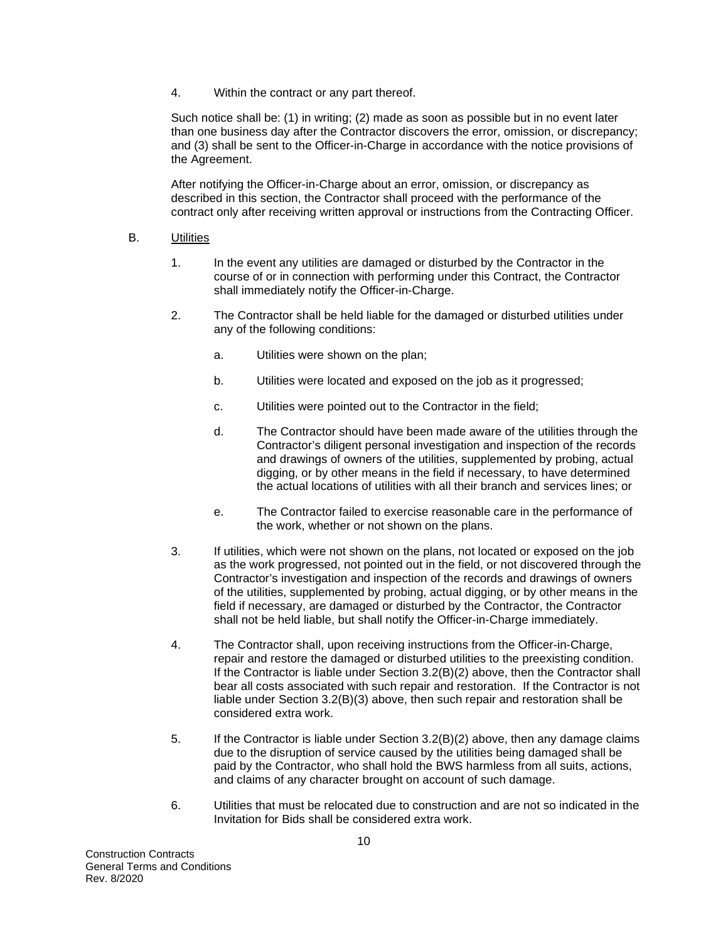4. Within the contract or any part thereof.

Such notice shall be: (1) in writing; (2) made as soon as possible but in no event later than one business day after the Contractor discovers the error, omission, or discrepancy; and (3) shall be sent to the Officer-in-Charge in accordance with the notice provisions of the Agreement.

After notifying the Officer-in-Charge about an error, omission, or discrepancy as described in this section, the Contractor shall proceed with the performance of the contract only after receiving written approval or instructions from the Contracting Officer.

#### B. Utilities

- 1. In the event any utilities are damaged or disturbed by the Contractor in the course of or in connection with performing under this Contract, the Contractor shall immediately notify the Officer-in-Charge.
- 2. The Contractor shall be held liable for the damaged or disturbed utilities under any of the following conditions:
	- a. Utilities were shown on the plan;
	- b. Utilities were located and exposed on the job as it progressed;
	- c. Utilities were pointed out to the Contractor in the field;
	- d. The Contractor should have been made aware of the utilities through the Contractor's diligent personal investigation and inspection of the records and drawings of owners of the utilities, supplemented by probing, actual digging, or by other means in the field if necessary, to have determined the actual locations of utilities with all their branch and services lines; or
	- e. The Contractor failed to exercise reasonable care in the performance of the work, whether or not shown on the plans.
- 3. If utilities, which were not shown on the plans, not located or exposed on the job as the work progressed, not pointed out in the field, or not discovered through the Contractor's investigation and inspection of the records and drawings of owners of the utilities, supplemented by probing, actual digging, or by other means in the field if necessary, are damaged or disturbed by the Contractor, the Contractor shall not be held liable, but shall notify the Officer-in-Charge immediately.
- 4. The Contractor shall, upon receiving instructions from the Officer-in-Charge, repair and restore the damaged or disturbed utilities to the preexisting condition. If the Contractor is liable under Section 3.2(B)(2) above, then the Contractor shall bear all costs associated with such repair and restoration. If the Contractor is not liable under Section 3.2(B)(3) above, then such repair and restoration shall be considered extra work.
- 5. If the Contractor is liable under Section 3.2(B)(2) above, then any damage claims due to the disruption of service caused by the utilities being damaged shall be paid by the Contractor, who shall hold the BWS harmless from all suits, actions, and claims of any character brought on account of such damage.
- 6. Utilities that must be relocated due to construction and are not so indicated in the Invitation for Bids shall be considered extra work.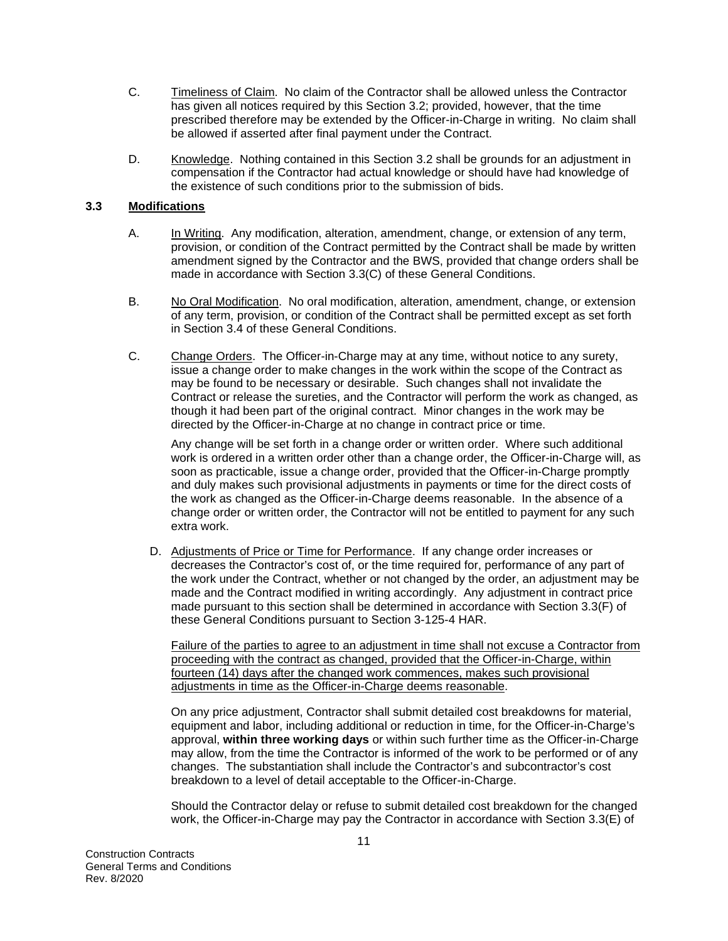- C. Timeliness of Claim. No claim of the Contractor shall be allowed unless the Contractor has given all notices required by this Section 3.2; provided, however, that the time prescribed therefore may be extended by the Officer-in-Charge in writing. No claim shall be allowed if asserted after final payment under the Contract.
- D. Knowledge. Nothing contained in this Section 3.2 shall be grounds for an adjustment in compensation if the Contractor had actual knowledge or should have had knowledge of the existence of such conditions prior to the submission of bids.

#### **3.3 Modifications**

- A. In Writing. Any modification, alteration, amendment, change, or extension of any term, provision, or condition of the Contract permitted by the Contract shall be made by written amendment signed by the Contractor and the BWS, provided that change orders shall be made in accordance with Section 3.3(C) of these General Conditions.
- B. No Oral Modification. No oral modification, alteration, amendment, change, or extension of any term, provision, or condition of the Contract shall be permitted except as set forth in Section 3.4 of these General Conditions.
- C. Change Orders. The Officer-in-Charge may at any time, without notice to any surety, issue a change order to make changes in the work within the scope of the Contract as may be found to be necessary or desirable. Such changes shall not invalidate the Contract or release the sureties, and the Contractor will perform the work as changed, as though it had been part of the original contract. Minor changes in the work may be directed by the Officer-in-Charge at no change in contract price or time.

Any change will be set forth in a change order or written order. Where such additional work is ordered in a written order other than a change order, the Officer-in-Charge will, as soon as practicable, issue a change order, provided that the Officer-in-Charge promptly and duly makes such provisional adjustments in payments or time for the direct costs of the work as changed as the Officer-in-Charge deems reasonable. In the absence of a change order or written order, the Contractor will not be entitled to payment for any such extra work.

D. Adjustments of Price or Time for Performance. If any change order increases or decreases the Contractor's cost of, or the time required for, performance of any part of the work under the Contract, whether or not changed by the order, an adjustment may be made and the Contract modified in writing accordingly. Any adjustment in contract price made pursuant to this section shall be determined in accordance with Section 3.3(F) of these General Conditions pursuant to Section 3-125-4 HAR.

Failure of the parties to agree to an adjustment in time shall not excuse a Contractor from proceeding with the contract as changed, provided that the Officer-in-Charge, within fourteen (14) days after the changed work commences, makes such provisional adjustments in time as the Officer-in-Charge deems reasonable.

On any price adjustment, Contractor shall submit detailed cost breakdowns for material, equipment and labor, including additional or reduction in time, for the Officer-in-Charge's approval, **within three working days** or within such further time as the Officer-in-Charge may allow, from the time the Contractor is informed of the work to be performed or of any changes. The substantiation shall include the Contractor's and subcontractor's cost breakdown to a level of detail acceptable to the Officer-in-Charge.

Should the Contractor delay or refuse to submit detailed cost breakdown for the changed work, the Officer-in-Charge may pay the Contractor in accordance with Section 3.3(E) of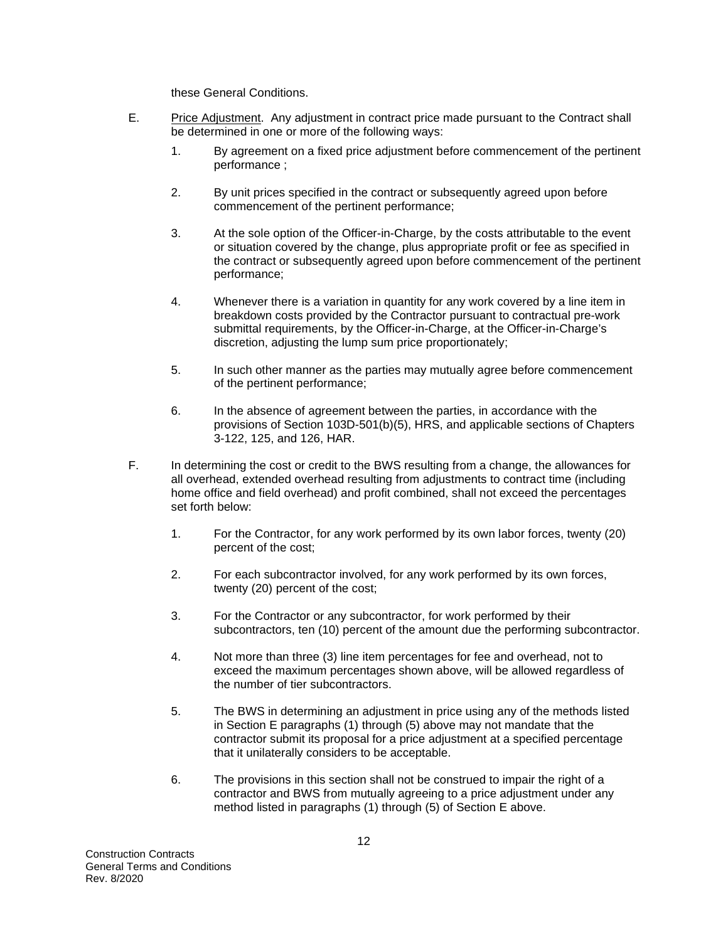these General Conditions.

- E. Price Adjustment. Any adjustment in contract price made pursuant to the Contract shall be determined in one or more of the following ways:
	- 1. By agreement on a fixed price adjustment before commencement of the pertinent performance ;
	- 2. By unit prices specified in the contract or subsequently agreed upon before commencement of the pertinent performance;
	- 3. At the sole option of the Officer-in-Charge, by the costs attributable to the event or situation covered by the change, plus appropriate profit or fee as specified in the contract or subsequently agreed upon before commencement of the pertinent performance;
	- 4. Whenever there is a variation in quantity for any work covered by a line item in breakdown costs provided by the Contractor pursuant to contractual pre-work submittal requirements, by the Officer-in-Charge, at the Officer-in-Charge's discretion, adjusting the lump sum price proportionately;
	- 5. In such other manner as the parties may mutually agree before commencement of the pertinent performance;
	- 6. In the absence of agreement between the parties, in accordance with the provisions of Section 103D-501(b)(5), HRS, and applicable sections of Chapters 3-122, 125, and 126, HAR.
- F. In determining the cost or credit to the BWS resulting from a change, the allowances for all overhead, extended overhead resulting from adjustments to contract time (including home office and field overhead) and profit combined, shall not exceed the percentages set forth below:
	- 1. For the Contractor, for any work performed by its own labor forces, twenty (20) percent of the cost;
	- 2. For each subcontractor involved, for any work performed by its own forces, twenty (20) percent of the cost;
	- 3. For the Contractor or any subcontractor, for work performed by their subcontractors, ten (10) percent of the amount due the performing subcontractor.
	- 4. Not more than three (3) line item percentages for fee and overhead, not to exceed the maximum percentages shown above, will be allowed regardless of the number of tier subcontractors.
	- 5. The BWS in determining an adjustment in price using any of the methods listed in Section E paragraphs (1) through (5) above may not mandate that the contractor submit its proposal for a price adjustment at a specified percentage that it unilaterally considers to be acceptable.
	- 6. The provisions in this section shall not be construed to impair the right of a contractor and BWS from mutually agreeing to a price adjustment under any method listed in paragraphs (1) through (5) of Section E above.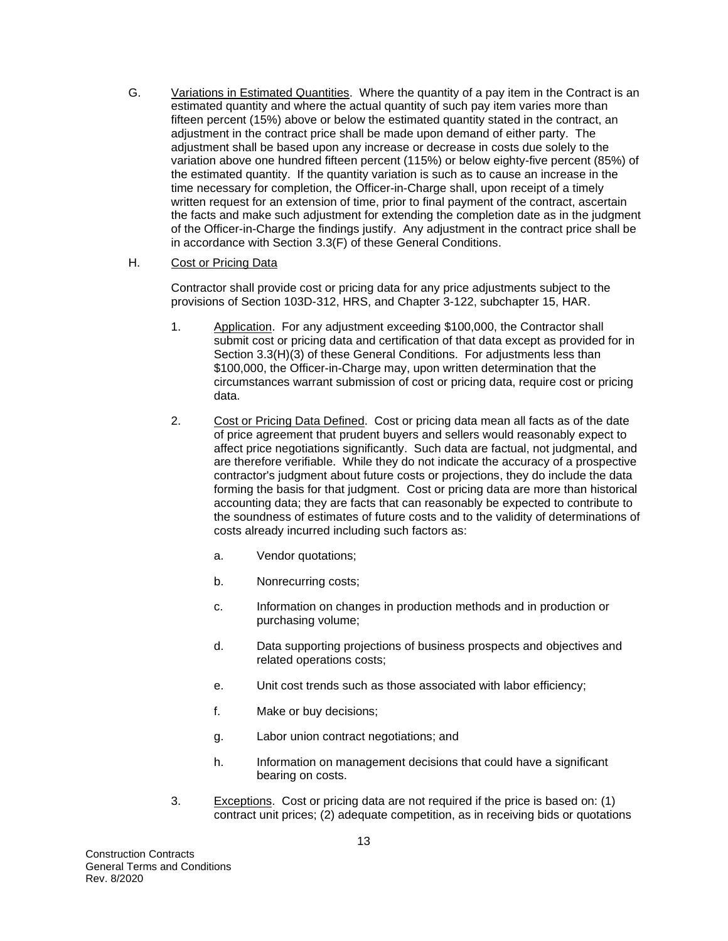G. Variations in Estimated Quantities. Where the quantity of a pay item in the Contract is an estimated quantity and where the actual quantity of such pay item varies more than fifteen percent (15%) above or below the estimated quantity stated in the contract, an adjustment in the contract price shall be made upon demand of either party. The adjustment shall be based upon any increase or decrease in costs due solely to the variation above one hundred fifteen percent (115%) or below eighty-five percent (85%) of the estimated quantity. If the quantity variation is such as to cause an increase in the time necessary for completion, the Officer-in-Charge shall, upon receipt of a timely written request for an extension of time, prior to final payment of the contract, ascertain the facts and make such adjustment for extending the completion date as in the judgment of the Officer-in-Charge the findings justify. Any adjustment in the contract price shall be in accordance with Section 3.3(F) of these General Conditions.

#### H. Cost or Pricing Data

Contractor shall provide cost or pricing data for any price adjustments subject to the provisions of Section 103D-312, HRS, and Chapter 3-122, subchapter 15, HAR.

- 1. Application. For any adjustment exceeding \$100,000, the Contractor shall submit cost or pricing data and certification of that data except as provided for in Section 3.3(H)(3) of these General Conditions. For adjustments less than \$100,000, the Officer-in-Charge may, upon written determination that the circumstances warrant submission of cost or pricing data, require cost or pricing data.
- 2. Cost or Pricing Data Defined. Cost or pricing data mean all facts as of the date of price agreement that prudent buyers and sellers would reasonably expect to affect price negotiations significantly. Such data are factual, not judgmental, and are therefore verifiable. While they do not indicate the accuracy of a prospective contractor's judgment about future costs or projections, they do include the data forming the basis for that judgment. Cost or pricing data are more than historical accounting data; they are facts that can reasonably be expected to contribute to the soundness of estimates of future costs and to the validity of determinations of costs already incurred including such factors as:
	- a. Vendor quotations;
	- b. Nonrecurring costs;
	- c. Information on changes in production methods and in production or purchasing volume;
	- d. Data supporting projections of business prospects and objectives and related operations costs;
	- e. Unit cost trends such as those associated with labor efficiency;
	- f. Make or buy decisions;
	- g. Labor union contract negotiations; and
	- h. Information on management decisions that could have a significant bearing on costs.
- 3. Exceptions. Cost or pricing data are not required if the price is based on: (1) contract unit prices; (2) adequate competition, as in receiving bids or quotations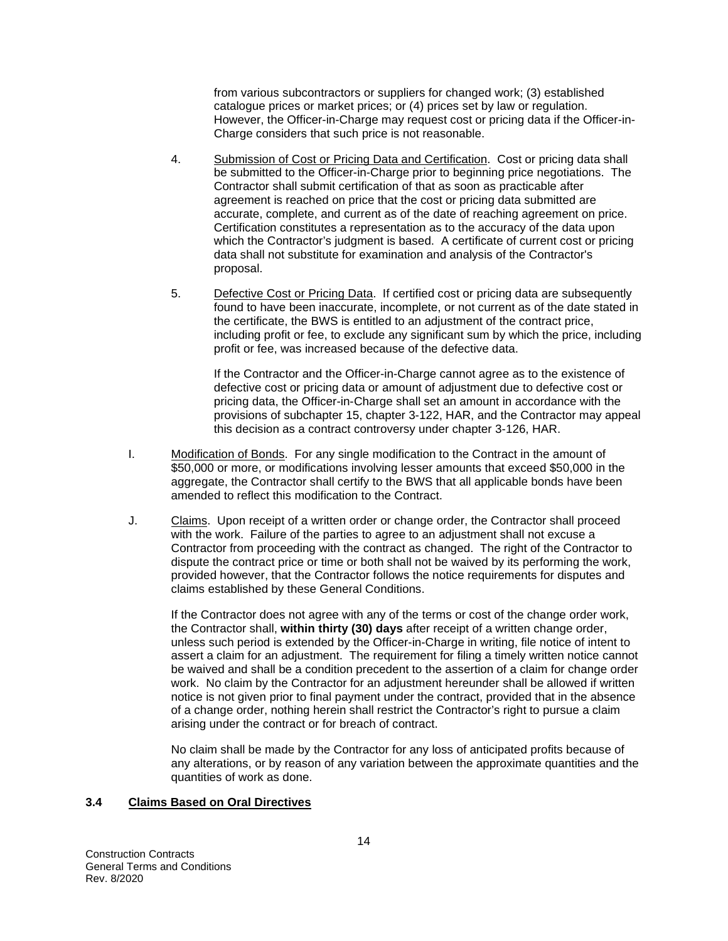from various subcontractors or suppliers for changed work; (3) established catalogue prices or market prices; or (4) prices set by law or regulation. However, the Officer-in-Charge may request cost or pricing data if the Officer-in-Charge considers that such price is not reasonable.

- 4. Submission of Cost or Pricing Data and Certification. Cost or pricing data shall be submitted to the Officer-in-Charge prior to beginning price negotiations. The Contractor shall submit certification of that as soon as practicable after agreement is reached on price that the cost or pricing data submitted are accurate, complete, and current as of the date of reaching agreement on price. Certification constitutes a representation as to the accuracy of the data upon which the Contractor's judgment is based. A certificate of current cost or pricing data shall not substitute for examination and analysis of the Contractor's proposal.
- 5. Defective Cost or Pricing Data. If certified cost or pricing data are subsequently found to have been inaccurate, incomplete, or not current as of the date stated in the certificate, the BWS is entitled to an adjustment of the contract price, including profit or fee, to exclude any significant sum by which the price, including profit or fee, was increased because of the defective data.

If the Contractor and the Officer-in-Charge cannot agree as to the existence of defective cost or pricing data or amount of adjustment due to defective cost or pricing data, the Officer-in-Charge shall set an amount in accordance with the provisions of subchapter 15, chapter 3-122, HAR, and the Contractor may appeal this decision as a contract controversy under chapter 3-126, HAR.

- I. Modification of Bonds. For any single modification to the Contract in the amount of \$50,000 or more, or modifications involving lesser amounts that exceed \$50,000 in the aggregate, the Contractor shall certify to the BWS that all applicable bonds have been amended to reflect this modification to the Contract.
- J. Claims. Upon receipt of a written order or change order, the Contractor shall proceed with the work. Failure of the parties to agree to an adjustment shall not excuse a Contractor from proceeding with the contract as changed. The right of the Contractor to dispute the contract price or time or both shall not be waived by its performing the work, provided however, that the Contractor follows the notice requirements for disputes and claims established by these General Conditions.

If the Contractor does not agree with any of the terms or cost of the change order work, the Contractor shall, **within thirty (30) days** after receipt of a written change order, unless such period is extended by the Officer-in-Charge in writing, file notice of intent to assert a claim for an adjustment. The requirement for filing a timely written notice cannot be waived and shall be a condition precedent to the assertion of a claim for change order work. No claim by the Contractor for an adjustment hereunder shall be allowed if written notice is not given prior to final payment under the contract, provided that in the absence of a change order, nothing herein shall restrict the Contractor's right to pursue a claim arising under the contract or for breach of contract.

No claim shall be made by the Contractor for any loss of anticipated profits because of any alterations, or by reason of any variation between the approximate quantities and the quantities of work as done.

#### **3.4 Claims Based on Oral Directives**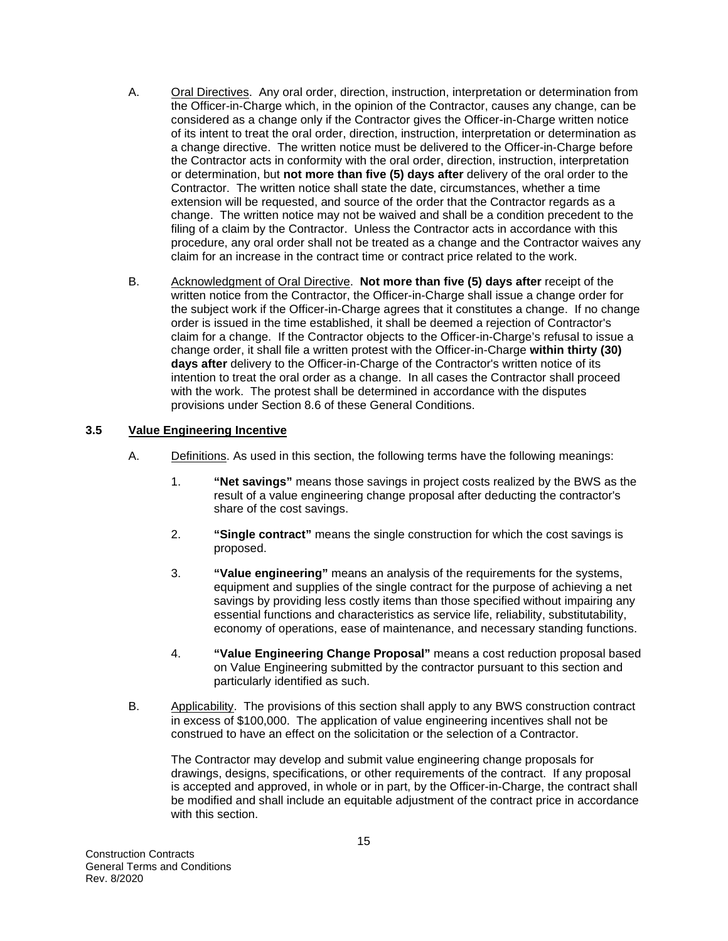- A. Oral Directives. Any oral order, direction, instruction, interpretation or determination from the Officer-in-Charge which, in the opinion of the Contractor, causes any change, can be considered as a change only if the Contractor gives the Officer-in-Charge written notice of its intent to treat the oral order, direction, instruction, interpretation or determination as a change directive. The written notice must be delivered to the Officer-in-Charge before the Contractor acts in conformity with the oral order, direction, instruction, interpretation or determination, but **not more than five (5) days after** delivery of the oral order to the Contractor. The written notice shall state the date, circumstances, whether a time extension will be requested, and source of the order that the Contractor regards as a change. The written notice may not be waived and shall be a condition precedent to the filing of a claim by the Contractor. Unless the Contractor acts in accordance with this procedure, any oral order shall not be treated as a change and the Contractor waives any claim for an increase in the contract time or contract price related to the work.
- B. Acknowledgment of Oral Directive. **Not more than five (5) days after** receipt of the written notice from the Contractor, the Officer-in-Charge shall issue a change order for the subject work if the Officer-in-Charge agrees that it constitutes a change. If no change order is issued in the time established, it shall be deemed a rejection of Contractor's claim for a change. If the Contractor objects to the Officer-in-Charge's refusal to issue a change order, it shall file a written protest with the Officer-in-Charge **within thirty (30) days after** delivery to the Officer-in-Charge of the Contractor's written notice of its intention to treat the oral order as a change. In all cases the Contractor shall proceed with the work. The protest shall be determined in accordance with the disputes provisions under Section 8.6 of these General Conditions.

#### **3.5 Value Engineering Incentive**

- A. Definitions. As used in this section, the following terms have the following meanings:
	- 1. **"Net savings"** means those savings in project costs realized by the BWS as the result of a value engineering change proposal after deducting the contractor's share of the cost savings.
	- 2. **"Single contract"** means the single construction for which the cost savings is proposed.
	- 3. **"Value engineering"** means an analysis of the requirements for the systems, equipment and supplies of the single contract for the purpose of achieving a net savings by providing less costly items than those specified without impairing any essential functions and characteristics as service life, reliability, substitutability, economy of operations, ease of maintenance, and necessary standing functions.
	- 4. **"Value Engineering Change Proposal"** means a cost reduction proposal based on Value Engineering submitted by the contractor pursuant to this section and particularly identified as such.
- B. Applicability. The provisions of this section shall apply to any BWS construction contract in excess of \$100,000. The application of value engineering incentives shall not be construed to have an effect on the solicitation or the selection of a Contractor.

The Contractor may develop and submit value engineering change proposals for drawings, designs, specifications, or other requirements of the contract. If any proposal is accepted and approved, in whole or in part, by the Officer-in-Charge, the contract shall be modified and shall include an equitable adjustment of the contract price in accordance with this section.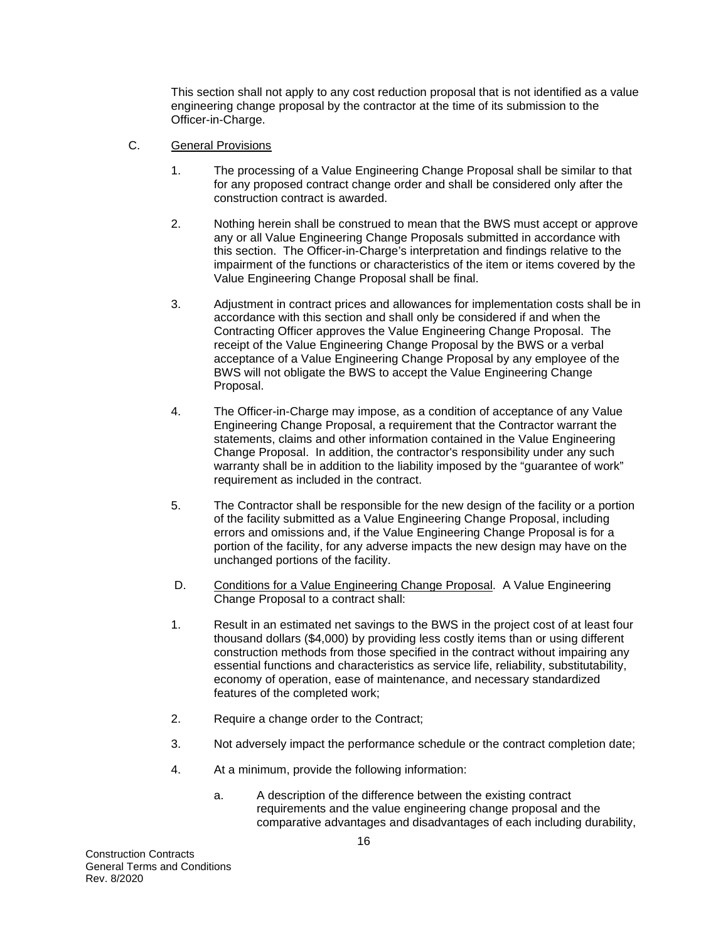This section shall not apply to any cost reduction proposal that is not identified as a value engineering change proposal by the contractor at the time of its submission to the Officer-in-Charge.

- C. General Provisions
	- 1. The processing of a Value Engineering Change Proposal shall be similar to that for any proposed contract change order and shall be considered only after the construction contract is awarded.
	- 2. Nothing herein shall be construed to mean that the BWS must accept or approve any or all Value Engineering Change Proposals submitted in accordance with this section. The Officer-in-Charge's interpretation and findings relative to the impairment of the functions or characteristics of the item or items covered by the Value Engineering Change Proposal shall be final.
	- 3. Adjustment in contract prices and allowances for implementation costs shall be in accordance with this section and shall only be considered if and when the Contracting Officer approves the Value Engineering Change Proposal. The receipt of the Value Engineering Change Proposal by the BWS or a verbal acceptance of a Value Engineering Change Proposal by any employee of the BWS will not obligate the BWS to accept the Value Engineering Change Proposal.
	- 4. The Officer-in-Charge may impose, as a condition of acceptance of any Value Engineering Change Proposal, a requirement that the Contractor warrant the statements, claims and other information contained in the Value Engineering Change Proposal. In addition, the contractor's responsibility under any such warranty shall be in addition to the liability imposed by the "guarantee of work" requirement as included in the contract.
	- 5. The Contractor shall be responsible for the new design of the facility or a portion of the facility submitted as a Value Engineering Change Proposal, including errors and omissions and, if the Value Engineering Change Proposal is for a portion of the facility, for any adverse impacts the new design may have on the unchanged portions of the facility.
	- D. Conditions for a Value Engineering Change Proposal. A Value Engineering Change Proposal to a contract shall:
	- 1. Result in an estimated net savings to the BWS in the project cost of at least four thousand dollars (\$4,000) by providing less costly items than or using different construction methods from those specified in the contract without impairing any essential functions and characteristics as service life, reliability, substitutability, economy of operation, ease of maintenance, and necessary standardized features of the completed work;
	- 2. Require a change order to the Contract;
	- 3. Not adversely impact the performance schedule or the contract completion date;
	- 4. At a minimum, provide the following information:
		- a. A description of the difference between the existing contract requirements and the value engineering change proposal and the comparative advantages and disadvantages of each including durability,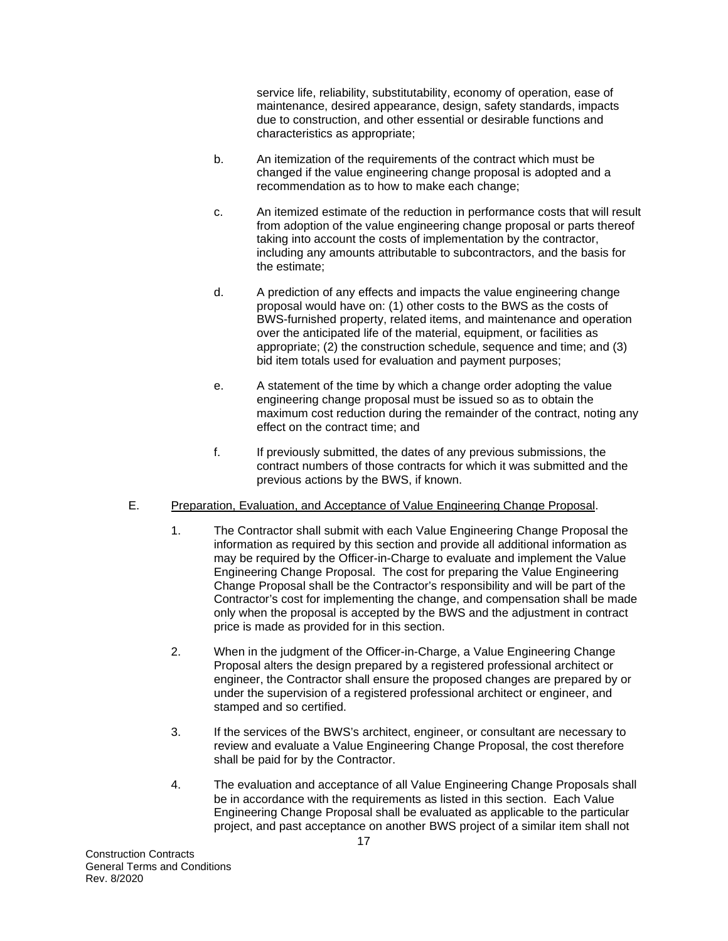service life, reliability, substitutability, economy of operation, ease of maintenance, desired appearance, design, safety standards, impacts due to construction, and other essential or desirable functions and characteristics as appropriate;

- b. An itemization of the requirements of the contract which must be changed if the value engineering change proposal is adopted and a recommendation as to how to make each change;
- c. An itemized estimate of the reduction in performance costs that will result from adoption of the value engineering change proposal or parts thereof taking into account the costs of implementation by the contractor, including any amounts attributable to subcontractors, and the basis for the estimate;
- d. A prediction of any effects and impacts the value engineering change proposal would have on: (1) other costs to the BWS as the costs of BWS-furnished property, related items, and maintenance and operation over the anticipated life of the material, equipment, or facilities as appropriate; (2) the construction schedule, sequence and time; and (3) bid item totals used for evaluation and payment purposes;
- e. A statement of the time by which a change order adopting the value engineering change proposal must be issued so as to obtain the maximum cost reduction during the remainder of the contract, noting any effect on the contract time; and
- f. If previously submitted, the dates of any previous submissions, the contract numbers of those contracts for which it was submitted and the previous actions by the BWS, if known.

# E. Preparation, Evaluation, and Acceptance of Value Engineering Change Proposal.

- 1. The Contractor shall submit with each Value Engineering Change Proposal the information as required by this section and provide all additional information as may be required by the Officer-in-Charge to evaluate and implement the Value Engineering Change Proposal. The cost for preparing the Value Engineering Change Proposal shall be the Contractor's responsibility and will be part of the Contractor's cost for implementing the change, and compensation shall be made only when the proposal is accepted by the BWS and the adjustment in contract price is made as provided for in this section.
- 2. When in the judgment of the Officer-in-Charge, a Value Engineering Change Proposal alters the design prepared by a registered professional architect or engineer, the Contractor shall ensure the proposed changes are prepared by or under the supervision of a registered professional architect or engineer, and stamped and so certified.
- 3. If the services of the BWS's architect, engineer, or consultant are necessary to review and evaluate a Value Engineering Change Proposal, the cost therefore shall be paid for by the Contractor.
- 4. The evaluation and acceptance of all Value Engineering Change Proposals shall be in accordance with the requirements as listed in this section. Each Value Engineering Change Proposal shall be evaluated as applicable to the particular project, and past acceptance on another BWS project of a similar item shall not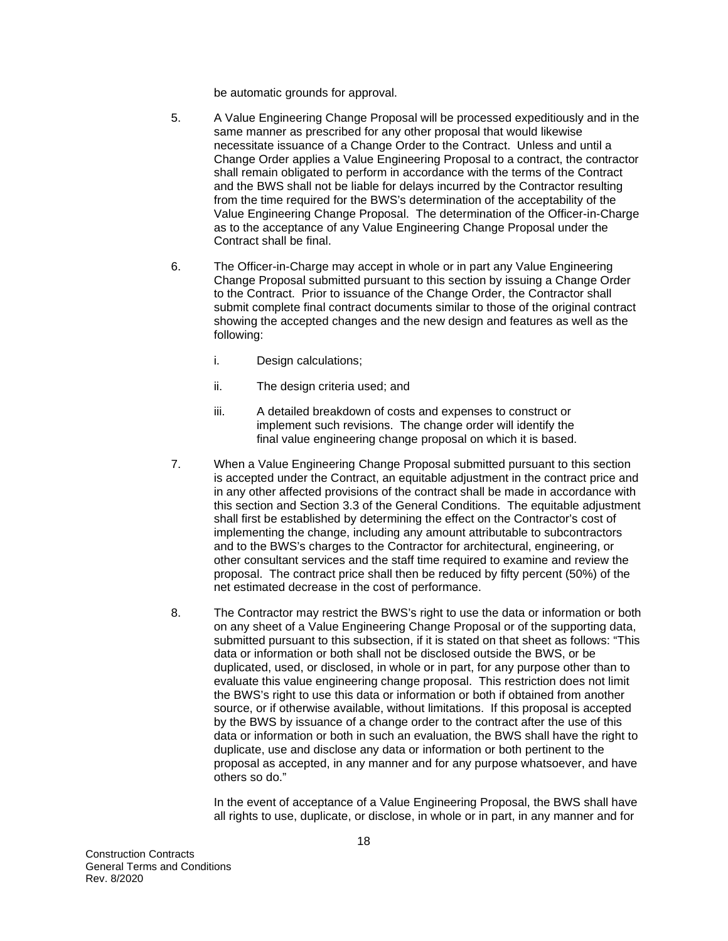be automatic grounds for approval.

- 5. A Value Engineering Change Proposal will be processed expeditiously and in the same manner as prescribed for any other proposal that would likewise necessitate issuance of a Change Order to the Contract. Unless and until a Change Order applies a Value Engineering Proposal to a contract, the contractor shall remain obligated to perform in accordance with the terms of the Contract and the BWS shall not be liable for delays incurred by the Contractor resulting from the time required for the BWS's determination of the acceptability of the Value Engineering Change Proposal. The determination of the Officer-in-Charge as to the acceptance of any Value Engineering Change Proposal under the Contract shall be final.
- 6. The Officer-in-Charge may accept in whole or in part any Value Engineering Change Proposal submitted pursuant to this section by issuing a Change Order to the Contract. Prior to issuance of the Change Order, the Contractor shall submit complete final contract documents similar to those of the original contract showing the accepted changes and the new design and features as well as the following:
	- i. Design calculations;
	- ii. The design criteria used; and
	- iii. A detailed breakdown of costs and expenses to construct or implement such revisions. The change order will identify the final value engineering change proposal on which it is based.
- 7. When a Value Engineering Change Proposal submitted pursuant to this section is accepted under the Contract, an equitable adjustment in the contract price and in any other affected provisions of the contract shall be made in accordance with this section and Section 3.3 of the General Conditions. The equitable adjustment shall first be established by determining the effect on the Contractor's cost of implementing the change, including any amount attributable to subcontractors and to the BWS's charges to the Contractor for architectural, engineering, or other consultant services and the staff time required to examine and review the proposal. The contract price shall then be reduced by fifty percent (50%) of the net estimated decrease in the cost of performance.
- 8. The Contractor may restrict the BWS's right to use the data or information or both on any sheet of a Value Engineering Change Proposal or of the supporting data, submitted pursuant to this subsection, if it is stated on that sheet as follows: "This data or information or both shall not be disclosed outside the BWS, or be duplicated, used, or disclosed, in whole or in part, for any purpose other than to evaluate this value engineering change proposal. This restriction does not limit the BWS's right to use this data or information or both if obtained from another source, or if otherwise available, without limitations. If this proposal is accepted by the BWS by issuance of a change order to the contract after the use of this data or information or both in such an evaluation, the BWS shall have the right to duplicate, use and disclose any data or information or both pertinent to the proposal as accepted, in any manner and for any purpose whatsoever, and have others so do."

In the event of acceptance of a Value Engineering Proposal, the BWS shall have all rights to use, duplicate, or disclose, in whole or in part, in any manner and for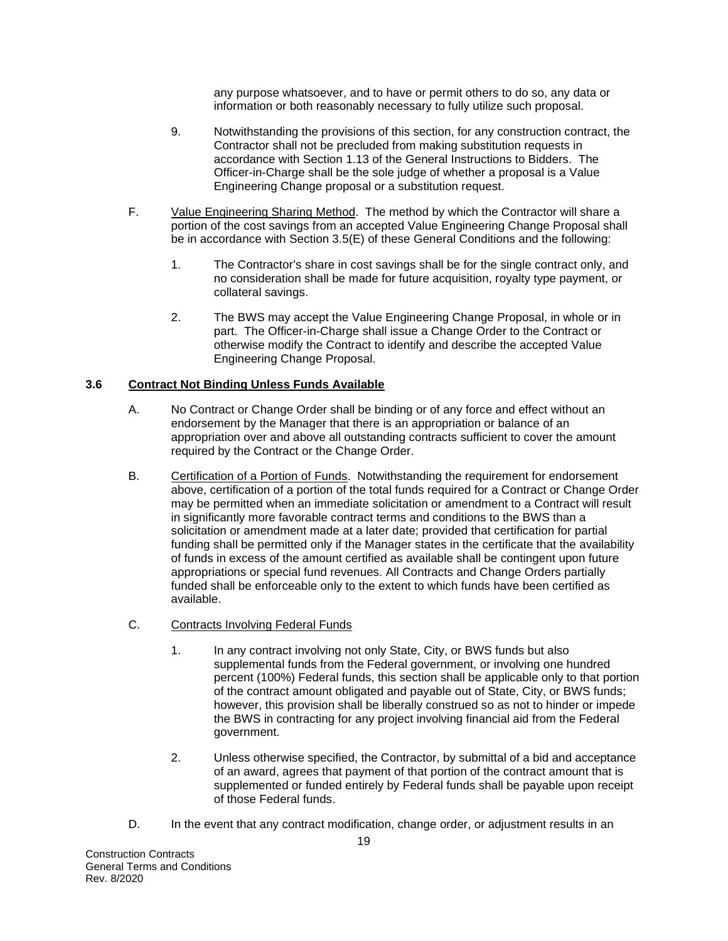any purpose whatsoever, and to have or permit others to do so, any data or information or both reasonably necessary to fully utilize such proposal.

- 9. Notwithstanding the provisions of this section, for any construction contract, the Contractor shall not be precluded from making substitution requests in accordance with Section 1.13 of the General Instructions to Bidders. The Officer-in-Charge shall be the sole judge of whether a proposal is a Value Engineering Change proposal or a substitution request.
- F. Value Engineering Sharing Method. The method by which the Contractor will share a portion of the cost savings from an accepted Value Engineering Change Proposal shall be in accordance with Section 3.5(E) of these General Conditions and the following:
	- 1. The Contractor's share in cost savings shall be for the single contract only, and no consideration shall be made for future acquisition, royalty type payment, or collateral savings.
	- 2. The BWS may accept the Value Engineering Change Proposal, in whole or in part. The Officer-in-Charge shall issue a Change Order to the Contract or otherwise modify the Contract to identify and describe the accepted Value Engineering Change Proposal.

# **3.6 Contract Not Binding Unless Funds Available**

- A. No Contract or Change Order shall be binding or of any force and effect without an endorsement by the Manager that there is an appropriation or balance of an appropriation over and above all outstanding contracts sufficient to cover the amount required by the Contract or the Change Order.
- B. Certification of a Portion of Funds. Notwithstanding the requirement for endorsement above, certification of a portion of the total funds required for a Contract or Change Order may be permitted when an immediate solicitation or amendment to a Contract will result in significantly more favorable contract terms and conditions to the BWS than a solicitation or amendment made at a later date; provided that certification for partial funding shall be permitted only if the Manager states in the certificate that the availability of funds in excess of the amount certified as available shall be contingent upon future appropriations or special fund revenues. All Contracts and Change Orders partially funded shall be enforceable only to the extent to which funds have been certified as available.
- C. Contracts Involving Federal Funds
	- 1. In any contract involving not only State, City, or BWS funds but also supplemental funds from the Federal government, or involving one hundred percent (100%) Federal funds, this section shall be applicable only to that portion of the contract amount obligated and payable out of State, City, or BWS funds; however, this provision shall be liberally construed so as not to hinder or impede the BWS in contracting for any project involving financial aid from the Federal government.
	- 2. Unless otherwise specified, the Contractor, by submittal of a bid and acceptance of an award, agrees that payment of that portion of the contract amount that is supplemented or funded entirely by Federal funds shall be payable upon receipt of those Federal funds.
- D. In the event that any contract modification, change order, or adjustment results in an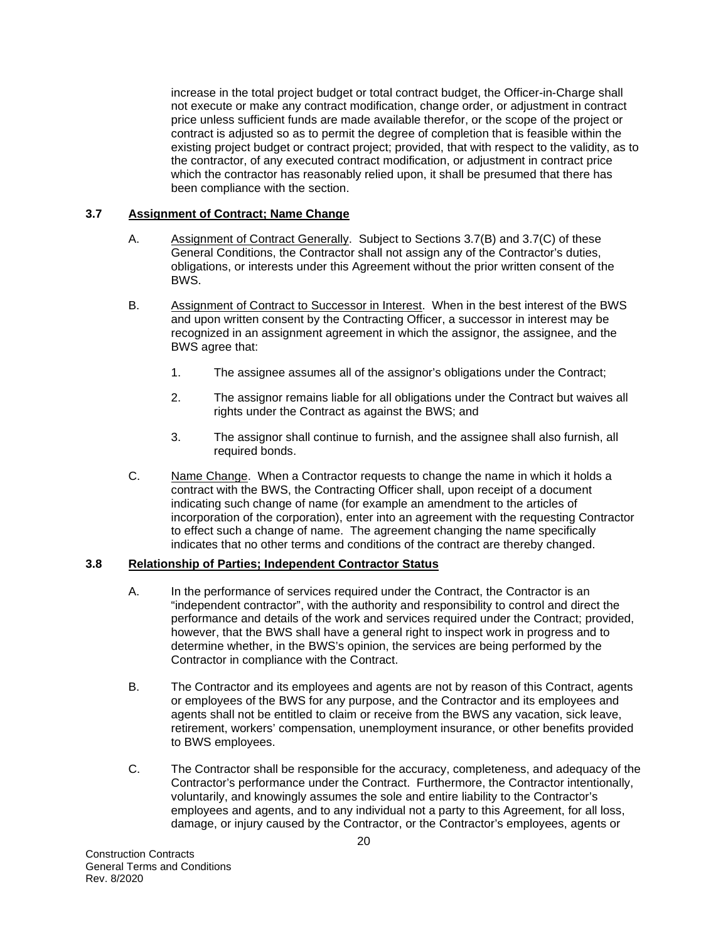increase in the total project budget or total contract budget, the Officer-in-Charge shall not execute or make any contract modification, change order, or adjustment in contract price unless sufficient funds are made available therefor, or the scope of the project or contract is adjusted so as to permit the degree of completion that is feasible within the existing project budget or contract project; provided, that with respect to the validity, as to the contractor, of any executed contract modification, or adjustment in contract price which the contractor has reasonably relied upon, it shall be presumed that there has been compliance with the section.

#### **3.7 Assignment of Contract; Name Change**

- A. Assignment of Contract Generally. Subject to Sections 3.7(B) and 3.7(C) of these General Conditions, the Contractor shall not assign any of the Contractor's duties, obligations, or interests under this Agreement without the prior written consent of the BWS.
- B. Assignment of Contract to Successor in Interest. When in the best interest of the BWS and upon written consent by the Contracting Officer, a successor in interest may be recognized in an assignment agreement in which the assignor, the assignee, and the BWS agree that:
	- 1. The assignee assumes all of the assignor's obligations under the Contract;
	- 2. The assignor remains liable for all obligations under the Contract but waives all rights under the Contract as against the BWS; and
	- 3. The assignor shall continue to furnish, and the assignee shall also furnish, all required bonds.
- C. Name Change. When a Contractor requests to change the name in which it holds a contract with the BWS, the Contracting Officer shall, upon receipt of a document indicating such change of name (for example an amendment to the articles of incorporation of the corporation), enter into an agreement with the requesting Contractor to effect such a change of name. The agreement changing the name specifically indicates that no other terms and conditions of the contract are thereby changed.

#### **3.8 Relationship of Parties; Independent Contractor Status**

- A. In the performance of services required under the Contract, the Contractor is an "independent contractor", with the authority and responsibility to control and direct the performance and details of the work and services required under the Contract; provided, however, that the BWS shall have a general right to inspect work in progress and to determine whether, in the BWS's opinion, the services are being performed by the Contractor in compliance with the Contract.
- B. The Contractor and its employees and agents are not by reason of this Contract, agents or employees of the BWS for any purpose, and the Contractor and its employees and agents shall not be entitled to claim or receive from the BWS any vacation, sick leave, retirement, workers' compensation, unemployment insurance, or other benefits provided to BWS employees.
- C. The Contractor shall be responsible for the accuracy, completeness, and adequacy of the Contractor's performance under the Contract. Furthermore, the Contractor intentionally, voluntarily, and knowingly assumes the sole and entire liability to the Contractor's employees and agents, and to any individual not a party to this Agreement, for all loss, damage, or injury caused by the Contractor, or the Contractor's employees, agents or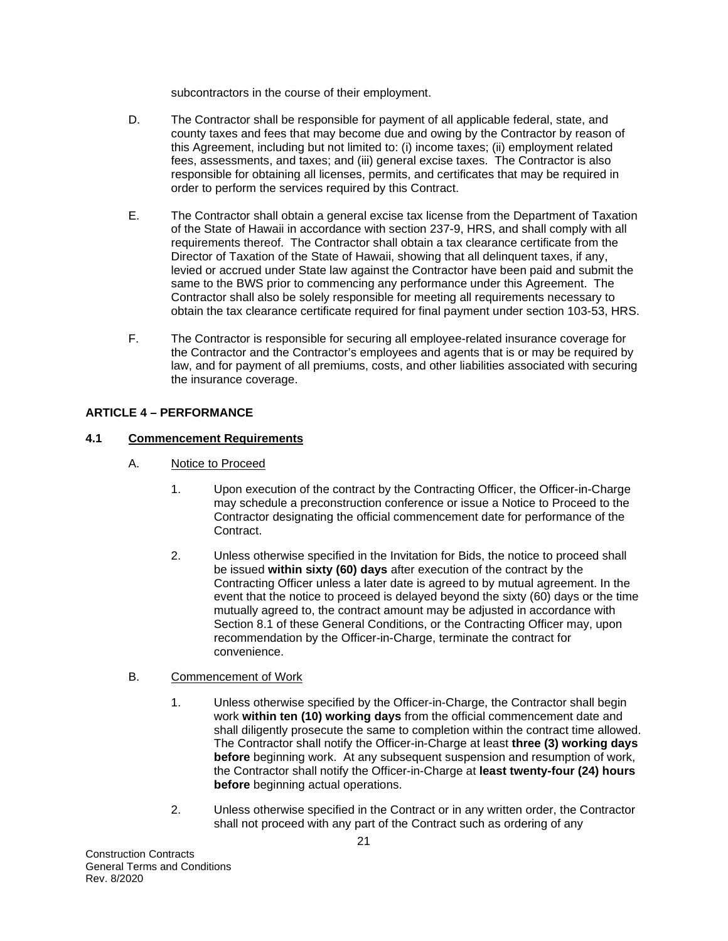subcontractors in the course of their employment.

- D. The Contractor shall be responsible for payment of all applicable federal, state, and county taxes and fees that may become due and owing by the Contractor by reason of this Agreement, including but not limited to: (i) income taxes; (ii) employment related fees, assessments, and taxes; and (iii) general excise taxes. The Contractor is also responsible for obtaining all licenses, permits, and certificates that may be required in order to perform the services required by this Contract.
- E. The Contractor shall obtain a general excise tax license from the Department of Taxation of the State of Hawaii in accordance with section 237-9, HRS, and shall comply with all requirements thereof. The Contractor shall obtain a tax clearance certificate from the Director of Taxation of the State of Hawaii, showing that all delinquent taxes, if any, levied or accrued under State law against the Contractor have been paid and submit the same to the BWS prior to commencing any performance under this Agreement. The Contractor shall also be solely responsible for meeting all requirements necessary to obtain the tax clearance certificate required for final payment under section 103-53, HRS.
- F. The Contractor is responsible for securing all employee-related insurance coverage for the Contractor and the Contractor's employees and agents that is or may be required by law, and for payment of all premiums, costs, and other liabilities associated with securing the insurance coverage.

# **ARTICLE 4 – PERFORMANCE**

#### **4.1 Commencement Requirements**

- A. Notice to Proceed
	- 1. Upon execution of the contract by the Contracting Officer, the Officer-in-Charge may schedule a preconstruction conference or issue a Notice to Proceed to the Contractor designating the official commencement date for performance of the Contract.
	- 2. Unless otherwise specified in the Invitation for Bids, the notice to proceed shall be issued **within sixty (60) days** after execution of the contract by the Contracting Officer unless a later date is agreed to by mutual agreement. In the event that the notice to proceed is delayed beyond the sixty (60) days or the time mutually agreed to, the contract amount may be adjusted in accordance with Section 8.1 of these General Conditions, or the Contracting Officer may, upon recommendation by the Officer-in-Charge, terminate the contract for convenience.

#### B. Commencement of Work

- 1. Unless otherwise specified by the Officer-in-Charge, the Contractor shall begin work **within ten (10) working days** from the official commencement date and shall diligently prosecute the same to completion within the contract time allowed. The Contractor shall notify the Officer-in-Charge at least **three (3) working days before** beginning work. At any subsequent suspension and resumption of work, the Contractor shall notify the Officer-in-Charge at **least twenty-four (24) hours before** beginning actual operations.
- 2. Unless otherwise specified in the Contract or in any written order, the Contractor shall not proceed with any part of the Contract such as ordering of any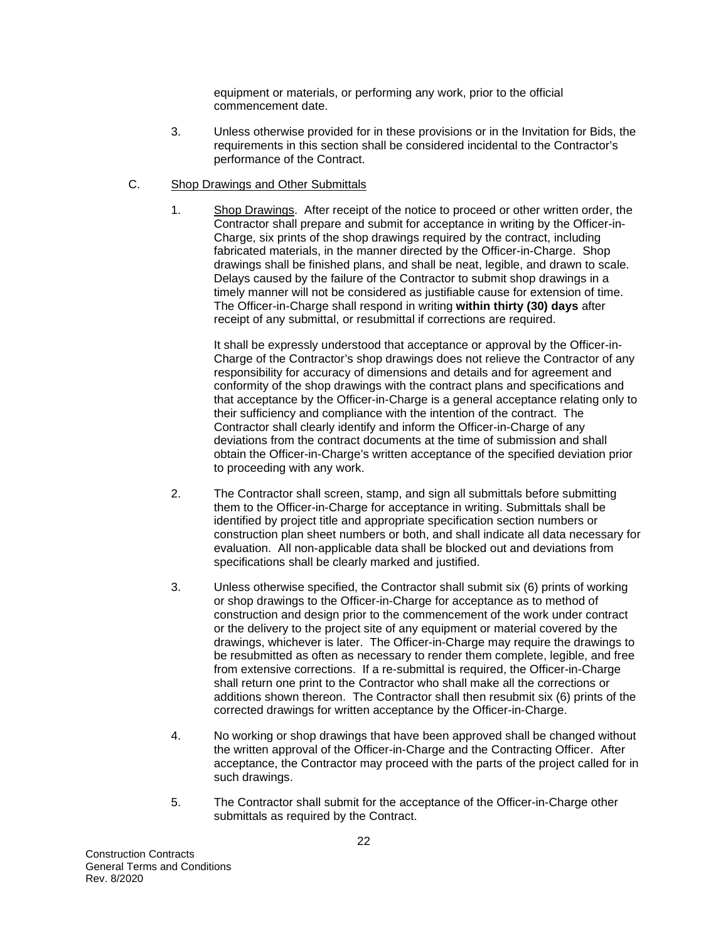equipment or materials, or performing any work, prior to the official commencement date.

- 3. Unless otherwise provided for in these provisions or in the Invitation for Bids, the requirements in this section shall be considered incidental to the Contractor's performance of the Contract.
- C. Shop Drawings and Other Submittals
	- 1. Shop Drawings. After receipt of the notice to proceed or other written order, the Contractor shall prepare and submit for acceptance in writing by the Officer-in-Charge, six prints of the shop drawings required by the contract, including fabricated materials, in the manner directed by the Officer-in-Charge. Shop drawings shall be finished plans, and shall be neat, legible, and drawn to scale. Delays caused by the failure of the Contractor to submit shop drawings in a timely manner will not be considered as justifiable cause for extension of time. The Officer-in-Charge shall respond in writing **within thirty (30) days** after receipt of any submittal, or resubmittal if corrections are required.

It shall be expressly understood that acceptance or approval by the Officer-in-Charge of the Contractor's shop drawings does not relieve the Contractor of any responsibility for accuracy of dimensions and details and for agreement and conformity of the shop drawings with the contract plans and specifications and that acceptance by the Officer-in-Charge is a general acceptance relating only to their sufficiency and compliance with the intention of the contract. The Contractor shall clearly identify and inform the Officer-in-Charge of any deviations from the contract documents at the time of submission and shall obtain the Officer-in-Charge's written acceptance of the specified deviation prior to proceeding with any work.

- 2. The Contractor shall screen, stamp, and sign all submittals before submitting them to the Officer-in-Charge for acceptance in writing. Submittals shall be identified by project title and appropriate specification section numbers or construction plan sheet numbers or both, and shall indicate all data necessary for evaluation. All non-applicable data shall be blocked out and deviations from specifications shall be clearly marked and justified.
- 3. Unless otherwise specified, the Contractor shall submit six (6) prints of working or shop drawings to the Officer-in-Charge for acceptance as to method of construction and design prior to the commencement of the work under contract or the delivery to the project site of any equipment or material covered by the drawings, whichever is later. The Officer-in-Charge may require the drawings to be resubmitted as often as necessary to render them complete, legible, and free from extensive corrections. If a re-submittal is required, the Officer-in-Charge shall return one print to the Contractor who shall make all the corrections or additions shown thereon. The Contractor shall then resubmit six (6) prints of the corrected drawings for written acceptance by the Officer-in-Charge.
- 4. No working or shop drawings that have been approved shall be changed without the written approval of the Officer-in-Charge and the Contracting Officer. After acceptance, the Contractor may proceed with the parts of the project called for in such drawings.
- 5. The Contractor shall submit for the acceptance of the Officer-in-Charge other submittals as required by the Contract.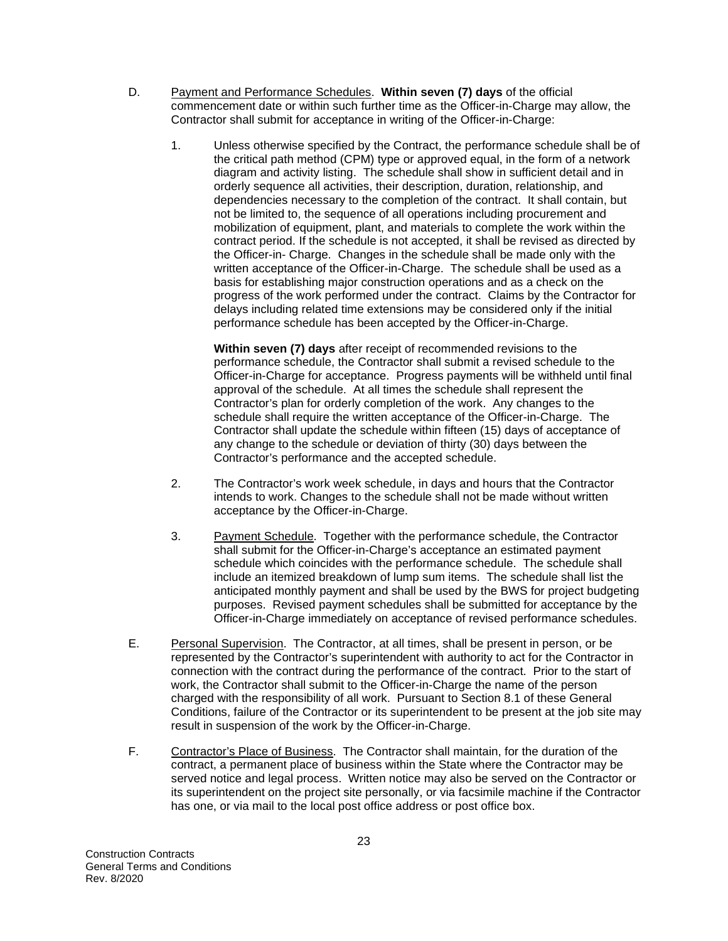- D. Payment and Performance Schedules. **Within seven (7) days** of the official commencement date or within such further time as the Officer-in-Charge may allow, the Contractor shall submit for acceptance in writing of the Officer-in-Charge:
	- 1. Unless otherwise specified by the Contract, the performance schedule shall be of the critical path method (CPM) type or approved equal, in the form of a network diagram and activity listing. The schedule shall show in sufficient detail and in orderly sequence all activities, their description, duration, relationship, and dependencies necessary to the completion of the contract. It shall contain, but not be limited to, the sequence of all operations including procurement and mobilization of equipment, plant, and materials to complete the work within the contract period. If the schedule is not accepted, it shall be revised as directed by the Officer-in- Charge. Changes in the schedule shall be made only with the written acceptance of the Officer-in-Charge. The schedule shall be used as a basis for establishing major construction operations and as a check on the progress of the work performed under the contract. Claims by the Contractor for delays including related time extensions may be considered only if the initial performance schedule has been accepted by the Officer-in-Charge.

**Within seven (7) days** after receipt of recommended revisions to the performance schedule, the Contractor shall submit a revised schedule to the Officer-in-Charge for acceptance. Progress payments will be withheld until final approval of the schedule. At all times the schedule shall represent the Contractor's plan for orderly completion of the work. Any changes to the schedule shall require the written acceptance of the Officer-in-Charge. The Contractor shall update the schedule within fifteen (15) days of acceptance of any change to the schedule or deviation of thirty (30) days between the Contractor's performance and the accepted schedule.

- 2. The Contractor's work week schedule, in days and hours that the Contractor intends to work. Changes to the schedule shall not be made without written acceptance by the Officer-in-Charge.
- 3. Payment Schedule. Together with the performance schedule, the Contractor shall submit for the Officer-in-Charge's acceptance an estimated payment schedule which coincides with the performance schedule. The schedule shall include an itemized breakdown of lump sum items. The schedule shall list the anticipated monthly payment and shall be used by the BWS for project budgeting purposes. Revised payment schedules shall be submitted for acceptance by the Officer-in-Charge immediately on acceptance of revised performance schedules.
- E. Personal Supervision. The Contractor, at all times, shall be present in person, or be represented by the Contractor's superintendent with authority to act for the Contractor in connection with the contract during the performance of the contract. Prior to the start of work, the Contractor shall submit to the Officer-in-Charge the name of the person charged with the responsibility of all work. Pursuant to Section 8.1 of these General Conditions, failure of the Contractor or its superintendent to be present at the job site may result in suspension of the work by the Officer-in-Charge.
- F. Contractor's Place of Business. The Contractor shall maintain, for the duration of the contract, a permanent place of business within the State where the Contractor may be served notice and legal process. Written notice may also be served on the Contractor or its superintendent on the project site personally, or via facsimile machine if the Contractor has one, or via mail to the local post office address or post office box.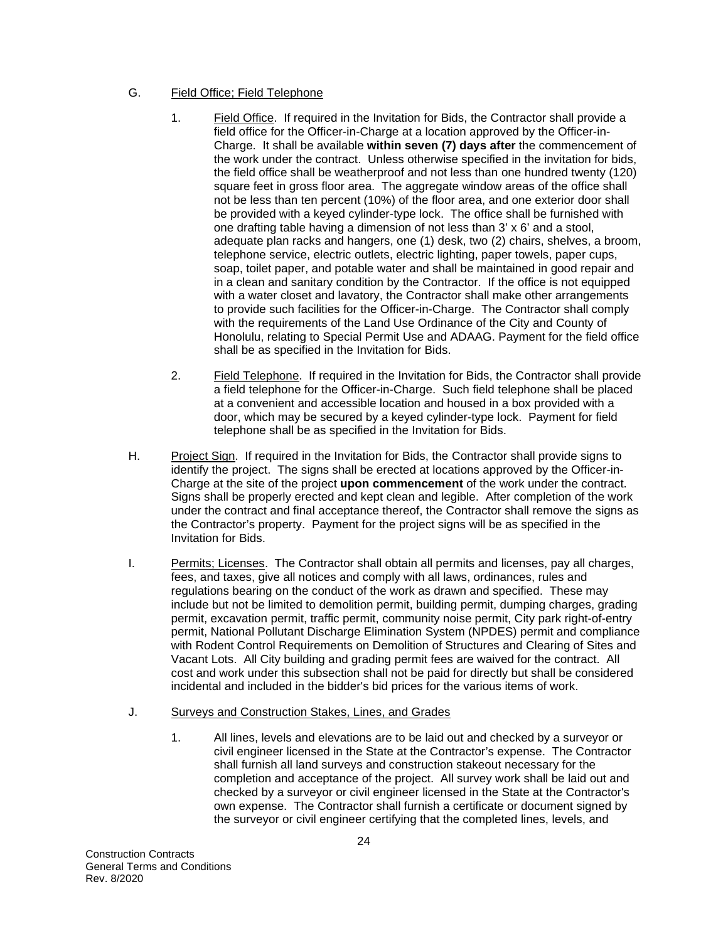# G. Field Office; Field Telephone

- 1. Field Office. If required in the Invitation for Bids, the Contractor shall provide a field office for the Officer-in-Charge at a location approved by the Officer-in-Charge. It shall be available **within seven (7) days after** the commencement of the work under the contract. Unless otherwise specified in the invitation for bids, the field office shall be weatherproof and not less than one hundred twenty (120) square feet in gross floor area. The aggregate window areas of the office shall not be less than ten percent (10%) of the floor area, and one exterior door shall be provided with a keyed cylinder-type lock. The office shall be furnished with one drafting table having a dimension of not less than 3' x 6' and a stool, adequate plan racks and hangers, one (1) desk, two (2) chairs, shelves, a broom, telephone service, electric outlets, electric lighting, paper towels, paper cups, soap, toilet paper, and potable water and shall be maintained in good repair and in a clean and sanitary condition by the Contractor. If the office is not equipped with a water closet and lavatory, the Contractor shall make other arrangements to provide such facilities for the Officer-in-Charge. The Contractor shall comply with the requirements of the Land Use Ordinance of the City and County of Honolulu, relating to Special Permit Use and ADAAG. Payment for the field office shall be as specified in the Invitation for Bids.
- 2. Field Telephone. If required in the Invitation for Bids, the Contractor shall provide a field telephone for the Officer-in-Charge. Such field telephone shall be placed at a convenient and accessible location and housed in a box provided with a door, which may be secured by a keyed cylinder-type lock. Payment for field telephone shall be as specified in the Invitation for Bids.
- H. Project Sign. If required in the Invitation for Bids, the Contractor shall provide signs to identify the project. The signs shall be erected at locations approved by the Officer-in-Charge at the site of the project **upon commencement** of the work under the contract. Signs shall be properly erected and kept clean and legible. After completion of the work under the contract and final acceptance thereof, the Contractor shall remove the signs as the Contractor's property. Payment for the project signs will be as specified in the Invitation for Bids.
- I. Permits; Licenses. The Contractor shall obtain all permits and licenses, pay all charges, fees, and taxes, give all notices and comply with all laws, ordinances, rules and regulations bearing on the conduct of the work as drawn and specified. These may include but not be limited to demolition permit, building permit, dumping charges, grading permit, excavation permit, traffic permit, community noise permit, City park right-of-entry permit, National Pollutant Discharge Elimination System (NPDES) permit and compliance with Rodent Control Requirements on Demolition of Structures and Clearing of Sites and Vacant Lots. All City building and grading permit fees are waived for the contract. All cost and work under this subsection shall not be paid for directly but shall be considered incidental and included in the bidder's bid prices for the various items of work.
- J. Surveys and Construction Stakes, Lines, and Grades
	- 1. All lines, levels and elevations are to be laid out and checked by a surveyor or civil engineer licensed in the State at the Contractor's expense. The Contractor shall furnish all land surveys and construction stakeout necessary for the completion and acceptance of the project. All survey work shall be laid out and checked by a surveyor or civil engineer licensed in the State at the Contractor's own expense. The Contractor shall furnish a certificate or document signed by the surveyor or civil engineer certifying that the completed lines, levels, and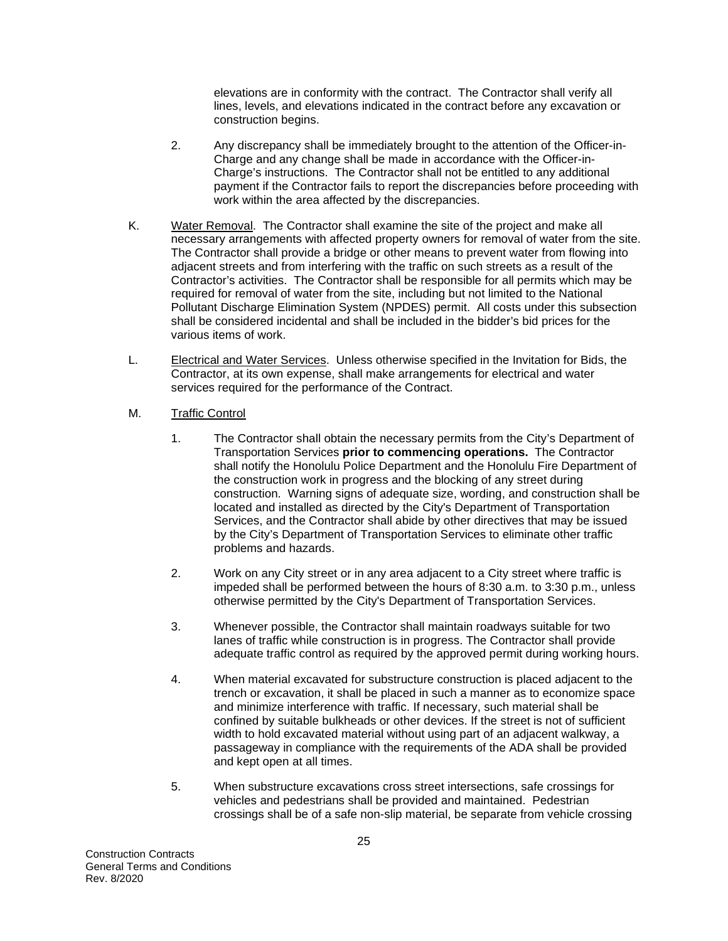elevations are in conformity with the contract. The Contractor shall verify all lines, levels, and elevations indicated in the contract before any excavation or construction begins.

- 2. Any discrepancy shall be immediately brought to the attention of the Officer-in-Charge and any change shall be made in accordance with the Officer-in-Charge's instructions. The Contractor shall not be entitled to any additional payment if the Contractor fails to report the discrepancies before proceeding with work within the area affected by the discrepancies.
- K. Water Removal. The Contractor shall examine the site of the project and make all necessary arrangements with affected property owners for removal of water from the site. The Contractor shall provide a bridge or other means to prevent water from flowing into adjacent streets and from interfering with the traffic on such streets as a result of the Contractor's activities. The Contractor shall be responsible for all permits which may be required for removal of water from the site, including but not limited to the National Pollutant Discharge Elimination System (NPDES) permit. All costs under this subsection shall be considered incidental and shall be included in the bidder's bid prices for the various items of work.
- L. Electrical and Water Services. Unless otherwise specified in the Invitation for Bids, the Contractor, at its own expense, shall make arrangements for electrical and water services required for the performance of the Contract.
- M. Traffic Control
	- 1. The Contractor shall obtain the necessary permits from the City's Department of Transportation Services **prior to commencing operations.** The Contractor shall notify the Honolulu Police Department and the Honolulu Fire Department of the construction work in progress and the blocking of any street during construction. Warning signs of adequate size, wording, and construction shall be located and installed as directed by the City's Department of Transportation Services, and the Contractor shall abide by other directives that may be issued by the City's Department of Transportation Services to eliminate other traffic problems and hazards.
	- 2. Work on any City street or in any area adjacent to a City street where traffic is impeded shall be performed between the hours of 8:30 a.m. to 3:30 p.m., unless otherwise permitted by the City's Department of Transportation Services.
	- 3. Whenever possible, the Contractor shall maintain roadways suitable for two lanes of traffic while construction is in progress. The Contractor shall provide adequate traffic control as required by the approved permit during working hours.
	- 4. When material excavated for substructure construction is placed adjacent to the trench or excavation, it shall be placed in such a manner as to economize space and minimize interference with traffic. If necessary, such material shall be confined by suitable bulkheads or other devices. If the street is not of sufficient width to hold excavated material without using part of an adjacent walkway, a passageway in compliance with the requirements of the ADA shall be provided and kept open at all times.
	- 5. When substructure excavations cross street intersections, safe crossings for vehicles and pedestrians shall be provided and maintained. Pedestrian crossings shall be of a safe non-slip material, be separate from vehicle crossing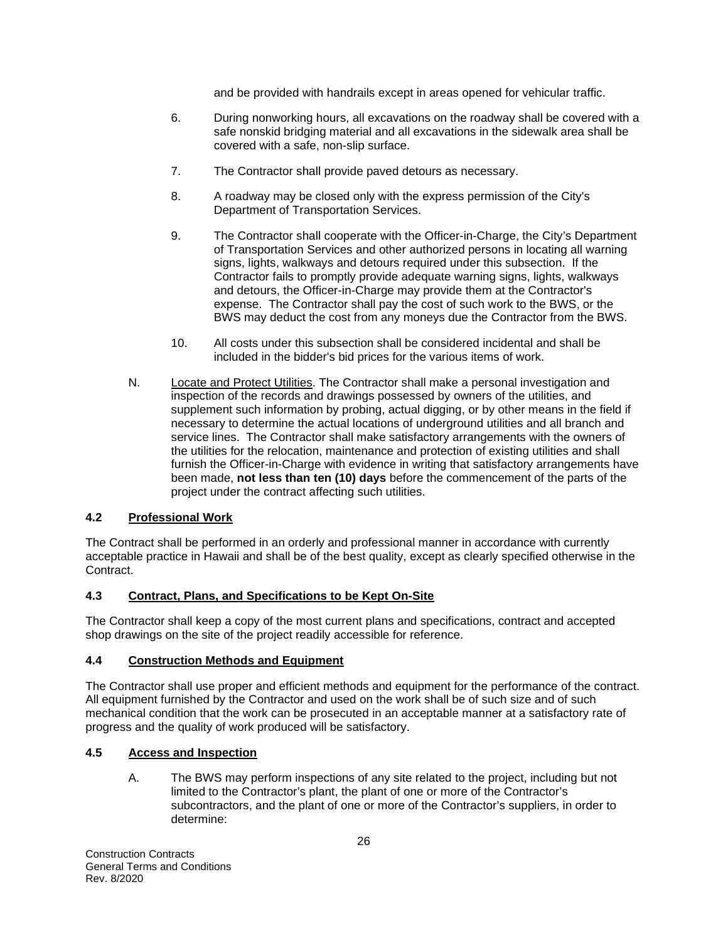and be provided with handrails except in areas opened for vehicular traffic.

- 6. During nonworking hours, all excavations on the roadway shall be covered with a safe nonskid bridging material and all excavations in the sidewalk area shall be covered with a safe, non-slip surface.
- 7. The Contractor shall provide paved detours as necessary.
- 8. A roadway may be closed only with the express permission of the City's Department of Transportation Services.
- 9. The Contractor shall cooperate with the Officer-in-Charge, the City's Department of Transportation Services and other authorized persons in locating all warning signs, lights, walkways and detours required under this subsection. If the Contractor fails to promptly provide adequate warning signs, lights, walkways and detours, the Officer-in-Charge may provide them at the Contractor's expense. The Contractor shall pay the cost of such work to the BWS, or the BWS may deduct the cost from any moneys due the Contractor from the BWS.
- 10. All costs under this subsection shall be considered incidental and shall be included in the bidder's bid prices for the various items of work.
- N. Locate and Protect Utilities. The Contractor shall make a personal investigation and inspection of the records and drawings possessed by owners of the utilities, and supplement such information by probing, actual digging, or by other means in the field if necessary to determine the actual locations of underground utilities and all branch and service lines. The Contractor shall make satisfactory arrangements with the owners of the utilities for the relocation, maintenance and protection of existing utilities and shall furnish the Officer-in-Charge with evidence in writing that satisfactory arrangements have been made, **not less than ten (10) days** before the commencement of the parts of the project under the contract affecting such utilities.

# **4.2 Professional Work**

The Contract shall be performed in an orderly and professional manner in accordance with currently acceptable practice in Hawaii and shall be of the best quality, except as clearly specified otherwise in the Contract.

#### **4.3 Contract, Plans, and Specifications to be Kept On-Site**

The Contractor shall keep a copy of the most current plans and specifications, contract and accepted shop drawings on the site of the project readily accessible for reference.

#### **4.4 Construction Methods and Equipment**

The Contractor shall use proper and efficient methods and equipment for the performance of the contract. All equipment furnished by the Contractor and used on the work shall be of such size and of such mechanical condition that the work can be prosecuted in an acceptable manner at a satisfactory rate of progress and the quality of work produced will be satisfactory.

#### **4.5 Access and Inspection**

A. The BWS may perform inspections of any site related to the project, including but not limited to the Contractor's plant, the plant of one or more of the Contractor's subcontractors, and the plant of one or more of the Contractor's suppliers, in order to determine: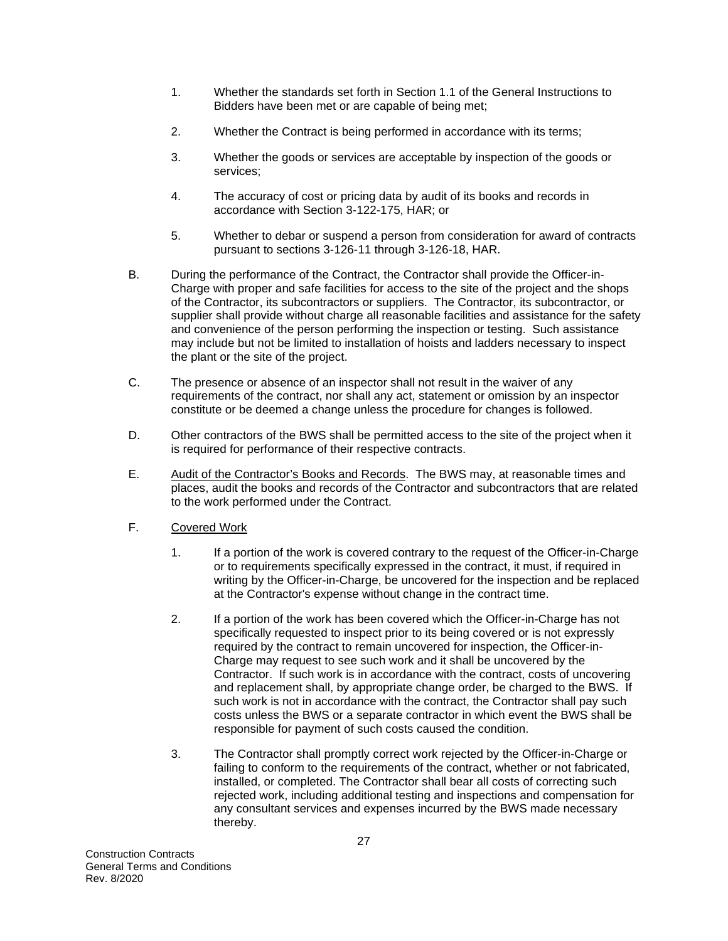- 1. Whether the standards set forth in Section 1.1 of the General Instructions to Bidders have been met or are capable of being met;
- 2. Whether the Contract is being performed in accordance with its terms;
- 3. Whether the goods or services are acceptable by inspection of the goods or services;
- 4. The accuracy of cost or pricing data by audit of its books and records in accordance with Section 3-122-175, HAR; or
- 5. Whether to debar or suspend a person from consideration for award of contracts pursuant to sections 3-126-11 through 3-126-18, HAR.
- B. During the performance of the Contract, the Contractor shall provide the Officer-in-Charge with proper and safe facilities for access to the site of the project and the shops of the Contractor, its subcontractors or suppliers. The Contractor, its subcontractor, or supplier shall provide without charge all reasonable facilities and assistance for the safety and convenience of the person performing the inspection or testing. Such assistance may include but not be limited to installation of hoists and ladders necessary to inspect the plant or the site of the project.
- C. The presence or absence of an inspector shall not result in the waiver of any requirements of the contract, nor shall any act, statement or omission by an inspector constitute or be deemed a change unless the procedure for changes is followed.
- D. Other contractors of the BWS shall be permitted access to the site of the project when it is required for performance of their respective contracts.
- E. Audit of the Contractor's Books and Records. The BWS may, at reasonable times and places, audit the books and records of the Contractor and subcontractors that are related to the work performed under the Contract.
- F. Covered Work
	- 1. If a portion of the work is covered contrary to the request of the Officer-in-Charge or to requirements specifically expressed in the contract, it must, if required in writing by the Officer-in-Charge, be uncovered for the inspection and be replaced at the Contractor's expense without change in the contract time.
	- 2. If a portion of the work has been covered which the Officer-in-Charge has not specifically requested to inspect prior to its being covered or is not expressly required by the contract to remain uncovered for inspection, the Officer-in-Charge may request to see such work and it shall be uncovered by the Contractor. If such work is in accordance with the contract, costs of uncovering and replacement shall, by appropriate change order, be charged to the BWS. If such work is not in accordance with the contract, the Contractor shall pay such costs unless the BWS or a separate contractor in which event the BWS shall be responsible for payment of such costs caused the condition.
	- 3. The Contractor shall promptly correct work rejected by the Officer-in-Charge or failing to conform to the requirements of the contract, whether or not fabricated, installed, or completed. The Contractor shall bear all costs of correcting such rejected work, including additional testing and inspections and compensation for any consultant services and expenses incurred by the BWS made necessary thereby.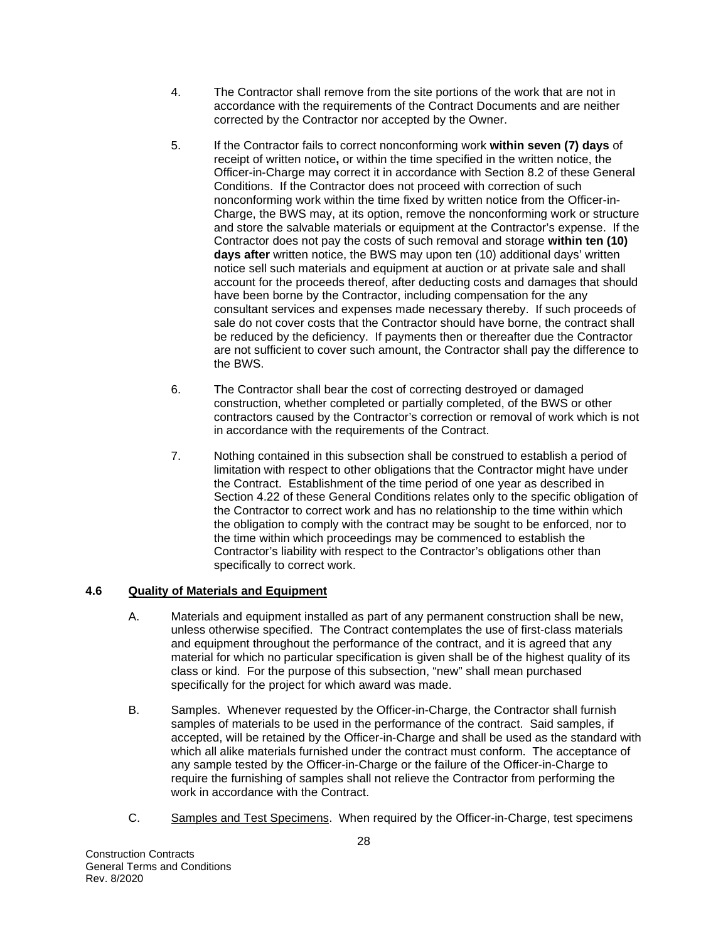- 4. The Contractor shall remove from the site portions of the work that are not in accordance with the requirements of the Contract Documents and are neither corrected by the Contractor nor accepted by the Owner.
- 5. If the Contractor fails to correct nonconforming work **within seven (7) days** of receipt of written notice**,** or within the time specified in the written notice, the Officer-in-Charge may correct it in accordance with Section 8.2 of these General Conditions. If the Contractor does not proceed with correction of such nonconforming work within the time fixed by written notice from the Officer-in-Charge, the BWS may, at its option, remove the nonconforming work or structure and store the salvable materials or equipment at the Contractor's expense. If the Contractor does not pay the costs of such removal and storage **within ten (10) days after** written notice, the BWS may upon ten (10) additional days' written notice sell such materials and equipment at auction or at private sale and shall account for the proceeds thereof, after deducting costs and damages that should have been borne by the Contractor, including compensation for the any consultant services and expenses made necessary thereby. If such proceeds of sale do not cover costs that the Contractor should have borne, the contract shall be reduced by the deficiency. If payments then or thereafter due the Contractor are not sufficient to cover such amount, the Contractor shall pay the difference to the BWS.
- 6. The Contractor shall bear the cost of correcting destroyed or damaged construction, whether completed or partially completed, of the BWS or other contractors caused by the Contractor's correction or removal of work which is not in accordance with the requirements of the Contract.
- 7. Nothing contained in this subsection shall be construed to establish a period of limitation with respect to other obligations that the Contractor might have under the Contract. Establishment of the time period of one year as described in Section 4.22 of these General Conditions relates only to the specific obligation of the Contractor to correct work and has no relationship to the time within which the obligation to comply with the contract may be sought to be enforced, nor to the time within which proceedings may be commenced to establish the Contractor's liability with respect to the Contractor's obligations other than specifically to correct work.

# **4.6 Quality of Materials and Equipment**

- A. Materials and equipment installed as part of any permanent construction shall be new, unless otherwise specified. The Contract contemplates the use of first-class materials and equipment throughout the performance of the contract, and it is agreed that any material for which no particular specification is given shall be of the highest quality of its class or kind. For the purpose of this subsection, "new" shall mean purchased specifically for the project for which award was made.
- B. Samples. Whenever requested by the Officer-in-Charge, the Contractor shall furnish samples of materials to be used in the performance of the contract. Said samples, if accepted, will be retained by the Officer-in-Charge and shall be used as the standard with which all alike materials furnished under the contract must conform. The acceptance of any sample tested by the Officer-in-Charge or the failure of the Officer-in-Charge to require the furnishing of samples shall not relieve the Contractor from performing the work in accordance with the Contract.
- C. Samples and Test Specimens. When required by the Officer-in-Charge, test specimens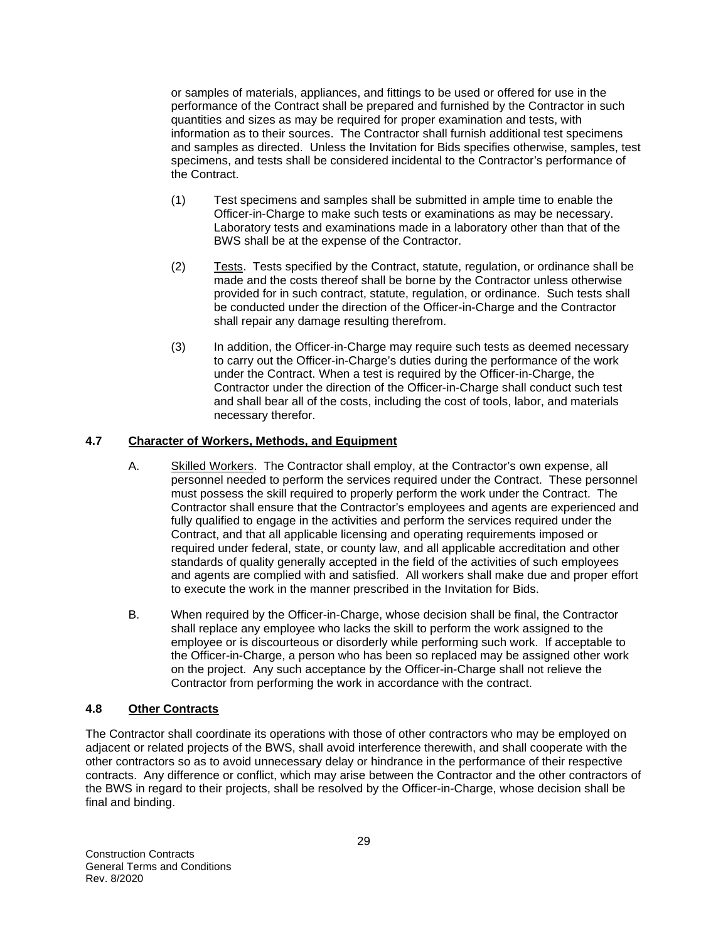or samples of materials, appliances, and fittings to be used or offered for use in the performance of the Contract shall be prepared and furnished by the Contractor in such quantities and sizes as may be required for proper examination and tests, with information as to their sources. The Contractor shall furnish additional test specimens and samples as directed. Unless the Invitation for Bids specifies otherwise, samples, test specimens, and tests shall be considered incidental to the Contractor's performance of the Contract.

- (1) Test specimens and samples shall be submitted in ample time to enable the Officer-in-Charge to make such tests or examinations as may be necessary. Laboratory tests and examinations made in a laboratory other than that of the BWS shall be at the expense of the Contractor.
- (2) Tests. Tests specified by the Contract, statute, regulation, or ordinance shall be made and the costs thereof shall be borne by the Contractor unless otherwise provided for in such contract, statute, regulation, or ordinance. Such tests shall be conducted under the direction of the Officer-in-Charge and the Contractor shall repair any damage resulting therefrom.
- (3) In addition, the Officer-in-Charge may require such tests as deemed necessary to carry out the Officer-in-Charge's duties during the performance of the work under the Contract. When a test is required by the Officer-in-Charge, the Contractor under the direction of the Officer-in-Charge shall conduct such test and shall bear all of the costs, including the cost of tools, labor, and materials necessary therefor.

#### **4.7 Character of Workers, Methods, and Equipment**

- A. Skilled Workers. The Contractor shall employ, at the Contractor's own expense, all personnel needed to perform the services required under the Contract. These personnel must possess the skill required to properly perform the work under the Contract. The Contractor shall ensure that the Contractor's employees and agents are experienced and fully qualified to engage in the activities and perform the services required under the Contract, and that all applicable licensing and operating requirements imposed or required under federal, state, or county law, and all applicable accreditation and other standards of quality generally accepted in the field of the activities of such employees and agents are complied with and satisfied. All workers shall make due and proper effort to execute the work in the manner prescribed in the Invitation for Bids.
- B. When required by the Officer-in-Charge, whose decision shall be final, the Contractor shall replace any employee who lacks the skill to perform the work assigned to the employee or is discourteous or disorderly while performing such work. If acceptable to the Officer-in-Charge, a person who has been so replaced may be assigned other work on the project. Any such acceptance by the Officer-in-Charge shall not relieve the Contractor from performing the work in accordance with the contract.

#### **4.8 Other Contracts**

The Contractor shall coordinate its operations with those of other contractors who may be employed on adjacent or related projects of the BWS, shall avoid interference therewith, and shall cooperate with the other contractors so as to avoid unnecessary delay or hindrance in the performance of their respective contracts. Any difference or conflict, which may arise between the Contractor and the other contractors of the BWS in regard to their projects, shall be resolved by the Officer-in-Charge, whose decision shall be final and binding.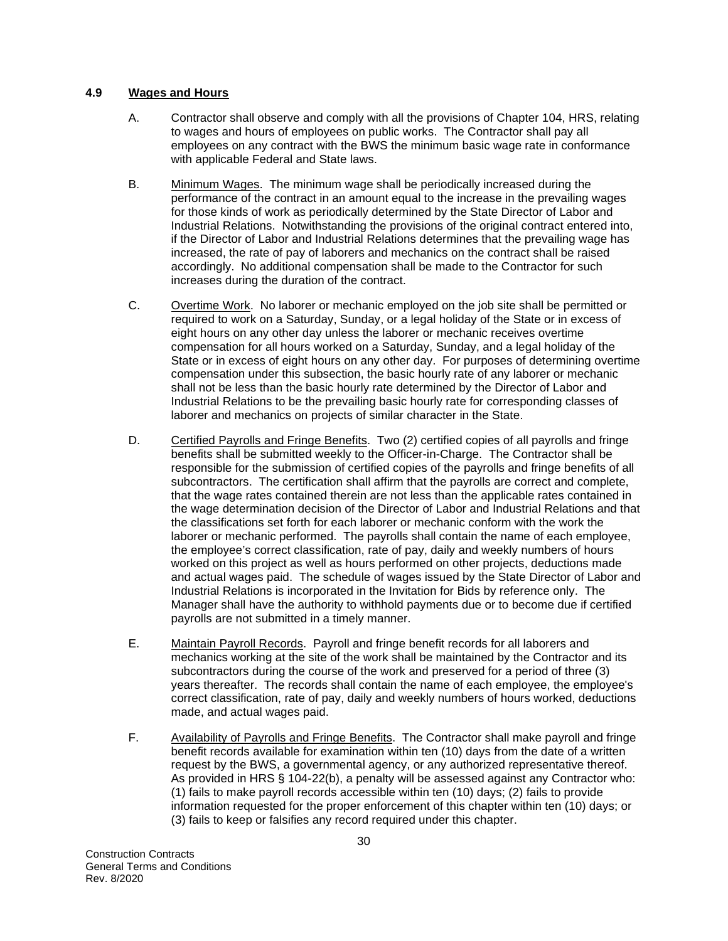#### **4.9 Wages and Hours**

- A. Contractor shall observe and comply with all the provisions of Chapter 104, HRS, relating to wages and hours of employees on public works. The Contractor shall pay all employees on any contract with the BWS the minimum basic wage rate in conformance with applicable Federal and State laws.
- B. Minimum Wages. The minimum wage shall be periodically increased during the performance of the contract in an amount equal to the increase in the prevailing wages for those kinds of work as periodically determined by the State Director of Labor and Industrial Relations. Notwithstanding the provisions of the original contract entered into, if the Director of Labor and Industrial Relations determines that the prevailing wage has increased, the rate of pay of laborers and mechanics on the contract shall be raised accordingly. No additional compensation shall be made to the Contractor for such increases during the duration of the contract.
- C. Overtime Work. No laborer or mechanic employed on the job site shall be permitted or required to work on a Saturday, Sunday, or a legal holiday of the State or in excess of eight hours on any other day unless the laborer or mechanic receives overtime compensation for all hours worked on a Saturday, Sunday, and a legal holiday of the State or in excess of eight hours on any other day. For purposes of determining overtime compensation under this subsection, the basic hourly rate of any laborer or mechanic shall not be less than the basic hourly rate determined by the Director of Labor and Industrial Relations to be the prevailing basic hourly rate for corresponding classes of laborer and mechanics on projects of similar character in the State.
- D. Certified Payrolls and Fringe Benefits. Two (2) certified copies of all payrolls and fringe benefits shall be submitted weekly to the Officer-in-Charge. The Contractor shall be responsible for the submission of certified copies of the payrolls and fringe benefits of all subcontractors. The certification shall affirm that the payrolls are correct and complete, that the wage rates contained therein are not less than the applicable rates contained in the wage determination decision of the Director of Labor and Industrial Relations and that the classifications set forth for each laborer or mechanic conform with the work the laborer or mechanic performed. The payrolls shall contain the name of each employee, the employee's correct classification, rate of pay, daily and weekly numbers of hours worked on this project as well as hours performed on other projects, deductions made and actual wages paid. The schedule of wages issued by the State Director of Labor and Industrial Relations is incorporated in the Invitation for Bids by reference only. The Manager shall have the authority to withhold payments due or to become due if certified payrolls are not submitted in a timely manner.
- E. Maintain Payroll Records. Payroll and fringe benefit records for all laborers and mechanics working at the site of the work shall be maintained by the Contractor and its subcontractors during the course of the work and preserved for a period of three (3) years thereafter. The records shall contain the name of each employee, the employee's correct classification, rate of pay, daily and weekly numbers of hours worked, deductions made, and actual wages paid.
- F. Availability of Payrolls and Fringe Benefits. The Contractor shall make payroll and fringe benefit records available for examination within ten (10) days from the date of a written request by the BWS, a governmental agency, or any authorized representative thereof. As provided in HRS § 104-22(b), a penalty will be assessed against any Contractor who: (1) fails to make payroll records accessible within ten (10) days; (2) fails to provide information requested for the proper enforcement of this chapter within ten (10) days; or (3) fails to keep or falsifies any record required under this chapter.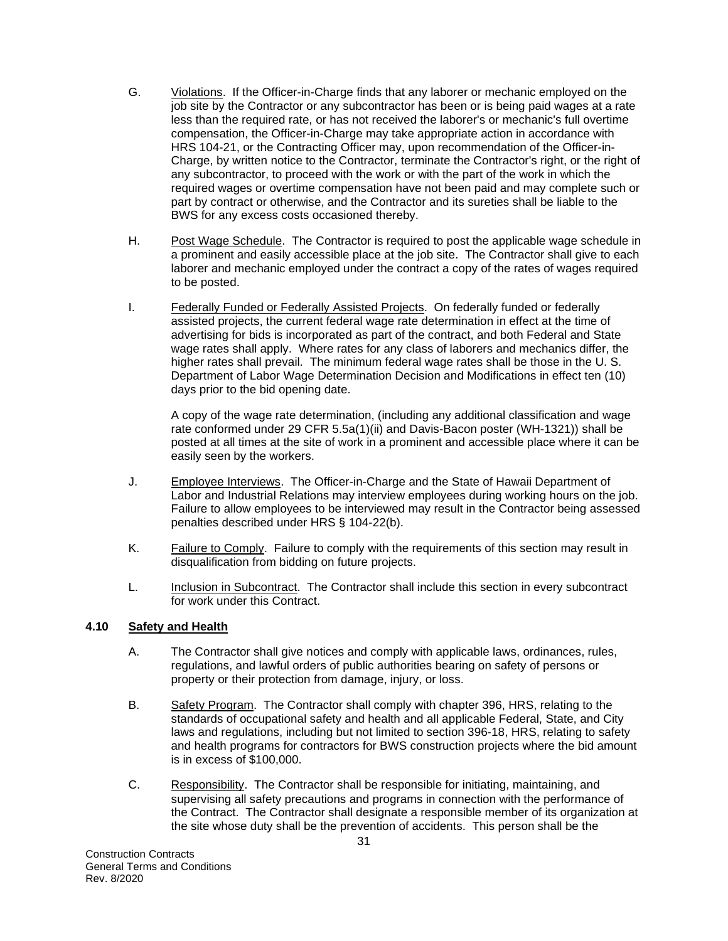- G. Violations. If the Officer-in-Charge finds that any laborer or mechanic employed on the job site by the Contractor or any subcontractor has been or is being paid wages at a rate less than the required rate, or has not received the laborer's or mechanic's full overtime compensation, the Officer-in-Charge may take appropriate action in accordance with HRS 104-21, or the Contracting Officer may, upon recommendation of the Officer-in-Charge, by written notice to the Contractor, terminate the Contractor's right, or the right of any subcontractor, to proceed with the work or with the part of the work in which the required wages or overtime compensation have not been paid and may complete such or part by contract or otherwise, and the Contractor and its sureties shall be liable to the BWS for any excess costs occasioned thereby.
- H. Post Wage Schedule. The Contractor is required to post the applicable wage schedule in a prominent and easily accessible place at the job site. The Contractor shall give to each laborer and mechanic employed under the contract a copy of the rates of wages required to be posted.
- I. Federally Funded or Federally Assisted Projects. On federally funded or federally assisted projects, the current federal wage rate determination in effect at the time of advertising for bids is incorporated as part of the contract, and both Federal and State wage rates shall apply. Where rates for any class of laborers and mechanics differ, the higher rates shall prevail. The minimum federal wage rates shall be those in the U. S. Department of Labor Wage Determination Decision and Modifications in effect ten (10) days prior to the bid opening date.

A copy of the wage rate determination, (including any additional classification and wage rate conformed under 29 CFR 5.5a(1)(ii) and Davis-Bacon poster (WH-1321)) shall be posted at all times at the site of work in a prominent and accessible place where it can be easily seen by the workers.

- J. Employee Interviews. The Officer-in-Charge and the State of Hawaii Department of Labor and Industrial Relations may interview employees during working hours on the job. Failure to allow employees to be interviewed may result in the Contractor being assessed penalties described under HRS § 104-22(b).
- K. Failure to Comply. Failure to comply with the requirements of this section may result in disqualification from bidding on future projects.
- L. Inclusion in Subcontract. The Contractor shall include this section in every subcontract for work under this Contract.

# **4.10 Safety and Health**

- A. The Contractor shall give notices and comply with applicable laws, ordinances, rules, regulations, and lawful orders of public authorities bearing on safety of persons or property or their protection from damage, injury, or loss.
- B. Safety Program. The Contractor shall comply with chapter 396, HRS, relating to the standards of occupational safety and health and all applicable Federal, State, and City laws and regulations, including but not limited to section 396-18, HRS, relating to safety and health programs for contractors for BWS construction projects where the bid amount is in excess of \$100,000.
- C. Responsibility. The Contractor shall be responsible for initiating, maintaining, and supervising all safety precautions and programs in connection with the performance of the Contract. The Contractor shall designate a responsible member of its organization at the site whose duty shall be the prevention of accidents. This person shall be the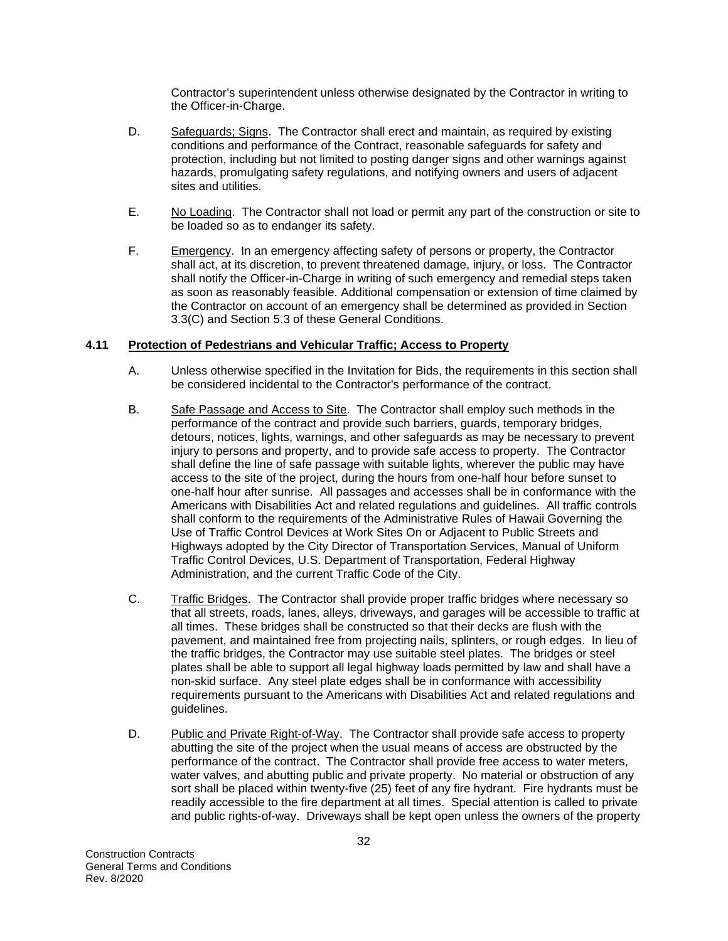Contractor's superintendent unless otherwise designated by the Contractor in writing to the Officer-in-Charge.

- D. Safeguards; Signs. The Contractor shall erect and maintain, as required by existing conditions and performance of the Contract, reasonable safeguards for safety and protection, including but not limited to posting danger signs and other warnings against hazards, promulgating safety regulations, and notifying owners and users of adjacent sites and utilities.
- E. No Loading. The Contractor shall not load or permit any part of the construction or site to be loaded so as to endanger its safety.
- F. Emergency. In an emergency affecting safety of persons or property, the Contractor shall act, at its discretion, to prevent threatened damage, injury, or loss. The Contractor shall notify the Officer-in-Charge in writing of such emergency and remedial steps taken as soon as reasonably feasible. Additional compensation or extension of time claimed by the Contractor on account of an emergency shall be determined as provided in Section 3.3(C) and Section 5.3 of these General Conditions.

#### **4.11 Protection of Pedestrians and Vehicular Traffic; Access to Property**

- A. Unless otherwise specified in the Invitation for Bids, the requirements in this section shall be considered incidental to the Contractor's performance of the contract.
- B. Safe Passage and Access to Site. The Contractor shall employ such methods in the performance of the contract and provide such barriers, guards, temporary bridges, detours, notices, lights, warnings, and other safeguards as may be necessary to prevent injury to persons and property, and to provide safe access to property. The Contractor shall define the line of safe passage with suitable lights, wherever the public may have access to the site of the project, during the hours from one-half hour before sunset to one-half hour after sunrise. All passages and accesses shall be in conformance with the Americans with Disabilities Act and related regulations and guidelines. All traffic controls shall conform to the requirements of the Administrative Rules of Hawaii Governing the Use of Traffic Control Devices at Work Sites On or Adjacent to Public Streets and Highways adopted by the City Director of Transportation Services, Manual of Uniform Traffic Control Devices, U.S. Department of Transportation, Federal Highway Administration, and the current Traffic Code of the City.
- C. Traffic Bridges. The Contractor shall provide proper traffic bridges where necessary so that all streets, roads, lanes, alleys, driveways, and garages will be accessible to traffic at all times. These bridges shall be constructed so that their decks are flush with the pavement, and maintained free from projecting nails, splinters, or rough edges. In lieu of the traffic bridges, the Contractor may use suitable steel plates. The bridges or steel plates shall be able to support all legal highway loads permitted by law and shall have a non-skid surface. Any steel plate edges shall be in conformance with accessibility requirements pursuant to the Americans with Disabilities Act and related regulations and guidelines.
- D. Public and Private Right-of-Way. The Contractor shall provide safe access to property abutting the site of the project when the usual means of access are obstructed by the performance of the contract. The Contractor shall provide free access to water meters, water valves, and abutting public and private property. No material or obstruction of any sort shall be placed within twenty-five (25) feet of any fire hydrant. Fire hydrants must be readily accessible to the fire department at all times. Special attention is called to private and public rights-of-way. Driveways shall be kept open unless the owners of the property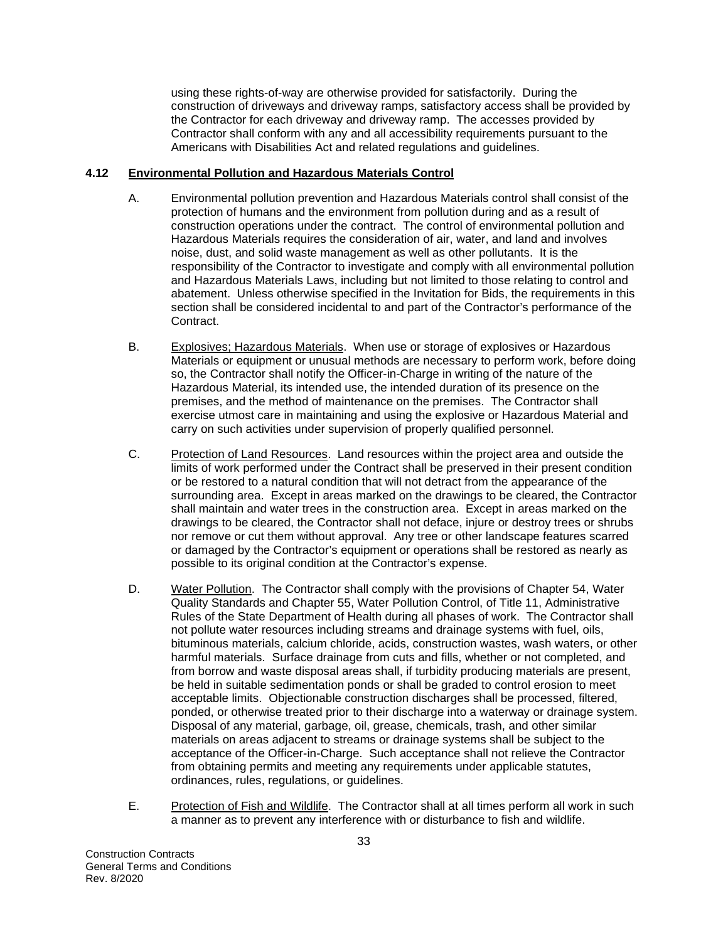using these rights-of-way are otherwise provided for satisfactorily. During the construction of driveways and driveway ramps, satisfactory access shall be provided by the Contractor for each driveway and driveway ramp. The accesses provided by Contractor shall conform with any and all accessibility requirements pursuant to the Americans with Disabilities Act and related regulations and guidelines.

#### **4.12 Environmental Pollution and Hazardous Materials Control**

- A. Environmental pollution prevention and Hazardous Materials control shall consist of the protection of humans and the environment from pollution during and as a result of construction operations under the contract. The control of environmental pollution and Hazardous Materials requires the consideration of air, water, and land and involves noise, dust, and solid waste management as well as other pollutants. It is the responsibility of the Contractor to investigate and comply with all environmental pollution and Hazardous Materials Laws, including but not limited to those relating to control and abatement. Unless otherwise specified in the Invitation for Bids, the requirements in this section shall be considered incidental to and part of the Contractor's performance of the Contract.
- B. Explosives; Hazardous Materials. When use or storage of explosives or Hazardous Materials or equipment or unusual methods are necessary to perform work, before doing so, the Contractor shall notify the Officer-in-Charge in writing of the nature of the Hazardous Material, its intended use, the intended duration of its presence on the premises, and the method of maintenance on the premises. The Contractor shall exercise utmost care in maintaining and using the explosive or Hazardous Material and carry on such activities under supervision of properly qualified personnel.
- C. Protection of Land Resources. Land resources within the project area and outside the limits of work performed under the Contract shall be preserved in their present condition or be restored to a natural condition that will not detract from the appearance of the surrounding area. Except in areas marked on the drawings to be cleared, the Contractor shall maintain and water trees in the construction area. Except in areas marked on the drawings to be cleared, the Contractor shall not deface, injure or destroy trees or shrubs nor remove or cut them without approval. Any tree or other landscape features scarred or damaged by the Contractor's equipment or operations shall be restored as nearly as possible to its original condition at the Contractor's expense.
- D. Water Pollution. The Contractor shall comply with the provisions of Chapter 54, Water Quality Standards and Chapter 55, Water Pollution Control, of Title 11, Administrative Rules of the State Department of Health during all phases of work. The Contractor shall not pollute water resources including streams and drainage systems with fuel, oils, bituminous materials, calcium chloride, acids, construction wastes, wash waters, or other harmful materials. Surface drainage from cuts and fills, whether or not completed, and from borrow and waste disposal areas shall, if turbidity producing materials are present, be held in suitable sedimentation ponds or shall be graded to control erosion to meet acceptable limits. Objectionable construction discharges shall be processed, filtered, ponded, or otherwise treated prior to their discharge into a waterway or drainage system. Disposal of any material, garbage, oil, grease, chemicals, trash, and other similar materials on areas adjacent to streams or drainage systems shall be subject to the acceptance of the Officer-in-Charge. Such acceptance shall not relieve the Contractor from obtaining permits and meeting any requirements under applicable statutes, ordinances, rules, regulations, or guidelines.
- E. Protection of Fish and Wildlife. The Contractor shall at all times perform all work in such a manner as to prevent any interference with or disturbance to fish and wildlife.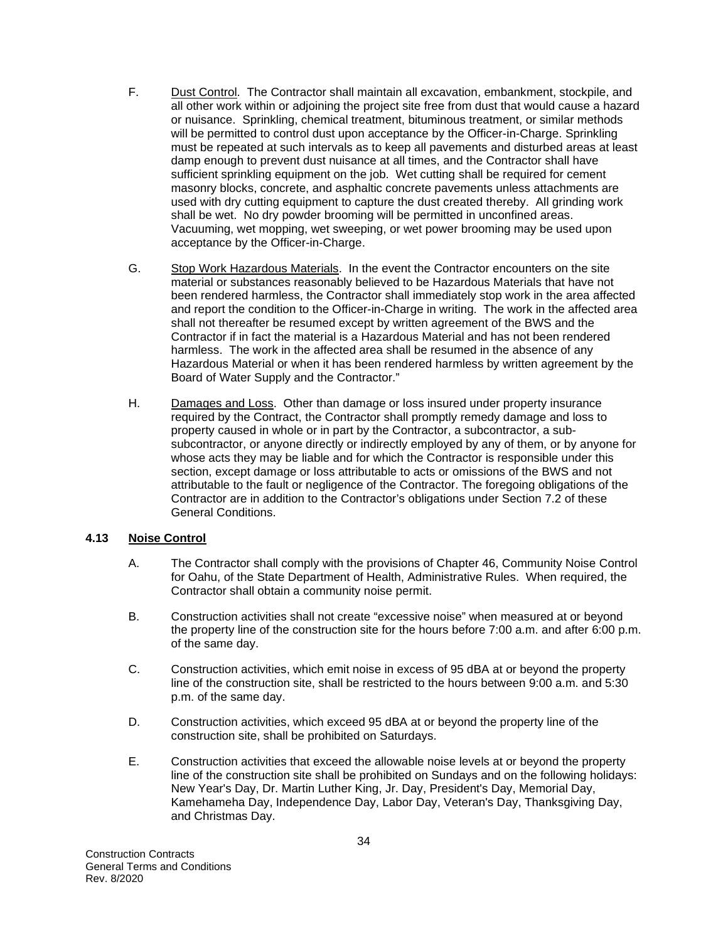- F. Dust Control. The Contractor shall maintain all excavation, embankment, stockpile, and all other work within or adjoining the project site free from dust that would cause a hazard or nuisance. Sprinkling, chemical treatment, bituminous treatment, or similar methods will be permitted to control dust upon acceptance by the Officer-in-Charge. Sprinkling must be repeated at such intervals as to keep all pavements and disturbed areas at least damp enough to prevent dust nuisance at all times, and the Contractor shall have sufficient sprinkling equipment on the job. Wet cutting shall be required for cement masonry blocks, concrete, and asphaltic concrete pavements unless attachments are used with dry cutting equipment to capture the dust created thereby. All grinding work shall be wet. No dry powder brooming will be permitted in unconfined areas. Vacuuming, wet mopping, wet sweeping, or wet power brooming may be used upon acceptance by the Officer-in-Charge.
- G. Stop Work Hazardous Materials. In the event the Contractor encounters on the site material or substances reasonably believed to be Hazardous Materials that have not been rendered harmless, the Contractor shall immediately stop work in the area affected and report the condition to the Officer-in-Charge in writing. The work in the affected area shall not thereafter be resumed except by written agreement of the BWS and the Contractor if in fact the material is a Hazardous Material and has not been rendered harmless. The work in the affected area shall be resumed in the absence of any Hazardous Material or when it has been rendered harmless by written agreement by the Board of Water Supply and the Contractor."
- H. Damages and Loss. Other than damage or loss insured under property insurance required by the Contract, the Contractor shall promptly remedy damage and loss to property caused in whole or in part by the Contractor, a subcontractor, a subsubcontractor, or anyone directly or indirectly employed by any of them, or by anyone for whose acts they may be liable and for which the Contractor is responsible under this section, except damage or loss attributable to acts or omissions of the BWS and not attributable to the fault or negligence of the Contractor. The foregoing obligations of the Contractor are in addition to the Contractor's obligations under Section 7.2 of these General Conditions.

#### **4.13 Noise Control**

- A. The Contractor shall comply with the provisions of Chapter 46, Community Noise Control for Oahu, of the State Department of Health, Administrative Rules. When required, the Contractor shall obtain a community noise permit.
- B. Construction activities shall not create "excessive noise" when measured at or beyond the property line of the construction site for the hours before 7:00 a.m. and after 6:00 p.m. of the same day.
- C. Construction activities, which emit noise in excess of 95 dBA at or beyond the property line of the construction site, shall be restricted to the hours between 9:00 a.m. and 5:30 p.m. of the same day.
- D. Construction activities, which exceed 95 dBA at or beyond the property line of the construction site, shall be prohibited on Saturdays.
- E. Construction activities that exceed the allowable noise levels at or beyond the property line of the construction site shall be prohibited on Sundays and on the following holidays: New Year's Day, Dr. Martin Luther King, Jr. Day, President's Day, Memorial Day, Kamehameha Day, Independence Day, Labor Day, Veteran's Day, Thanksgiving Day, and Christmas Day.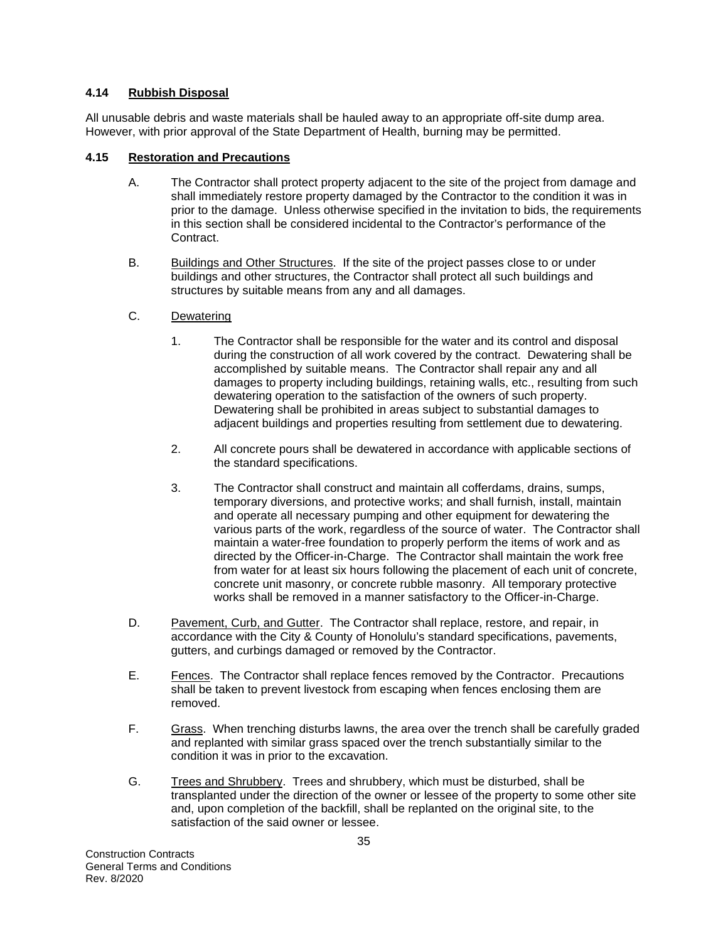#### **4.14 Rubbish Disposal**

All unusable debris and waste materials shall be hauled away to an appropriate off-site dump area. However, with prior approval of the State Department of Health, burning may be permitted.

#### **4.15 Restoration and Precautions**

- A. The Contractor shall protect property adjacent to the site of the project from damage and shall immediately restore property damaged by the Contractor to the condition it was in prior to the damage. Unless otherwise specified in the invitation to bids, the requirements in this section shall be considered incidental to the Contractor's performance of the Contract.
- B. Buildings and Other Structures. If the site of the project passes close to or under buildings and other structures, the Contractor shall protect all such buildings and structures by suitable means from any and all damages.
- C. Dewatering
	- 1. The Contractor shall be responsible for the water and its control and disposal during the construction of all work covered by the contract. Dewatering shall be accomplished by suitable means. The Contractor shall repair any and all damages to property including buildings, retaining walls, etc., resulting from such dewatering operation to the satisfaction of the owners of such property. Dewatering shall be prohibited in areas subject to substantial damages to adjacent buildings and properties resulting from settlement due to dewatering.
	- 2. All concrete pours shall be dewatered in accordance with applicable sections of the standard specifications.
	- 3. The Contractor shall construct and maintain all cofferdams, drains, sumps, temporary diversions, and protective works; and shall furnish, install, maintain and operate all necessary pumping and other equipment for dewatering the various parts of the work, regardless of the source of water. The Contractor shall maintain a water-free foundation to properly perform the items of work and as directed by the Officer-in-Charge. The Contractor shall maintain the work free from water for at least six hours following the placement of each unit of concrete, concrete unit masonry, or concrete rubble masonry. All temporary protective works shall be removed in a manner satisfactory to the Officer-in-Charge.
- D. Pavement, Curb, and Gutter. The Contractor shall replace, restore, and repair, in accordance with the City & County of Honolulu's standard specifications, pavements, gutters, and curbings damaged or removed by the Contractor.
- E. Fences. The Contractor shall replace fences removed by the Contractor. Precautions shall be taken to prevent livestock from escaping when fences enclosing them are removed.
- F. Grass. When trenching disturbs lawns, the area over the trench shall be carefully graded and replanted with similar grass spaced over the trench substantially similar to the condition it was in prior to the excavation.
- G. Trees and Shrubbery. Trees and shrubbery, which must be disturbed, shall be transplanted under the direction of the owner or lessee of the property to some other site and, upon completion of the backfill, shall be replanted on the original site, to the satisfaction of the said owner or lessee.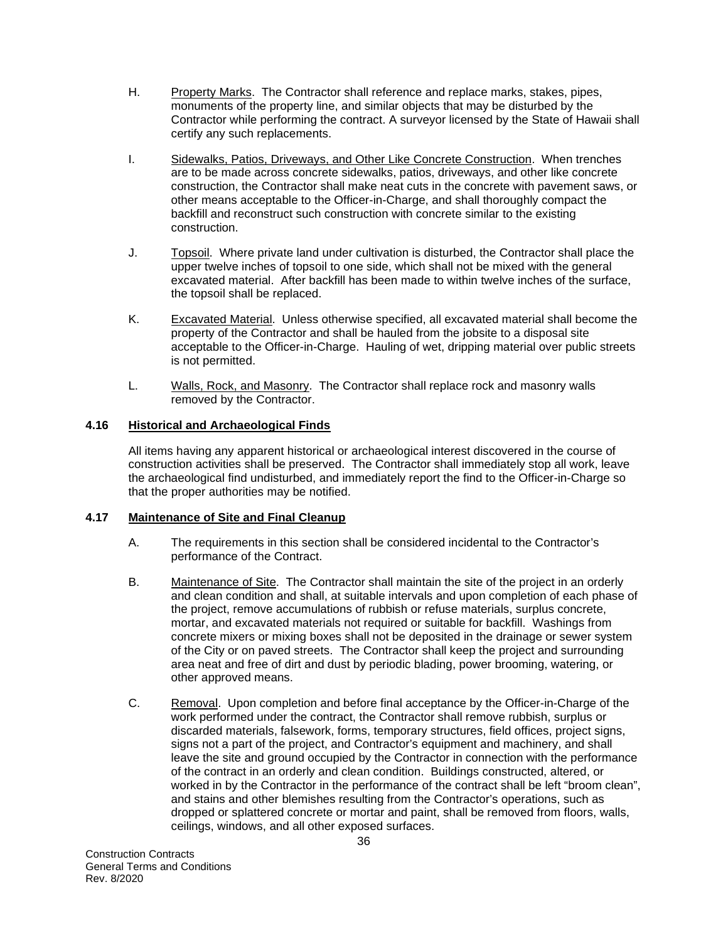- H. Property Marks. The Contractor shall reference and replace marks, stakes, pipes, monuments of the property line, and similar objects that may be disturbed by the Contractor while performing the contract. A surveyor licensed by the State of Hawaii shall certify any such replacements.
- I. Sidewalks, Patios, Driveways, and Other Like Concrete Construction. When trenches are to be made across concrete sidewalks, patios, driveways, and other like concrete construction, the Contractor shall make neat cuts in the concrete with pavement saws, or other means acceptable to the Officer-in-Charge, and shall thoroughly compact the backfill and reconstruct such construction with concrete similar to the existing construction.
- J. Topsoil. Where private land under cultivation is disturbed, the Contractor shall place the upper twelve inches of topsoil to one side, which shall not be mixed with the general excavated material. After backfill has been made to within twelve inches of the surface, the topsoil shall be replaced.
- K. Excavated Material. Unless otherwise specified, all excavated material shall become the property of the Contractor and shall be hauled from the jobsite to a disposal site acceptable to the Officer-in-Charge. Hauling of wet, dripping material over public streets is not permitted.
- L. Walls, Rock, and Masonry. The Contractor shall replace rock and masonry walls removed by the Contractor.

# **4.16 Historical and Archaeological Finds**

All items having any apparent historical or archaeological interest discovered in the course of construction activities shall be preserved. The Contractor shall immediately stop all work, leave the archaeological find undisturbed, and immediately report the find to the Officer-in-Charge so that the proper authorities may be notified.

#### **4.17 Maintenance of Site and Final Cleanup**

- A. The requirements in this section shall be considered incidental to the Contractor's performance of the Contract.
- B. Maintenance of Site. The Contractor shall maintain the site of the project in an orderly and clean condition and shall, at suitable intervals and upon completion of each phase of the project, remove accumulations of rubbish or refuse materials, surplus concrete, mortar, and excavated materials not required or suitable for backfill. Washings from concrete mixers or mixing boxes shall not be deposited in the drainage or sewer system of the City or on paved streets. The Contractor shall keep the project and surrounding area neat and free of dirt and dust by periodic blading, power brooming, watering, or other approved means.
- C. Removal. Upon completion and before final acceptance by the Officer-in-Charge of the work performed under the contract, the Contractor shall remove rubbish, surplus or discarded materials, falsework, forms, temporary structures, field offices, project signs, signs not a part of the project, and Contractor's equipment and machinery, and shall leave the site and ground occupied by the Contractor in connection with the performance of the contract in an orderly and clean condition. Buildings constructed, altered, or worked in by the Contractor in the performance of the contract shall be left "broom clean", and stains and other blemishes resulting from the Contractor's operations, such as dropped or splattered concrete or mortar and paint, shall be removed from floors, walls, ceilings, windows, and all other exposed surfaces.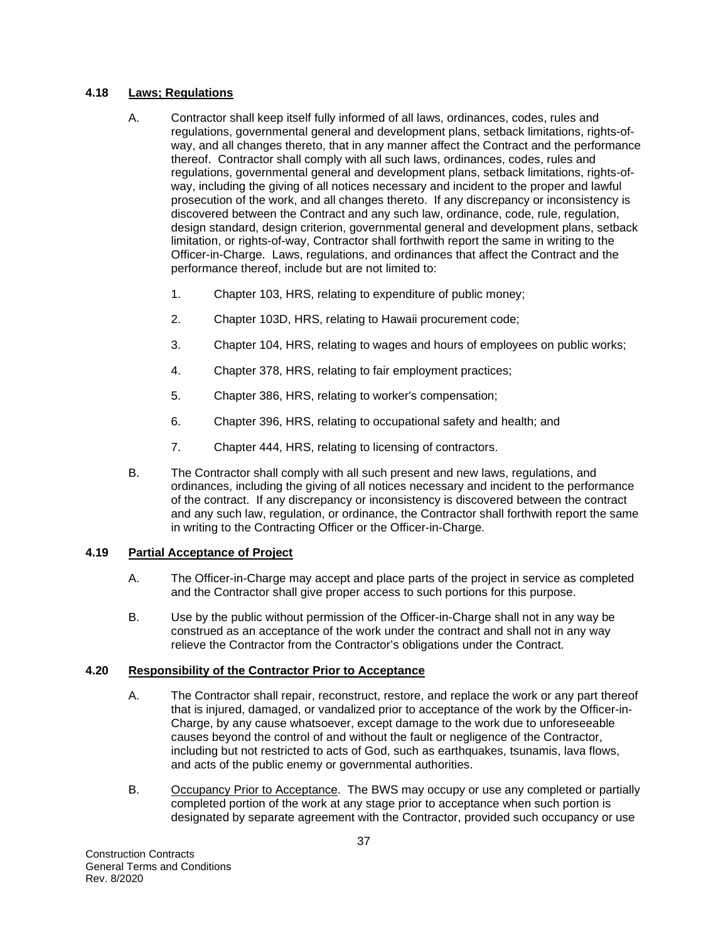## **4.18 Laws; Regulations**

- A. Contractor shall keep itself fully informed of all laws, ordinances, codes, rules and regulations, governmental general and development plans, setback limitations, rights-ofway, and all changes thereto, that in any manner affect the Contract and the performance thereof. Contractor shall comply with all such laws, ordinances, codes, rules and regulations, governmental general and development plans, setback limitations, rights-ofway, including the giving of all notices necessary and incident to the proper and lawful prosecution of the work, and all changes thereto. If any discrepancy or inconsistency is discovered between the Contract and any such law, ordinance, code, rule, regulation, design standard, design criterion, governmental general and development plans, setback limitation, or rights-of-way, Contractor shall forthwith report the same in writing to the Officer-in-Charge. Laws, regulations, and ordinances that affect the Contract and the performance thereof, include but are not limited to:
	- 1. Chapter 103, HRS, relating to expenditure of public money;
	- 2. Chapter 103D, HRS, relating to Hawaii procurement code;
	- 3. Chapter 104, HRS, relating to wages and hours of employees on public works;
	- 4. Chapter 378, HRS, relating to fair employment practices;
	- 5. Chapter 386, HRS, relating to worker's compensation;
	- 6. Chapter 396, HRS, relating to occupational safety and health; and
	- 7. Chapter 444, HRS, relating to licensing of contractors.
- B. The Contractor shall comply with all such present and new laws, regulations, and ordinances, including the giving of all notices necessary and incident to the performance of the contract. If any discrepancy or inconsistency is discovered between the contract and any such law, regulation, or ordinance, the Contractor shall forthwith report the same in writing to the Contracting Officer or the Officer-in-Charge.

## **4.19 Partial Acceptance of Project**

- A. The Officer-in-Charge may accept and place parts of the project in service as completed and the Contractor shall give proper access to such portions for this purpose.
- B. Use by the public without permission of the Officer-in-Charge shall not in any way be construed as an acceptance of the work under the contract and shall not in any way relieve the Contractor from the Contractor's obligations under the Contract.

## **4.20 Responsibility of the Contractor Prior to Acceptance**

- A. The Contractor shall repair, reconstruct, restore, and replace the work or any part thereof that is injured, damaged, or vandalized prior to acceptance of the work by the Officer-in-Charge, by any cause whatsoever, except damage to the work due to unforeseeable causes beyond the control of and without the fault or negligence of the Contractor, including but not restricted to acts of God, such as earthquakes, tsunamis, lava flows, and acts of the public enemy or governmental authorities.
- B. Occupancy Prior to Acceptance. The BWS may occupy or use any completed or partially completed portion of the work at any stage prior to acceptance when such portion is designated by separate agreement with the Contractor, provided such occupancy or use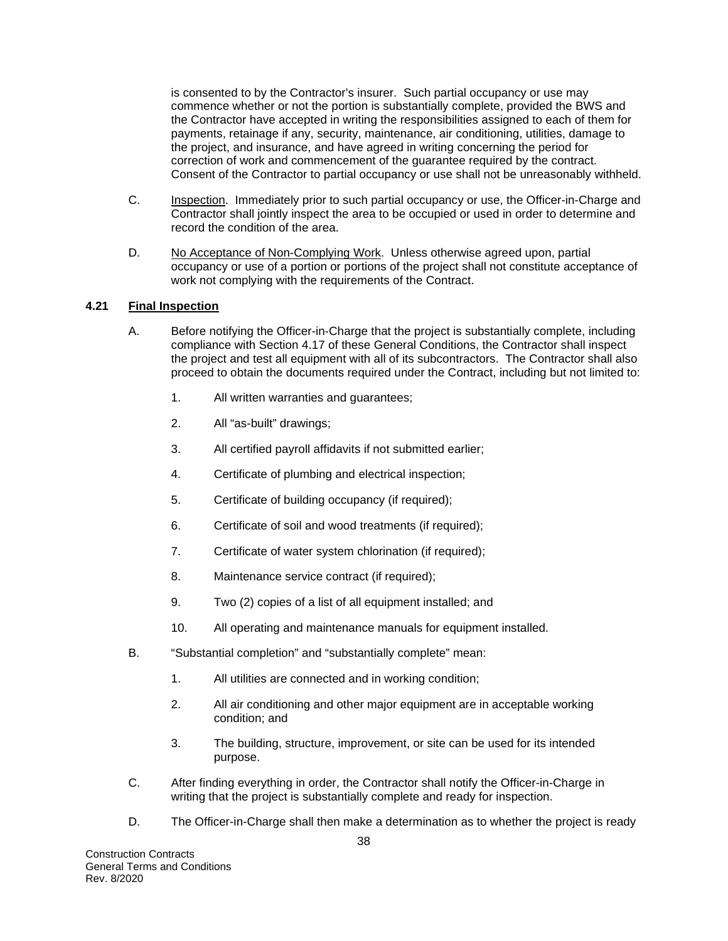is consented to by the Contractor's insurer. Such partial occupancy or use may commence whether or not the portion is substantially complete, provided the BWS and the Contractor have accepted in writing the responsibilities assigned to each of them for payments, retainage if any, security, maintenance, air conditioning, utilities, damage to the project, and insurance, and have agreed in writing concerning the period for correction of work and commencement of the guarantee required by the contract. Consent of the Contractor to partial occupancy or use shall not be unreasonably withheld.

- C. Inspection. Immediately prior to such partial occupancy or use, the Officer-in-Charge and Contractor shall jointly inspect the area to be occupied or used in order to determine and record the condition of the area.
- D. No Acceptance of Non-Complying Work. Unless otherwise agreed upon, partial occupancy or use of a portion or portions of the project shall not constitute acceptance of work not complying with the requirements of the Contract.

## **4.21 Final Inspection**

- A. Before notifying the Officer-in-Charge that the project is substantially complete, including compliance with Section 4.17 of these General Conditions, the Contractor shall inspect the project and test all equipment with all of its subcontractors. The Contractor shall also proceed to obtain the documents required under the Contract, including but not limited to:
	- 1. All written warranties and guarantees;
	- 2. All "as-built" drawings;
	- 3. All certified payroll affidavits if not submitted earlier;
	- 4. Certificate of plumbing and electrical inspection;
	- 5. Certificate of building occupancy (if required);
	- 6. Certificate of soil and wood treatments (if required);
	- 7. Certificate of water system chlorination (if required);
	- 8. Maintenance service contract (if required);
	- 9. Two (2) copies of a list of all equipment installed; and
	- 10. All operating and maintenance manuals for equipment installed.
- B. "Substantial completion" and "substantially complete" mean:
	- 1. All utilities are connected and in working condition;
	- 2. All air conditioning and other major equipment are in acceptable working condition; and
	- 3. The building, structure, improvement, or site can be used for its intended purpose.
- C. After finding everything in order, the Contractor shall notify the Officer-in-Charge in writing that the project is substantially complete and ready for inspection.
- D. The Officer-in-Charge shall then make a determination as to whether the project is ready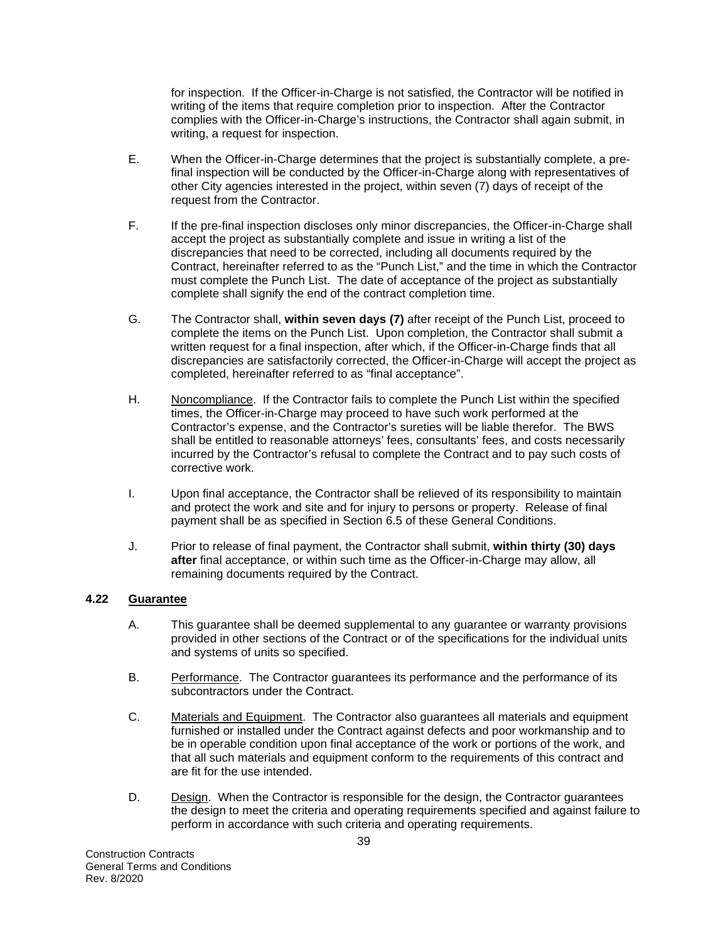for inspection. If the Officer-in-Charge is not satisfied, the Contractor will be notified in writing of the items that require completion prior to inspection. After the Contractor complies with the Officer-in-Charge's instructions, the Contractor shall again submit, in writing, a request for inspection.

- E. When the Officer-in-Charge determines that the project is substantially complete, a prefinal inspection will be conducted by the Officer-in-Charge along with representatives of other City agencies interested in the project, within seven (7) days of receipt of the request from the Contractor.
- F. If the pre-final inspection discloses only minor discrepancies, the Officer-in-Charge shall accept the project as substantially complete and issue in writing a list of the discrepancies that need to be corrected, including all documents required by the Contract, hereinafter referred to as the "Punch List," and the time in which the Contractor must complete the Punch List. The date of acceptance of the project as substantially complete shall signify the end of the contract completion time.
- G. The Contractor shall, **within seven days (7)** after receipt of the Punch List, proceed to complete the items on the Punch List. Upon completion, the Contractor shall submit a written request for a final inspection, after which, if the Officer-in-Charge finds that all discrepancies are satisfactorily corrected, the Officer-in-Charge will accept the project as completed, hereinafter referred to as "final acceptance".
- H. Noncompliance. If the Contractor fails to complete the Punch List within the specified times, the Officer-in-Charge may proceed to have such work performed at the Contractor's expense, and the Contractor's sureties will be liable therefor. The BWS shall be entitled to reasonable attorneys' fees, consultants' fees, and costs necessarily incurred by the Contractor's refusal to complete the Contract and to pay such costs of corrective work.
- I. Upon final acceptance, the Contractor shall be relieved of its responsibility to maintain and protect the work and site and for injury to persons or property. Release of final payment shall be as specified in Section 6.5 of these General Conditions.
- J. Prior to release of final payment, the Contractor shall submit, **within thirty (30) days after** final acceptance, or within such time as the Officer-in-Charge may allow, all remaining documents required by the Contract.

## **4.22 Guarantee**

- A. This guarantee shall be deemed supplemental to any guarantee or warranty provisions provided in other sections of the Contract or of the specifications for the individual units and systems of units so specified.
- B. Performance. The Contractor guarantees its performance and the performance of its subcontractors under the Contract.
- C. Materials and Equipment. The Contractor also guarantees all materials and equipment furnished or installed under the Contract against defects and poor workmanship and to be in operable condition upon final acceptance of the work or portions of the work, and that all such materials and equipment conform to the requirements of this contract and are fit for the use intended.
- D. Design. When the Contractor is responsible for the design, the Contractor guarantees the design to meet the criteria and operating requirements specified and against failure to perform in accordance with such criteria and operating requirements.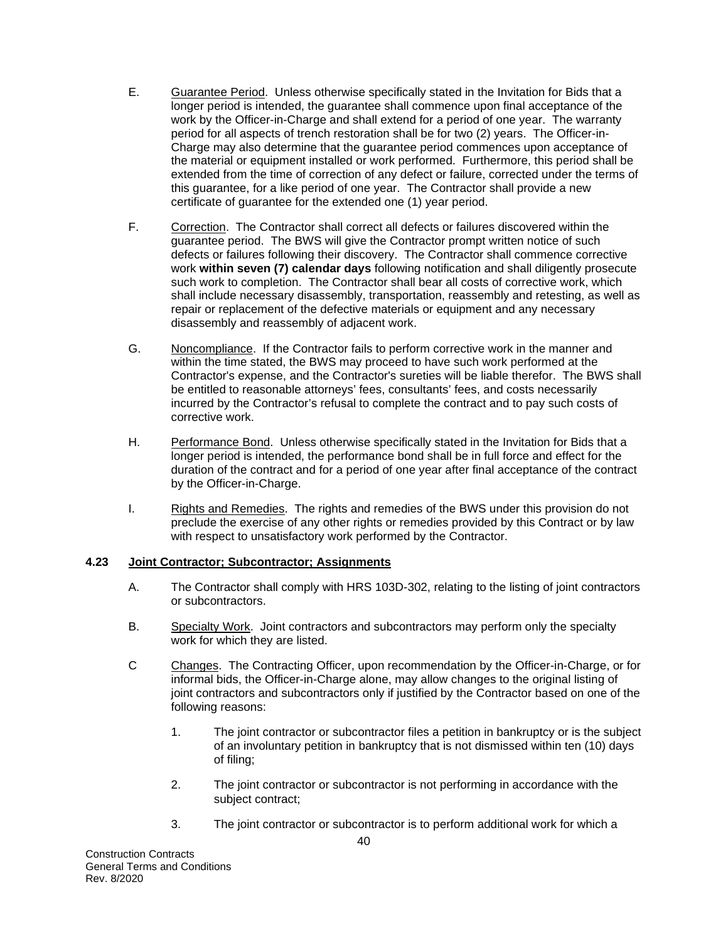- E. Guarantee Period. Unless otherwise specifically stated in the Invitation for Bids that a longer period is intended, the guarantee shall commence upon final acceptance of the work by the Officer-in-Charge and shall extend for a period of one year. The warranty period for all aspects of trench restoration shall be for two (2) years. The Officer-in-Charge may also determine that the guarantee period commences upon acceptance of the material or equipment installed or work performed. Furthermore, this period shall be extended from the time of correction of any defect or failure, corrected under the terms of this guarantee, for a like period of one year. The Contractor shall provide a new certificate of guarantee for the extended one (1) year period.
- F. Correction. The Contractor shall correct all defects or failures discovered within the guarantee period. The BWS will give the Contractor prompt written notice of such defects or failures following their discovery. The Contractor shall commence corrective work **within seven (7) calendar days** following notification and shall diligently prosecute such work to completion. The Contractor shall bear all costs of corrective work, which shall include necessary disassembly, transportation, reassembly and retesting, as well as repair or replacement of the defective materials or equipment and any necessary disassembly and reassembly of adjacent work.
- G. Noncompliance. If the Contractor fails to perform corrective work in the manner and within the time stated, the BWS may proceed to have such work performed at the Contractor's expense, and the Contractor's sureties will be liable therefor. The BWS shall be entitled to reasonable attorneys' fees, consultants' fees, and costs necessarily incurred by the Contractor's refusal to complete the contract and to pay such costs of corrective work.
- H. Performance Bond. Unless otherwise specifically stated in the Invitation for Bids that a longer period is intended, the performance bond shall be in full force and effect for the duration of the contract and for a period of one year after final acceptance of the contract by the Officer-in-Charge.
- I. Rights and Remedies. The rights and remedies of the BWS under this provision do not preclude the exercise of any other rights or remedies provided by this Contract or by law with respect to unsatisfactory work performed by the Contractor.

## **4.23 Joint Contractor; Subcontractor; Assignments**

- A. The Contractor shall comply with HRS 103D-302, relating to the listing of joint contractors or subcontractors.
- B. Specialty Work. Joint contractors and subcontractors may perform only the specialty work for which they are listed.
- C Changes. The Contracting Officer, upon recommendation by the Officer-in-Charge, or for informal bids, the Officer-in-Charge alone, may allow changes to the original listing of joint contractors and subcontractors only if justified by the Contractor based on one of the following reasons:
	- 1. The joint contractor or subcontractor files a petition in bankruptcy or is the subject of an involuntary petition in bankruptcy that is not dismissed within ten (10) days of filing;
	- 2. The joint contractor or subcontractor is not performing in accordance with the subject contract;
	- 3. The joint contractor or subcontractor is to perform additional work for which a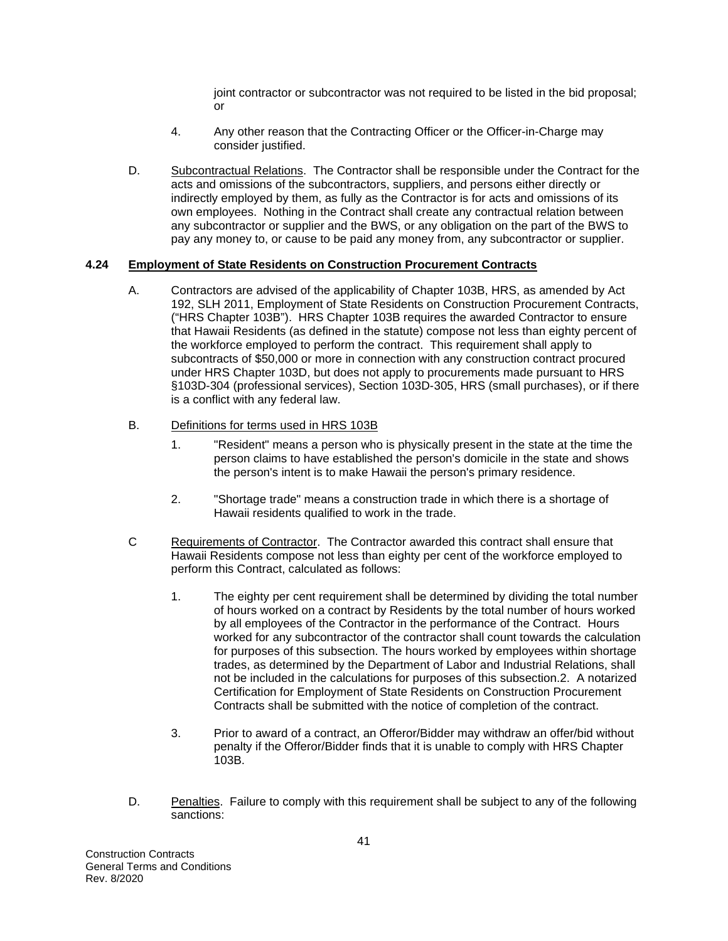joint contractor or subcontractor was not required to be listed in the bid proposal; or

- 4. Any other reason that the Contracting Officer or the Officer-in-Charge may consider justified.
- D. Subcontractual Relations. The Contractor shall be responsible under the Contract for the acts and omissions of the subcontractors, suppliers, and persons either directly or indirectly employed by them, as fully as the Contractor is for acts and omissions of its own employees. Nothing in the Contract shall create any contractual relation between any subcontractor or supplier and the BWS, or any obligation on the part of the BWS to pay any money to, or cause to be paid any money from, any subcontractor or supplier.

# **4.24 Employment of State Residents on Construction Procurement Contracts**

- A. Contractors are advised of the applicability of Chapter 103B, HRS, as amended by Act 192, SLH 2011, Employment of State Residents on Construction Procurement Contracts, ("HRS Chapter 103B"). HRS Chapter 103B requires the awarded Contractor to ensure that Hawaii Residents (as defined in the statute) compose not less than eighty percent of the workforce employed to perform the contract. This requirement shall apply to subcontracts of \$50,000 or more in connection with any construction contract procured under HRS Chapter 103D, but does not apply to procurements made pursuant to HRS §103D-304 (professional services), Section 103D-305, HRS (small purchases), or if there is a conflict with any federal law.
- B. Definitions for terms used in HRS 103B
	- 1. "Resident" means a person who is physically present in the state at the time the person claims to have established the person's domicile in the state and shows the person's intent is to make Hawaii the person's primary residence.
	- 2. "Shortage trade" means a construction trade in which there is a shortage of Hawaii residents qualified to work in the trade.
- C Requirements of Contractor. The Contractor awarded this contract shall ensure that Hawaii Residents compose not less than eighty per cent of the workforce employed to perform this Contract, calculated as follows:
	- 1. The eighty per cent requirement shall be determined by dividing the total number of hours worked on a contract by Residents by the total number of hours worked by all employees of the Contractor in the performance of the Contract. Hours worked for any subcontractor of the contractor shall count towards the calculation for purposes of this subsection. The hours worked by employees within shortage trades, as determined by the Department of Labor and Industrial Relations, shall not be included in the calculations for purposes of this subsection.2. A notarized Certification for Employment of State Residents on Construction Procurement Contracts shall be submitted with the notice of completion of the contract.
	- 3. Prior to award of a contract, an Offeror/Bidder may withdraw an offer/bid without penalty if the Offeror/Bidder finds that it is unable to comply with HRS Chapter 103B.
- D. Penalties. Failure to comply with this requirement shall be subject to any of the following sanctions: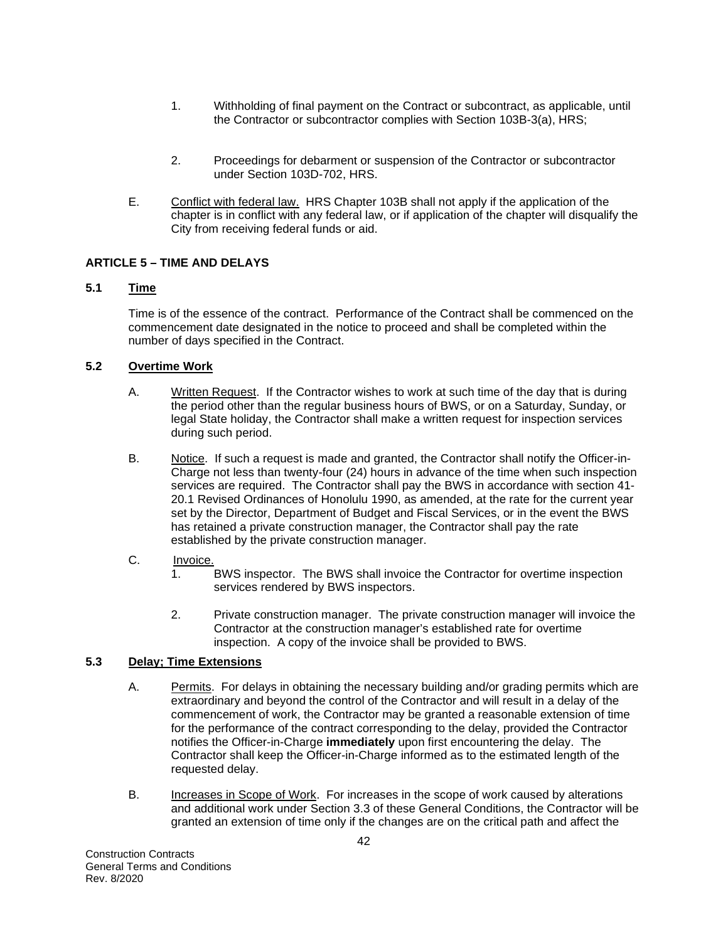- 1. Withholding of final payment on the Contract or subcontract, as applicable, until the Contractor or subcontractor complies with Section 103B-3(a), HRS;
- 2. Proceedings for debarment or suspension of the Contractor or subcontractor under Section 103D-702, HRS.
- E. Conflict with federal law. HRS Chapter 103B shall not apply if the application of the chapter is in conflict with any federal law, or if application of the chapter will disqualify the City from receiving federal funds or aid.

## **ARTICLE 5 – TIME AND DELAYS**

# **5.1 Time**

Time is of the essence of the contract. Performance of the Contract shall be commenced on the commencement date designated in the notice to proceed and shall be completed within the number of days specified in the Contract.

### **5.2 Overtime Work**

- A. Written Request. If the Contractor wishes to work at such time of the day that is during the period other than the regular business hours of BWS, or on a Saturday, Sunday, or legal State holiday, the Contractor shall make a written request for inspection services during such period.
- B. Notice. If such a request is made and granted, the Contractor shall notify the Officer-in-Charge not less than twenty-four (24) hours in advance of the time when such inspection services are required. The Contractor shall pay the BWS in accordance with section 41- 20.1 Revised Ordinances of Honolulu 1990, as amended, at the rate for the current year set by the Director, Department of Budget and Fiscal Services, or in the event the BWS has retained a private construction manager, the Contractor shall pay the rate established by the private construction manager.
- C. Invoice.
	- 1. BWS inspector. The BWS shall invoice the Contractor for overtime inspection services rendered by BWS inspectors.
	- 2. Private construction manager. The private construction manager will invoice the Contractor at the construction manager's established rate for overtime inspection. A copy of the invoice shall be provided to BWS.

## **5.3 Delay; Time Extensions**

- A. Permits. For delays in obtaining the necessary building and/or grading permits which are extraordinary and beyond the control of the Contractor and will result in a delay of the commencement of work, the Contractor may be granted a reasonable extension of time for the performance of the contract corresponding to the delay, provided the Contractor notifies the Officer-in-Charge **immediately** upon first encountering the delay. The Contractor shall keep the Officer-in-Charge informed as to the estimated length of the requested delay.
- B. Increases in Scope of Work. For increases in the scope of work caused by alterations and additional work under Section 3.3 of these General Conditions, the Contractor will be granted an extension of time only if the changes are on the critical path and affect the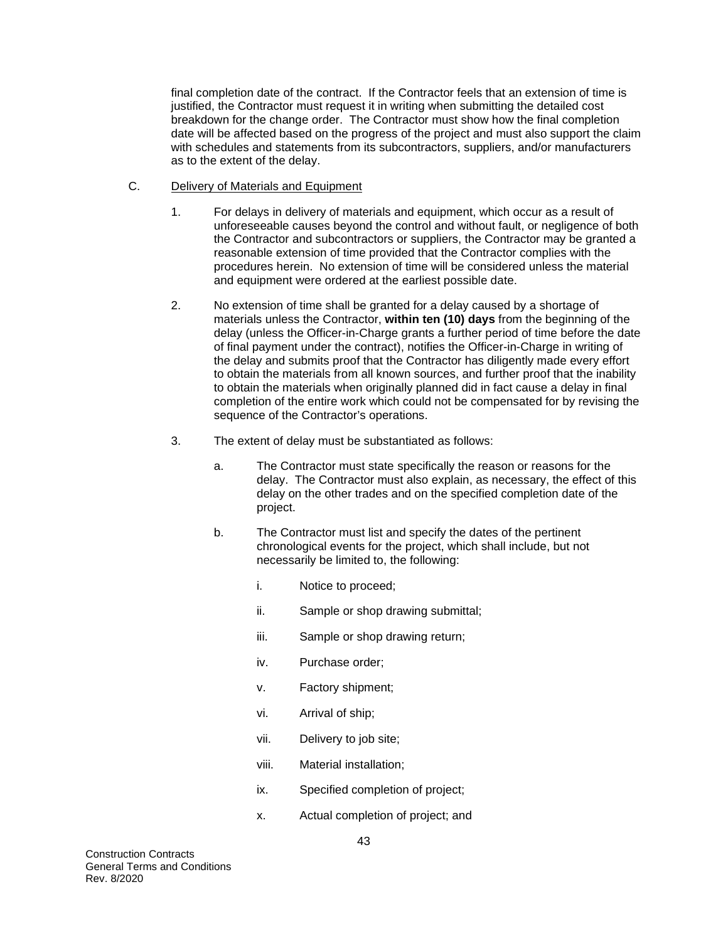final completion date of the contract. If the Contractor feels that an extension of time is justified, the Contractor must request it in writing when submitting the detailed cost breakdown for the change order. The Contractor must show how the final completion date will be affected based on the progress of the project and must also support the claim with schedules and statements from its subcontractors, suppliers, and/or manufacturers as to the extent of the delay.

- C. Delivery of Materials and Equipment
	- 1. For delays in delivery of materials and equipment, which occur as a result of unforeseeable causes beyond the control and without fault, or negligence of both the Contractor and subcontractors or suppliers, the Contractor may be granted a reasonable extension of time provided that the Contractor complies with the procedures herein. No extension of time will be considered unless the material and equipment were ordered at the earliest possible date.
	- 2. No extension of time shall be granted for a delay caused by a shortage of materials unless the Contractor, **within ten (10) days** from the beginning of the delay (unless the Officer-in-Charge grants a further period of time before the date of final payment under the contract), notifies the Officer-in-Charge in writing of the delay and submits proof that the Contractor has diligently made every effort to obtain the materials from all known sources, and further proof that the inability to obtain the materials when originally planned did in fact cause a delay in final completion of the entire work which could not be compensated for by revising the sequence of the Contractor's operations.
	- 3. The extent of delay must be substantiated as follows:
		- a. The Contractor must state specifically the reason or reasons for the delay. The Contractor must also explain, as necessary, the effect of this delay on the other trades and on the specified completion date of the project.
		- b. The Contractor must list and specify the dates of the pertinent chronological events for the project, which shall include, but not necessarily be limited to, the following:
			- i. Notice to proceed;
			- ii. Sample or shop drawing submittal;
			- iii. Sample or shop drawing return;
			- iv. Purchase order;
			- v. Factory shipment;
			- vi. Arrival of ship;
			- vii. Delivery to job site;
			- viii. Material installation;
			- ix. Specified completion of project;
			- x. Actual completion of project; and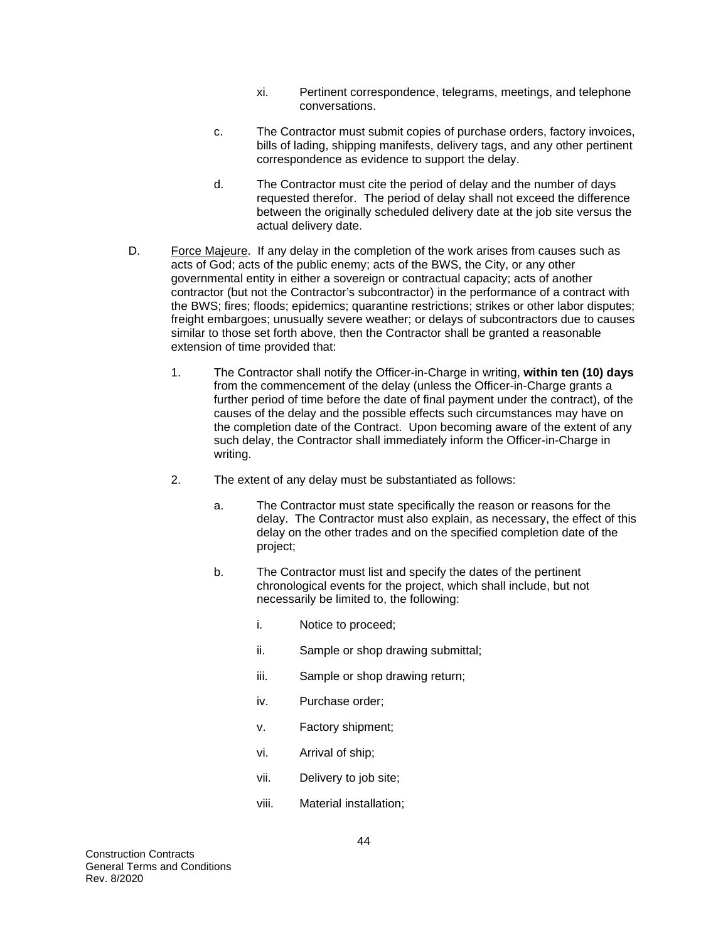- xi. Pertinent correspondence, telegrams, meetings, and telephone conversations.
- c. The Contractor must submit copies of purchase orders, factory invoices, bills of lading, shipping manifests, delivery tags, and any other pertinent correspondence as evidence to support the delay.
- d. The Contractor must cite the period of delay and the number of days requested therefor. The period of delay shall not exceed the difference between the originally scheduled delivery date at the job site versus the actual delivery date.
- D. Force Majeure. If any delay in the completion of the work arises from causes such as acts of God; acts of the public enemy; acts of the BWS, the City, or any other governmental entity in either a sovereign or contractual capacity; acts of another contractor (but not the Contractor's subcontractor) in the performance of a contract with the BWS; fires; floods; epidemics; quarantine restrictions; strikes or other labor disputes; freight embargoes; unusually severe weather; or delays of subcontractors due to causes similar to those set forth above, then the Contractor shall be granted a reasonable extension of time provided that:
	- 1. The Contractor shall notify the Officer-in-Charge in writing, **within ten (10) days**  from the commencement of the delay (unless the Officer-in-Charge grants a further period of time before the date of final payment under the contract), of the causes of the delay and the possible effects such circumstances may have on the completion date of the Contract. Upon becoming aware of the extent of any such delay, the Contractor shall immediately inform the Officer-in-Charge in writing.
	- 2. The extent of any delay must be substantiated as follows:
		- a. The Contractor must state specifically the reason or reasons for the delay. The Contractor must also explain, as necessary, the effect of this delay on the other trades and on the specified completion date of the project;
		- b. The Contractor must list and specify the dates of the pertinent chronological events for the project, which shall include, but not necessarily be limited to, the following:
			- i. Notice to proceed;
			- ii. Sample or shop drawing submittal;
			- iii. Sample or shop drawing return;
			- iv. Purchase order;
			- v. Factory shipment;
			- vi. Arrival of ship;
			- vii. Delivery to job site;
			- viii. Material installation;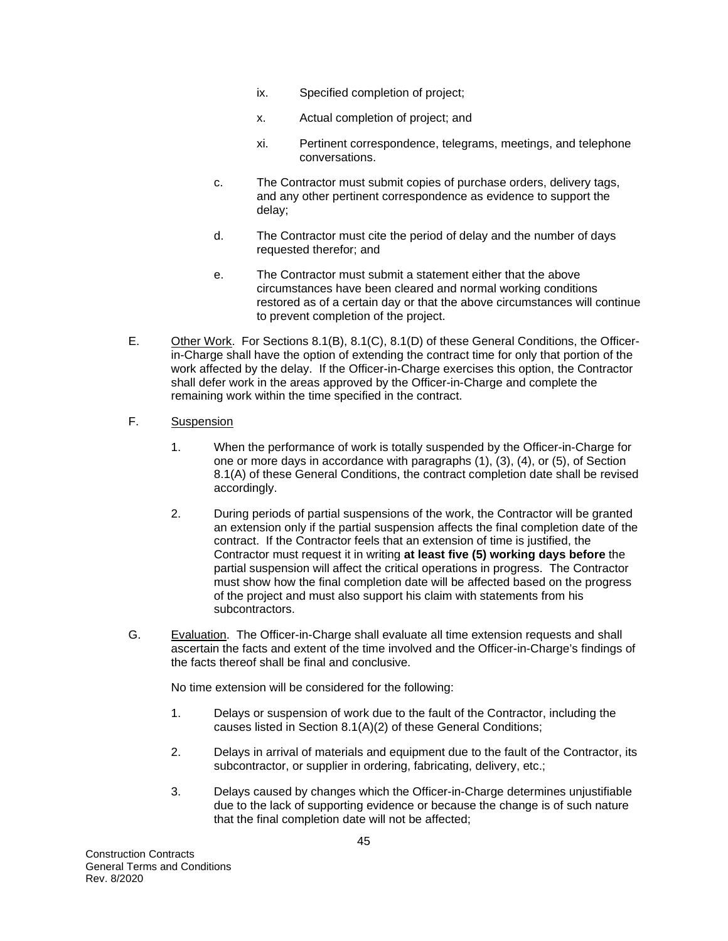- ix. Specified completion of project;
- x. Actual completion of project; and
- xi. Pertinent correspondence, telegrams, meetings, and telephone conversations.
- c. The Contractor must submit copies of purchase orders, delivery tags, and any other pertinent correspondence as evidence to support the delay;
- d. The Contractor must cite the period of delay and the number of days requested therefor; and
- e. The Contractor must submit a statement either that the above circumstances have been cleared and normal working conditions restored as of a certain day or that the above circumstances will continue to prevent completion of the project.
- E. Other Work. For Sections 8.1(B), 8.1(C), 8.1(D) of these General Conditions, the Officerin-Charge shall have the option of extending the contract time for only that portion of the work affected by the delay. If the Officer-in-Charge exercises this option, the Contractor shall defer work in the areas approved by the Officer-in-Charge and complete the remaining work within the time specified in the contract.
- F. Suspension
	- 1. When the performance of work is totally suspended by the Officer-in-Charge for one or more days in accordance with paragraphs (1), (3), (4), or (5), of Section 8.1(A) of these General Conditions, the contract completion date shall be revised accordingly.
	- 2. During periods of partial suspensions of the work, the Contractor will be granted an extension only if the partial suspension affects the final completion date of the contract. If the Contractor feels that an extension of time is justified, the Contractor must request it in writing **at least five (5) working days before** the partial suspension will affect the critical operations in progress. The Contractor must show how the final completion date will be affected based on the progress of the project and must also support his claim with statements from his subcontractors.
- G. Evaluation. The Officer-in-Charge shall evaluate all time extension requests and shall ascertain the facts and extent of the time involved and the Officer-in-Charge's findings of the facts thereof shall be final and conclusive.

No time extension will be considered for the following:

- 1. Delays or suspension of work due to the fault of the Contractor, including the causes listed in Section 8.1(A)(2) of these General Conditions;
- 2. Delays in arrival of materials and equipment due to the fault of the Contractor, its subcontractor, or supplier in ordering, fabricating, delivery, etc.;
- 3. Delays caused by changes which the Officer-in-Charge determines unjustifiable due to the lack of supporting evidence or because the change is of such nature that the final completion date will not be affected;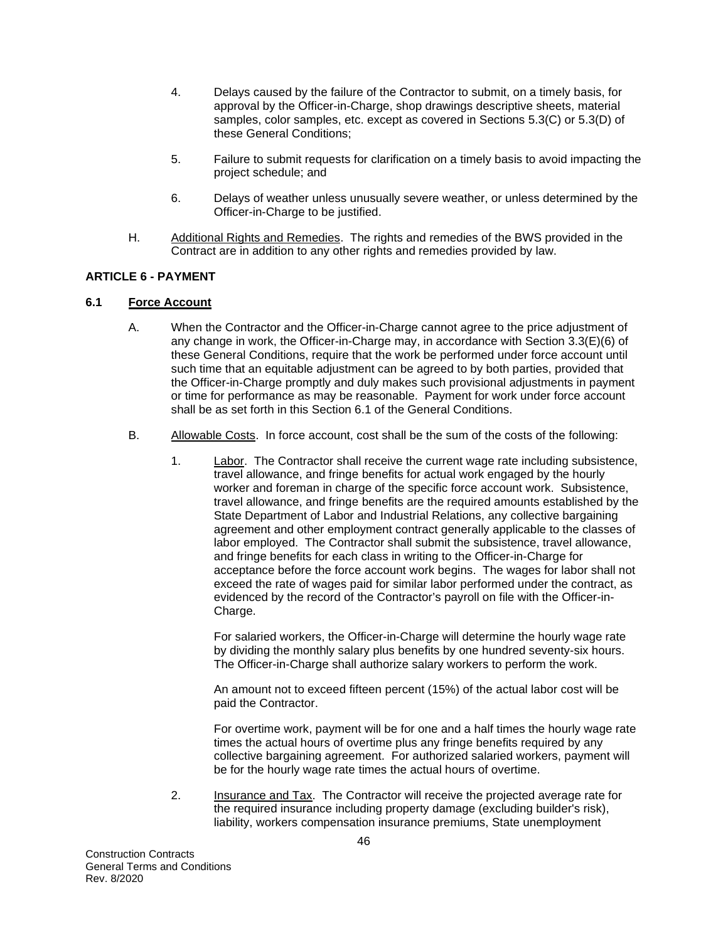- 4. Delays caused by the failure of the Contractor to submit, on a timely basis, for approval by the Officer-in-Charge, shop drawings descriptive sheets, material samples, color samples, etc. except as covered in Sections 5.3(C) or 5.3(D) of these General Conditions;
- 5. Failure to submit requests for clarification on a timely basis to avoid impacting the project schedule; and
- 6. Delays of weather unless unusually severe weather, or unless determined by the Officer-in-Charge to be justified.
- H. Additional Rights and Remedies. The rights and remedies of the BWS provided in the Contract are in addition to any other rights and remedies provided by law.

### **ARTICLE 6 - PAYMENT**

### **6.1 Force Account**

- A. When the Contractor and the Officer-in-Charge cannot agree to the price adjustment of any change in work, the Officer-in-Charge may, in accordance with Section 3.3(E)(6) of these General Conditions, require that the work be performed under force account until such time that an equitable adjustment can be agreed to by both parties, provided that the Officer-in-Charge promptly and duly makes such provisional adjustments in payment or time for performance as may be reasonable. Payment for work under force account shall be as set forth in this Section 6.1 of the General Conditions.
- B. Allowable Costs. In force account, cost shall be the sum of the costs of the following:
	- 1. Labor. The Contractor shall receive the current wage rate including subsistence, travel allowance, and fringe benefits for actual work engaged by the hourly worker and foreman in charge of the specific force account work. Subsistence, travel allowance, and fringe benefits are the required amounts established by the State Department of Labor and Industrial Relations, any collective bargaining agreement and other employment contract generally applicable to the classes of labor employed. The Contractor shall submit the subsistence, travel allowance, and fringe benefits for each class in writing to the Officer-in-Charge for acceptance before the force account work begins. The wages for labor shall not exceed the rate of wages paid for similar labor performed under the contract, as evidenced by the record of the Contractor's payroll on file with the Officer-in-Charge.

For salaried workers, the Officer-in-Charge will determine the hourly wage rate by dividing the monthly salary plus benefits by one hundred seventy-six hours. The Officer-in-Charge shall authorize salary workers to perform the work.

An amount not to exceed fifteen percent (15%) of the actual labor cost will be paid the Contractor.

For overtime work, payment will be for one and a half times the hourly wage rate times the actual hours of overtime plus any fringe benefits required by any collective bargaining agreement. For authorized salaried workers, payment will be for the hourly wage rate times the actual hours of overtime.

2. Insurance and Tax. The Contractor will receive the projected average rate for the required insurance including property damage (excluding builder's risk), liability, workers compensation insurance premiums, State unemployment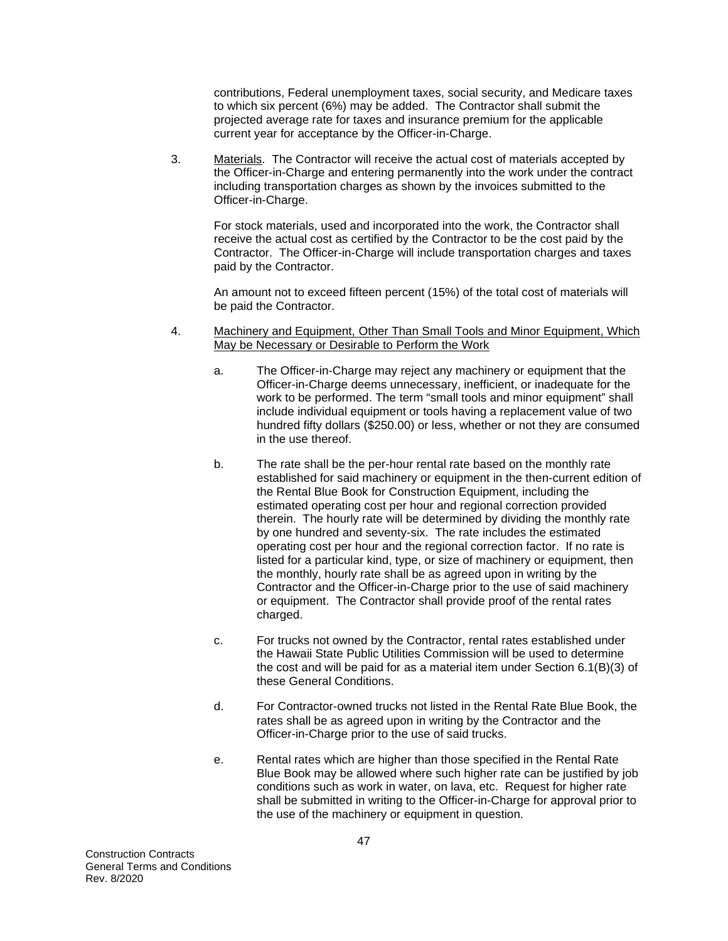contributions, Federal unemployment taxes, social security, and Medicare taxes to which six percent (6%) may be added. The Contractor shall submit the projected average rate for taxes and insurance premium for the applicable current year for acceptance by the Officer-in-Charge.

3. Materials. The Contractor will receive the actual cost of materials accepted by the Officer-in-Charge and entering permanently into the work under the contract including transportation charges as shown by the invoices submitted to the Officer-in-Charge.

For stock materials, used and incorporated into the work, the Contractor shall receive the actual cost as certified by the Contractor to be the cost paid by the Contractor. The Officer-in-Charge will include transportation charges and taxes paid by the Contractor.

An amount not to exceed fifteen percent (15%) of the total cost of materials will be paid the Contractor.

- 4. Machinery and Equipment, Other Than Small Tools and Minor Equipment, Which May be Necessary or Desirable to Perform the Work
	- a. The Officer-in-Charge may reject any machinery or equipment that the Officer-in-Charge deems unnecessary, inefficient, or inadequate for the work to be performed. The term "small tools and minor equipment" shall include individual equipment or tools having a replacement value of two hundred fifty dollars (\$250.00) or less, whether or not they are consumed in the use thereof.
	- b. The rate shall be the per-hour rental rate based on the monthly rate established for said machinery or equipment in the then-current edition of the Rental Blue Book for Construction Equipment, including the estimated operating cost per hour and regional correction provided therein. The hourly rate will be determined by dividing the monthly rate by one hundred and seventy-six. The rate includes the estimated operating cost per hour and the regional correction factor. If no rate is listed for a particular kind, type, or size of machinery or equipment, then the monthly, hourly rate shall be as agreed upon in writing by the Contractor and the Officer-in-Charge prior to the use of said machinery or equipment. The Contractor shall provide proof of the rental rates charged.
	- c. For trucks not owned by the Contractor, rental rates established under the Hawaii State Public Utilities Commission will be used to determine the cost and will be paid for as a material item under Section 6.1(B)(3) of these General Conditions.
	- d. For Contractor-owned trucks not listed in the Rental Rate Blue Book, the rates shall be as agreed upon in writing by the Contractor and the Officer-in-Charge prior to the use of said trucks.
	- e. Rental rates which are higher than those specified in the Rental Rate Blue Book may be allowed where such higher rate can be justified by job conditions such as work in water, on lava, etc. Request for higher rate shall be submitted in writing to the Officer-in-Charge for approval prior to the use of the machinery or equipment in question.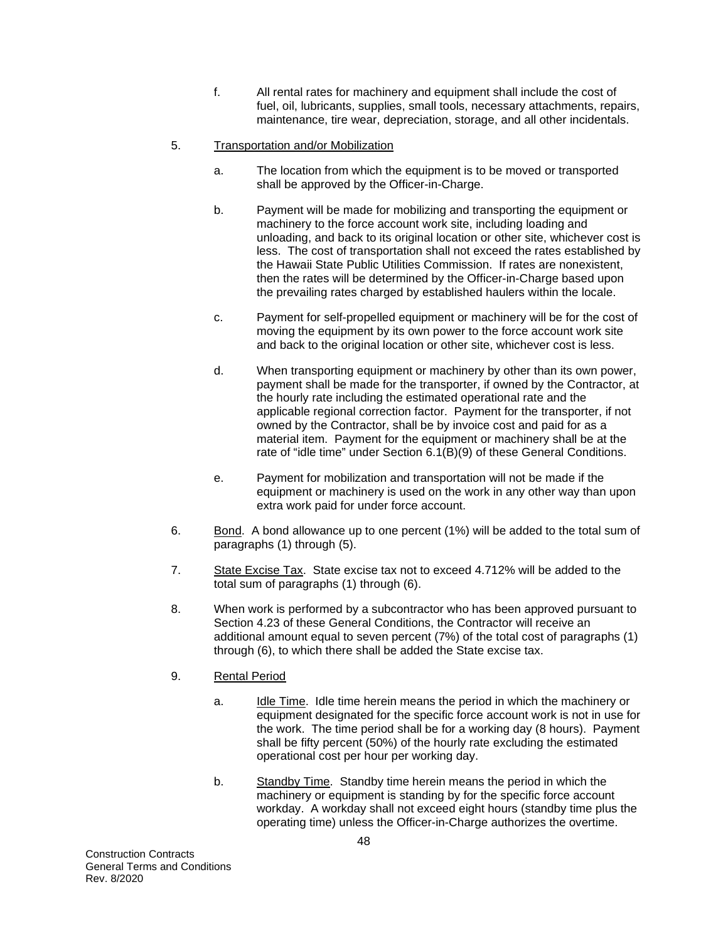f. All rental rates for machinery and equipment shall include the cost of fuel, oil, lubricants, supplies, small tools, necessary attachments, repairs, maintenance, tire wear, depreciation, storage, and all other incidentals.

# 5. Transportation and/or Mobilization

- a. The location from which the equipment is to be moved or transported shall be approved by the Officer-in-Charge.
- b. Payment will be made for mobilizing and transporting the equipment or machinery to the force account work site, including loading and unloading, and back to its original location or other site, whichever cost is less. The cost of transportation shall not exceed the rates established by the Hawaii State Public Utilities Commission. If rates are nonexistent, then the rates will be determined by the Officer-in-Charge based upon the prevailing rates charged by established haulers within the locale.
- c. Payment for self-propelled equipment or machinery will be for the cost of moving the equipment by its own power to the force account work site and back to the original location or other site, whichever cost is less.
- d. When transporting equipment or machinery by other than its own power, payment shall be made for the transporter, if owned by the Contractor, at the hourly rate including the estimated operational rate and the applicable regional correction factor. Payment for the transporter, if not owned by the Contractor, shall be by invoice cost and paid for as a material item. Payment for the equipment or machinery shall be at the rate of "idle time" under Section 6.1(B)(9) of these General Conditions.
- e. Payment for mobilization and transportation will not be made if the equipment or machinery is used on the work in any other way than upon extra work paid for under force account.
- 6. Bond. A bond allowance up to one percent (1%) will be added to the total sum of paragraphs (1) through (5).
- 7. State Excise Tax. State excise tax not to exceed 4.712% will be added to the total sum of paragraphs (1) through (6).
- 8. When work is performed by a subcontractor who has been approved pursuant to Section 4.23 of these General Conditions, the Contractor will receive an additional amount equal to seven percent (7%) of the total cost of paragraphs (1) through (6), to which there shall be added the State excise tax.
- 9. Rental Period
	- a. Idle Time. Idle time herein means the period in which the machinery or equipment designated for the specific force account work is not in use for the work. The time period shall be for a working day (8 hours). Payment shall be fifty percent (50%) of the hourly rate excluding the estimated operational cost per hour per working day.
	- b. Standby Time. Standby time herein means the period in which the machinery or equipment is standing by for the specific force account workday. A workday shall not exceed eight hours (standby time plus the operating time) unless the Officer-in-Charge authorizes the overtime.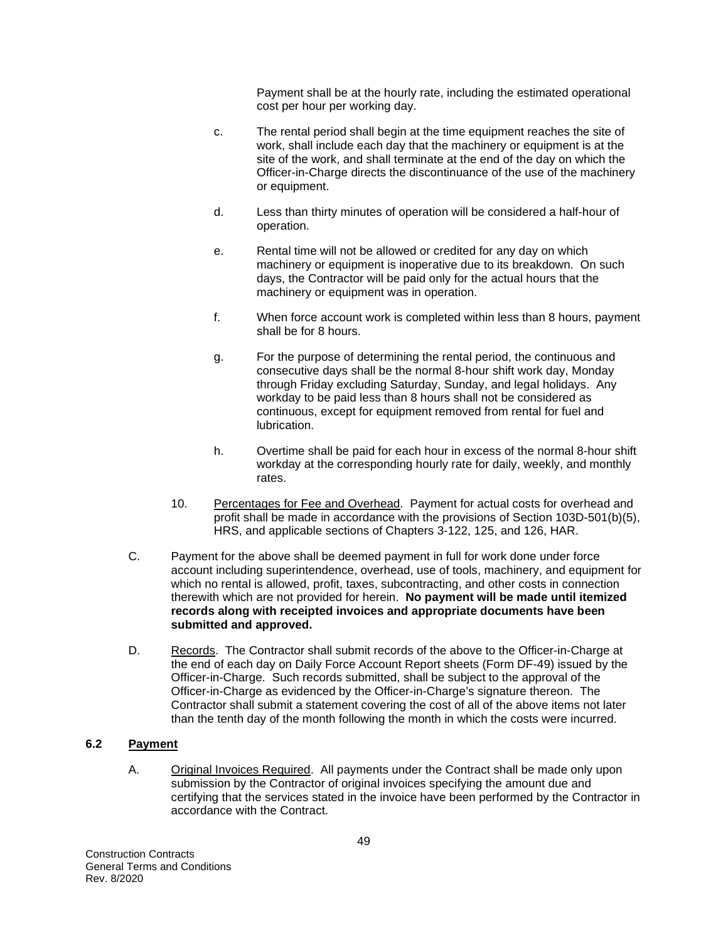Payment shall be at the hourly rate, including the estimated operational cost per hour per working day.

- c. The rental period shall begin at the time equipment reaches the site of work, shall include each day that the machinery or equipment is at the site of the work, and shall terminate at the end of the day on which the Officer-in-Charge directs the discontinuance of the use of the machinery or equipment.
- d. Less than thirty minutes of operation will be considered a half-hour of operation.
- e. Rental time will not be allowed or credited for any day on which machinery or equipment is inoperative due to its breakdown. On such days, the Contractor will be paid only for the actual hours that the machinery or equipment was in operation.
- f. When force account work is completed within less than 8 hours, payment shall be for 8 hours.
- g. For the purpose of determining the rental period, the continuous and consecutive days shall be the normal 8-hour shift work day, Monday through Friday excluding Saturday, Sunday, and legal holidays. Any workday to be paid less than 8 hours shall not be considered as continuous, except for equipment removed from rental for fuel and lubrication.
- h. Overtime shall be paid for each hour in excess of the normal 8-hour shift workday at the corresponding hourly rate for daily, weekly, and monthly rates.
- 10. Percentages for Fee and Overhead. Payment for actual costs for overhead and profit shall be made in accordance with the provisions of Section 103D-501(b)(5), HRS, and applicable sections of Chapters 3-122, 125, and 126, HAR.
- C. Payment for the above shall be deemed payment in full for work done under force account including superintendence, overhead, use of tools, machinery, and equipment for which no rental is allowed, profit, taxes, subcontracting, and other costs in connection therewith which are not provided for herein. **No payment will be made until itemized records along with receipted invoices and appropriate documents have been submitted and approved.**
- D. Records. The Contractor shall submit records of the above to the Officer-in-Charge at the end of each day on Daily Force Account Report sheets (Form DF-49) issued by the Officer-in-Charge. Such records submitted, shall be subject to the approval of the Officer-in-Charge as evidenced by the Officer-in-Charge's signature thereon. The Contractor shall submit a statement covering the cost of all of the above items not later than the tenth day of the month following the month in which the costs were incurred.

## **6.2 Payment**

A. Original Invoices Required. All payments under the Contract shall be made only upon submission by the Contractor of original invoices specifying the amount due and certifying that the services stated in the invoice have been performed by the Contractor in accordance with the Contract.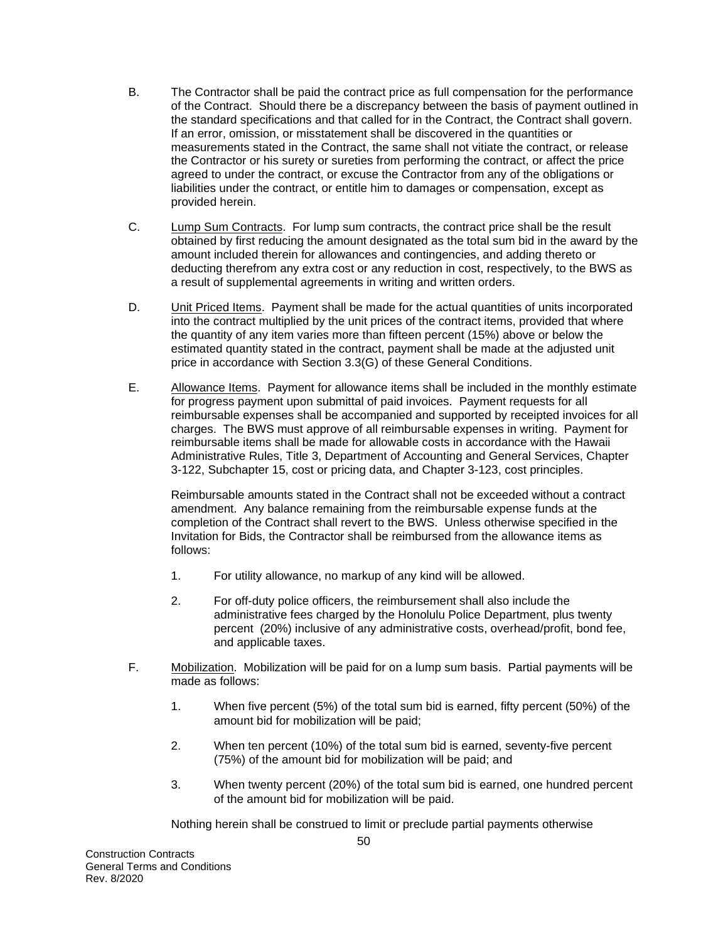- B. The Contractor shall be paid the contract price as full compensation for the performance of the Contract. Should there be a discrepancy between the basis of payment outlined in the standard specifications and that called for in the Contract, the Contract shall govern. If an error, omission, or misstatement shall be discovered in the quantities or measurements stated in the Contract, the same shall not vitiate the contract, or release the Contractor or his surety or sureties from performing the contract, or affect the price agreed to under the contract, or excuse the Contractor from any of the obligations or liabilities under the contract, or entitle him to damages or compensation, except as provided herein.
- C. Lump Sum Contracts. For lump sum contracts, the contract price shall be the result obtained by first reducing the amount designated as the total sum bid in the award by the amount included therein for allowances and contingencies, and adding thereto or deducting therefrom any extra cost or any reduction in cost, respectively, to the BWS as a result of supplemental agreements in writing and written orders.
- D. Unit Priced Items. Payment shall be made for the actual quantities of units incorporated into the contract multiplied by the unit prices of the contract items, provided that where the quantity of any item varies more than fifteen percent (15%) above or below the estimated quantity stated in the contract, payment shall be made at the adjusted unit price in accordance with Section 3.3(G) of these General Conditions.
- E. Allowance Items. Payment for allowance items shall be included in the monthly estimate for progress payment upon submittal of paid invoices. Payment requests for all reimbursable expenses shall be accompanied and supported by receipted invoices for all charges. The BWS must approve of all reimbursable expenses in writing. Payment for reimbursable items shall be made for allowable costs in accordance with the Hawaii Administrative Rules, Title 3, Department of Accounting and General Services, Chapter 3-122, Subchapter 15, cost or pricing data, and Chapter 3-123, cost principles.

Reimbursable amounts stated in the Contract shall not be exceeded without a contract amendment. Any balance remaining from the reimbursable expense funds at the completion of the Contract shall revert to the BWS. Unless otherwise specified in the Invitation for Bids, the Contractor shall be reimbursed from the allowance items as follows:

- 1. For utility allowance, no markup of any kind will be allowed.
- 2. For off-duty police officers, the reimbursement shall also include the administrative fees charged by the Honolulu Police Department, plus twenty percent (20%) inclusive of any administrative costs, overhead/profit, bond fee, and applicable taxes.
- F. Mobilization. Mobilization will be paid for on a lump sum basis. Partial payments will be made as follows:
	- 1. When five percent (5%) of the total sum bid is earned, fifty percent (50%) of the amount bid for mobilization will be paid;
	- 2. When ten percent (10%) of the total sum bid is earned, seventy-five percent (75%) of the amount bid for mobilization will be paid; and
	- 3. When twenty percent (20%) of the total sum bid is earned, one hundred percent of the amount bid for mobilization will be paid.

Nothing herein shall be construed to limit or preclude partial payments otherwise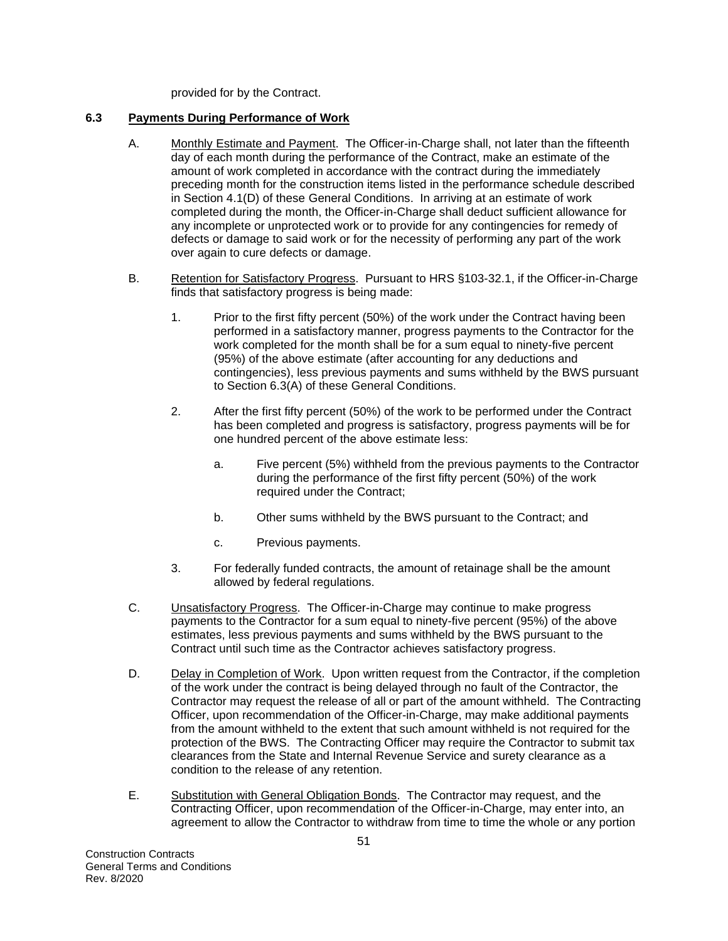provided for by the Contract.

## **6.3 Payments During Performance of Work**

- A. Monthly Estimate and Payment. The Officer-in-Charge shall, not later than the fifteenth day of each month during the performance of the Contract, make an estimate of the amount of work completed in accordance with the contract during the immediately preceding month for the construction items listed in the performance schedule described in Section 4.1(D) of these General Conditions. In arriving at an estimate of work completed during the month, the Officer-in-Charge shall deduct sufficient allowance for any incomplete or unprotected work or to provide for any contingencies for remedy of defects or damage to said work or for the necessity of performing any part of the work over again to cure defects or damage.
- B. Retention for Satisfactory Progress. Pursuant to HRS §103-32.1, if the Officer-in-Charge finds that satisfactory progress is being made:
	- 1. Prior to the first fifty percent (50%) of the work under the Contract having been performed in a satisfactory manner, progress payments to the Contractor for the work completed for the month shall be for a sum equal to ninety-five percent (95%) of the above estimate (after accounting for any deductions and contingencies), less previous payments and sums withheld by the BWS pursuant to Section 6.3(A) of these General Conditions.
	- 2. After the first fifty percent (50%) of the work to be performed under the Contract has been completed and progress is satisfactory, progress payments will be for one hundred percent of the above estimate less:
		- a. Five percent (5%) withheld from the previous payments to the Contractor during the performance of the first fifty percent (50%) of the work required under the Contract;
		- b. Other sums withheld by the BWS pursuant to the Contract; and
		- c. Previous payments.
	- 3. For federally funded contracts, the amount of retainage shall be the amount allowed by federal regulations.
- C. Unsatisfactory Progress. The Officer-in-Charge may continue to make progress payments to the Contractor for a sum equal to ninety-five percent (95%) of the above estimates, less previous payments and sums withheld by the BWS pursuant to the Contract until such time as the Contractor achieves satisfactory progress.
- D. Delay in Completion of Work. Upon written request from the Contractor, if the completion of the work under the contract is being delayed through no fault of the Contractor, the Contractor may request the release of all or part of the amount withheld. The Contracting Officer, upon recommendation of the Officer-in-Charge, may make additional payments from the amount withheld to the extent that such amount withheld is not required for the protection of the BWS. The Contracting Officer may require the Contractor to submit tax clearances from the State and Internal Revenue Service and surety clearance as a condition to the release of any retention.
- E. Substitution with General Obligation Bonds. The Contractor may request, and the Contracting Officer, upon recommendation of the Officer-in-Charge, may enter into, an agreement to allow the Contractor to withdraw from time to time the whole or any portion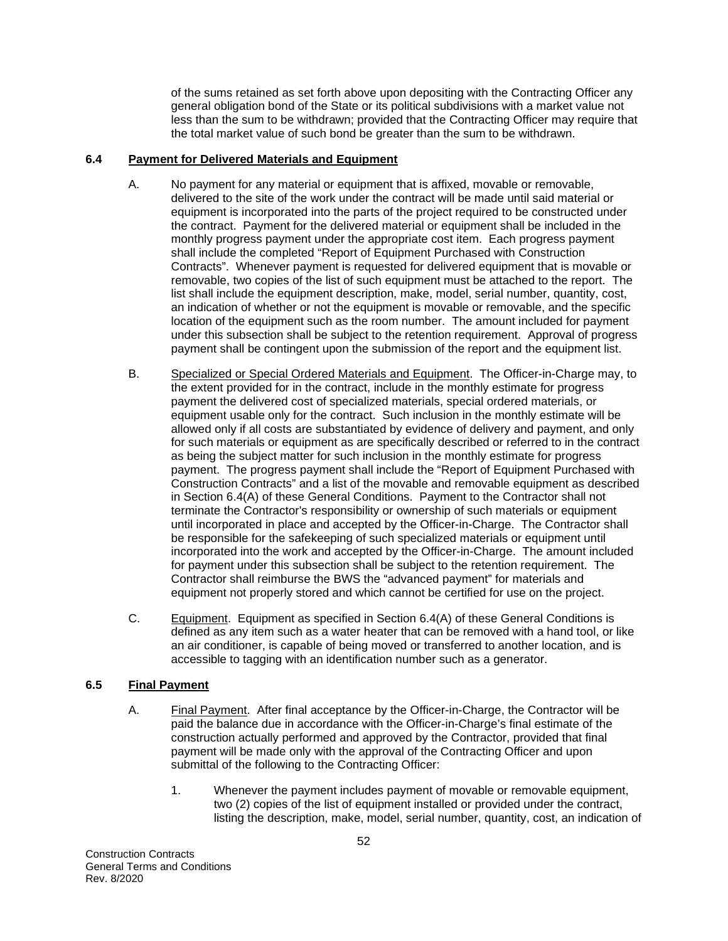of the sums retained as set forth above upon depositing with the Contracting Officer any general obligation bond of the State or its political subdivisions with a market value not less than the sum to be withdrawn; provided that the Contracting Officer may require that the total market value of such bond be greater than the sum to be withdrawn.

### **6.4 Payment for Delivered Materials and Equipment**

- A. No payment for any material or equipment that is affixed, movable or removable, delivered to the site of the work under the contract will be made until said material or equipment is incorporated into the parts of the project required to be constructed under the contract. Payment for the delivered material or equipment shall be included in the monthly progress payment under the appropriate cost item. Each progress payment shall include the completed "Report of Equipment Purchased with Construction Contracts". Whenever payment is requested for delivered equipment that is movable or removable, two copies of the list of such equipment must be attached to the report. The list shall include the equipment description, make, model, serial number, quantity, cost, an indication of whether or not the equipment is movable or removable, and the specific location of the equipment such as the room number. The amount included for payment under this subsection shall be subject to the retention requirement. Approval of progress payment shall be contingent upon the submission of the report and the equipment list.
- B. Specialized or Special Ordered Materials and Equipment. The Officer-in-Charge may, to the extent provided for in the contract, include in the monthly estimate for progress payment the delivered cost of specialized materials, special ordered materials, or equipment usable only for the contract. Such inclusion in the monthly estimate will be allowed only if all costs are substantiated by evidence of delivery and payment, and only for such materials or equipment as are specifically described or referred to in the contract as being the subject matter for such inclusion in the monthly estimate for progress payment. The progress payment shall include the "Report of Equipment Purchased with Construction Contracts" and a list of the movable and removable equipment as described in Section 6.4(A) of these General Conditions. Payment to the Contractor shall not terminate the Contractor's responsibility or ownership of such materials or equipment until incorporated in place and accepted by the Officer-in-Charge. The Contractor shall be responsible for the safekeeping of such specialized materials or equipment until incorporated into the work and accepted by the Officer-in-Charge. The amount included for payment under this subsection shall be subject to the retention requirement. The Contractor shall reimburse the BWS the "advanced payment" for materials and equipment not properly stored and which cannot be certified for use on the project.
- C. Equipment. Equipment as specified in Section 6.4(A) of these General Conditions is defined as any item such as a water heater that can be removed with a hand tool, or like an air conditioner, is capable of being moved or transferred to another location, and is accessible to tagging with an identification number such as a generator.

## **6.5 Final Payment**

- A. Final Payment. After final acceptance by the Officer-in-Charge, the Contractor will be paid the balance due in accordance with the Officer-in-Charge's final estimate of the construction actually performed and approved by the Contractor, provided that final payment will be made only with the approval of the Contracting Officer and upon submittal of the following to the Contracting Officer:
	- 1. Whenever the payment includes payment of movable or removable equipment, two (2) copies of the list of equipment installed or provided under the contract, listing the description, make, model, serial number, quantity, cost, an indication of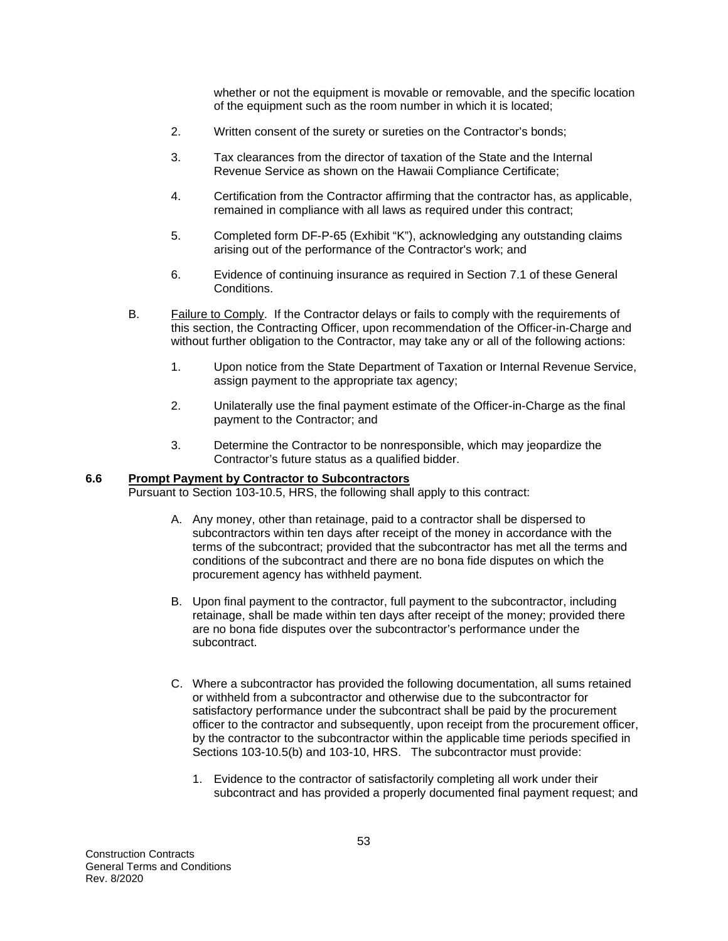whether or not the equipment is movable or removable, and the specific location of the equipment such as the room number in which it is located;

- 2. Written consent of the surety or sureties on the Contractor's bonds;
- 3. Tax clearances from the director of taxation of the State and the Internal Revenue Service as shown on the Hawaii Compliance Certificate;
- 4. Certification from the Contractor affirming that the contractor has, as applicable, remained in compliance with all laws as required under this contract;
- 5. Completed form DF-P-65 (Exhibit "K"), acknowledging any outstanding claims arising out of the performance of the Contractor's work; and
- 6. Evidence of continuing insurance as required in Section 7.1 of these General Conditions.
- B. Failure to Comply. If the Contractor delays or fails to comply with the requirements of this section, the Contracting Officer, upon recommendation of the Officer-in-Charge and without further obligation to the Contractor, may take any or all of the following actions:
	- 1. Upon notice from the State Department of Taxation or Internal Revenue Service, assign payment to the appropriate tax agency;
	- 2. Unilaterally use the final payment estimate of the Officer-in-Charge as the final payment to the Contractor; and
	- 3. Determine the Contractor to be nonresponsible, which may jeopardize the Contractor's future status as a qualified bidder.

#### **6.6 Prompt Payment by Contractor to Subcontractors**

Pursuant to Section 103-10.5, HRS, the following shall apply to this contract:

- A. Any money, other than retainage, paid to a contractor shall be dispersed to subcontractors within ten days after receipt of the money in accordance with the terms of the subcontract; provided that the subcontractor has met all the terms and conditions of the subcontract and there are no bona fide disputes on which the procurement agency has withheld payment.
- B. Upon final payment to the contractor, full payment to the subcontractor, including retainage, shall be made within ten days after receipt of the money; provided there are no bona fide disputes over the subcontractor's performance under the subcontract.
- C. Where a subcontractor has provided the following documentation, all sums retained or withheld from a subcontractor and otherwise due to the subcontractor for satisfactory performance under the subcontract shall be paid by the procurement officer to the contractor and subsequently, upon receipt from the procurement officer, by the contractor to the subcontractor within the applicable time periods specified in Sections 103-10.5(b) and 103-10, HRS. The subcontractor must provide:
	- 1. Evidence to the contractor of satisfactorily completing all work under their subcontract and has provided a properly documented final payment request; and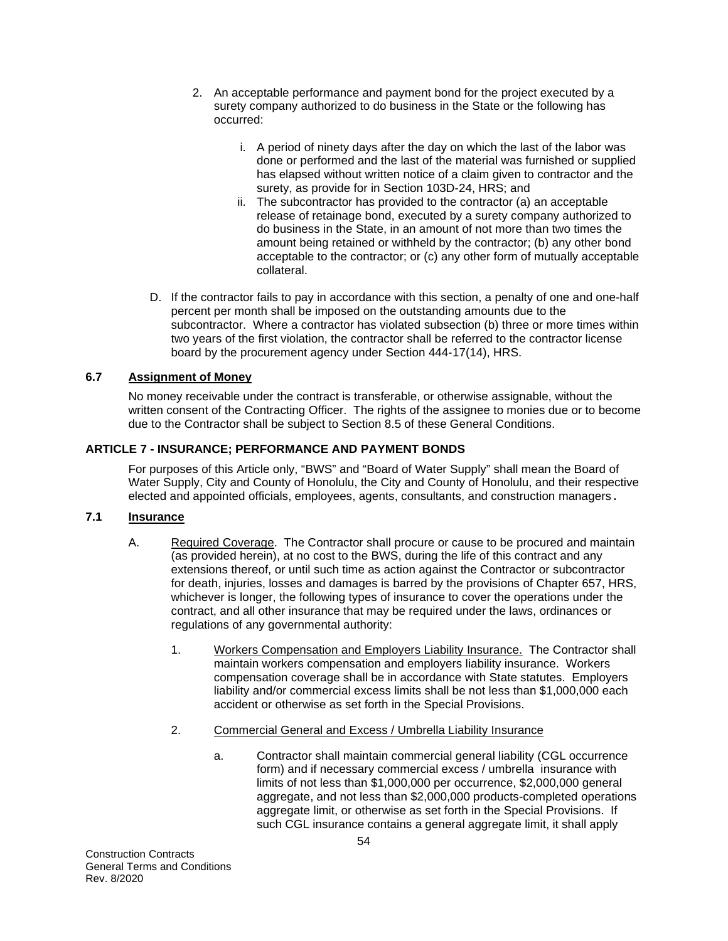- 2. An acceptable performance and payment bond for the project executed by a surety company authorized to do business in the State or the following has occurred:
	- i. A period of ninety days after the day on which the last of the labor was done or performed and the last of the material was furnished or supplied has elapsed without written notice of a claim given to contractor and the surety, as provide for in Section 103D-24, HRS; and
	- ii. The subcontractor has provided to the contractor (a) an acceptable release of retainage bond, executed by a surety company authorized to do business in the State, in an amount of not more than two times the amount being retained or withheld by the contractor; (b) any other bond acceptable to the contractor; or (c) any other form of mutually acceptable collateral.
- D. If the contractor fails to pay in accordance with this section, a penalty of one and one-half percent per month shall be imposed on the outstanding amounts due to the subcontractor. Where a contractor has violated subsection (b) three or more times within two years of the first violation, the contractor shall be referred to the contractor license board by the procurement agency under Section 444-17(14), HRS.

# **6.7 Assignment of Money**

No money receivable under the contract is transferable, or otherwise assignable, without the written consent of the Contracting Officer. The rights of the assignee to monies due or to become due to the Contractor shall be subject to Section 8.5 of these General Conditions.

# **ARTICLE 7 - INSURANCE; PERFORMANCE AND PAYMENT BONDS**

For purposes of this Article only, "BWS" and "Board of Water Supply" shall mean the Board of Water Supply, City and County of Honolulu, the City and County of Honolulu, and their respective elected and appointed officials, employees, agents, consultants, and construction managers.

## **7.1 Insurance**

- A. Required Coverage. The Contractor shall procure or cause to be procured and maintain (as provided herein), at no cost to the BWS, during the life of this contract and any extensions thereof, or until such time as action against the Contractor or subcontractor for death, injuries, losses and damages is barred by the provisions of Chapter 657, HRS, whichever is longer, the following types of insurance to cover the operations under the contract, and all other insurance that may be required under the laws, ordinances or regulations of any governmental authority:
	- 1. Workers Compensation and Employers Liability Insurance. The Contractor shall maintain workers compensation and employers liability insurance. Workers compensation coverage shall be in accordance with State statutes. Employers liability and/or commercial excess limits shall be not less than \$1,000,000 each accident or otherwise as set forth in the Special Provisions.
	- 2. Commercial General and Excess / Umbrella Liability Insurance
		- a. Contractor shall maintain commercial general liability (CGL occurrence form) and if necessary commercial excess / umbrella insurance with limits of not less than \$1,000,000 per occurrence, \$2,000,000 general aggregate, and not less than \$2,000,000 products-completed operations aggregate limit, or otherwise as set forth in the Special Provisions. If such CGL insurance contains a general aggregate limit, it shall apply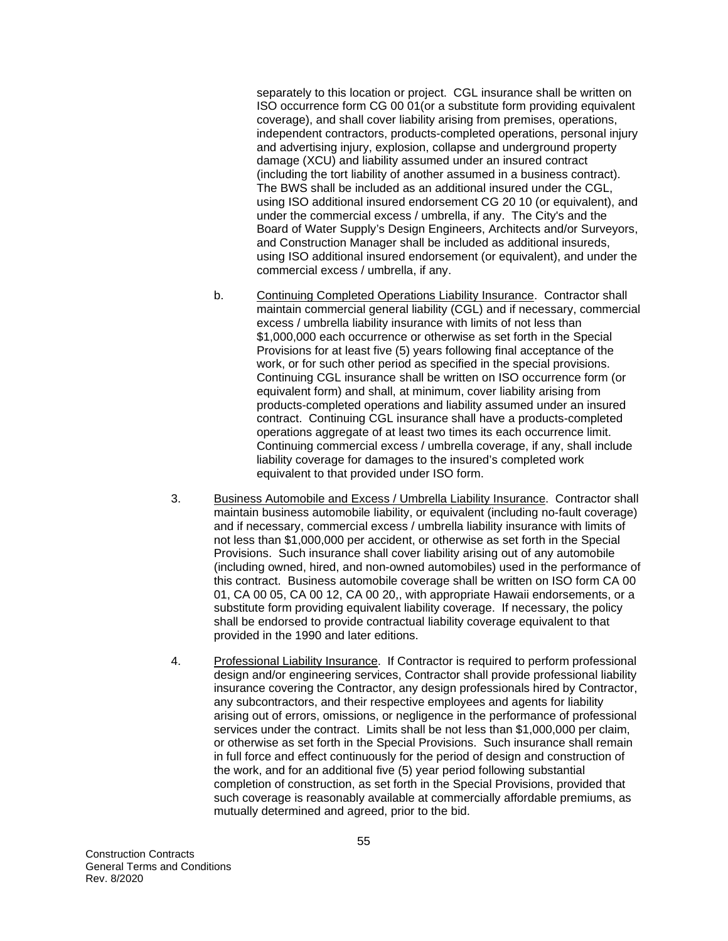separately to this location or project. CGL insurance shall be written on ISO occurrence form CG 00 01(or a substitute form providing equivalent coverage), and shall cover liability arising from premises, operations, independent contractors, products-completed operations, personal injury and advertising injury, explosion, collapse and underground property damage (XCU) and liability assumed under an insured contract (including the tort liability of another assumed in a business contract). The BWS shall be included as an additional insured under the CGL, using ISO additional insured endorsement CG 20 10 (or equivalent), and under the commercial excess / umbrella, if any. The City's and the Board of Water Supply's Design Engineers, Architects and/or Surveyors, and Construction Manager shall be included as additional insureds, using ISO additional insured endorsement (or equivalent), and under the commercial excess / umbrella, if any.

- b. Continuing Completed Operations Liability Insurance. Contractor shall maintain commercial general liability (CGL) and if necessary, commercial excess / umbrella liability insurance with limits of not less than \$1,000,000 each occurrence or otherwise as set forth in the Special Provisions for at least five (5) years following final acceptance of the work, or for such other period as specified in the special provisions. Continuing CGL insurance shall be written on ISO occurrence form (or equivalent form) and shall, at minimum, cover liability arising from products-completed operations and liability assumed under an insured contract. Continuing CGL insurance shall have a products-completed operations aggregate of at least two times its each occurrence limit. Continuing commercial excess / umbrella coverage, if any, shall include liability coverage for damages to the insured's completed work equivalent to that provided under ISO form.
- 3. Business Automobile and Excess / Umbrella Liability Insurance. Contractor shall maintain business automobile liability, or equivalent (including no-fault coverage) and if necessary, commercial excess / umbrella liability insurance with limits of not less than \$1,000,000 per accident, or otherwise as set forth in the Special Provisions. Such insurance shall cover liability arising out of any automobile (including owned, hired, and non-owned automobiles) used in the performance of this contract. Business automobile coverage shall be written on ISO form CA 00 01, CA 00 05, CA 00 12, CA 00 20,, with appropriate Hawaii endorsements, or a substitute form providing equivalent liability coverage. If necessary, the policy shall be endorsed to provide contractual liability coverage equivalent to that provided in the 1990 and later editions.
- 4. Professional Liability Insurance. If Contractor is required to perform professional design and/or engineering services, Contractor shall provide professional liability insurance covering the Contractor, any design professionals hired by Contractor, any subcontractors, and their respective employees and agents for liability arising out of errors, omissions, or negligence in the performance of professional services under the contract. Limits shall be not less than \$1,000,000 per claim, or otherwise as set forth in the Special Provisions. Such insurance shall remain in full force and effect continuously for the period of design and construction of the work, and for an additional five (5) year period following substantial completion of construction, as set forth in the Special Provisions, provided that such coverage is reasonably available at commercially affordable premiums, as mutually determined and agreed, prior to the bid.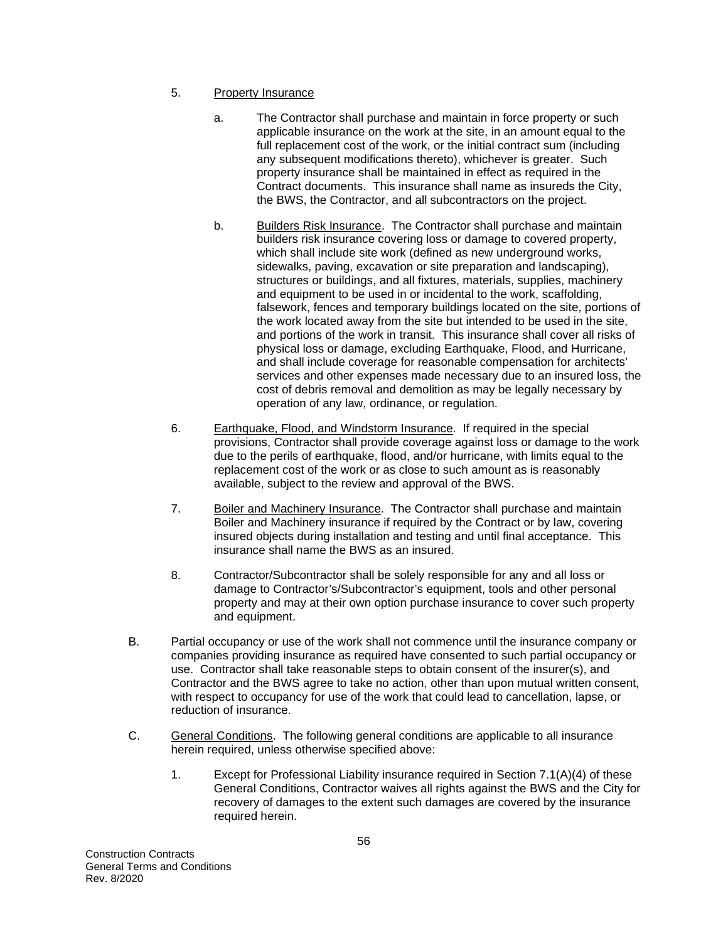- 5. Property Insurance
	- a. The Contractor shall purchase and maintain in force property or such applicable insurance on the work at the site, in an amount equal to the full replacement cost of the work, or the initial contract sum (including any subsequent modifications thereto), whichever is greater. Such property insurance shall be maintained in effect as required in the Contract documents. This insurance shall name as insureds the City, the BWS, the Contractor, and all subcontractors on the project.
	- b. Builders Risk Insurance. The Contractor shall purchase and maintain builders risk insurance covering loss or damage to covered property, which shall include site work (defined as new underground works, sidewalks, paving, excavation or site preparation and landscaping), structures or buildings, and all fixtures, materials, supplies, machinery and equipment to be used in or incidental to the work, scaffolding, falsework, fences and temporary buildings located on the site, portions of the work located away from the site but intended to be used in the site, and portions of the work in transit. This insurance shall cover all risks of physical loss or damage, excluding Earthquake, Flood, and Hurricane, and shall include coverage for reasonable compensation for architects' services and other expenses made necessary due to an insured loss, the cost of debris removal and demolition as may be legally necessary by operation of any law, ordinance, or regulation.
- 6. Earthquake, Flood, and Windstorm Insurance. If required in the special provisions, Contractor shall provide coverage against loss or damage to the work due to the perils of earthquake, flood, and/or hurricane, with limits equal to the replacement cost of the work or as close to such amount as is reasonably available, subject to the review and approval of the BWS.
- 7. Boiler and Machinery Insurance. The Contractor shall purchase and maintain Boiler and Machinery insurance if required by the Contract or by law, covering insured objects during installation and testing and until final acceptance. This insurance shall name the BWS as an insured.
- 8. Contractor/Subcontractor shall be solely responsible for any and all loss or damage to Contractor's/Subcontractor's equipment, tools and other personal property and may at their own option purchase insurance to cover such property and equipment.
- B. Partial occupancy or use of the work shall not commence until the insurance company or companies providing insurance as required have consented to such partial occupancy or use. Contractor shall take reasonable steps to obtain consent of the insurer(s), and Contractor and the BWS agree to take no action, other than upon mutual written consent, with respect to occupancy for use of the work that could lead to cancellation, lapse, or reduction of insurance.
- C. General Conditions. The following general conditions are applicable to all insurance herein required, unless otherwise specified above:
	- 1. Except for Professional Liability insurance required in Section 7.1(A)(4) of these General Conditions, Contractor waives all rights against the BWS and the City for recovery of damages to the extent such damages are covered by the insurance required herein.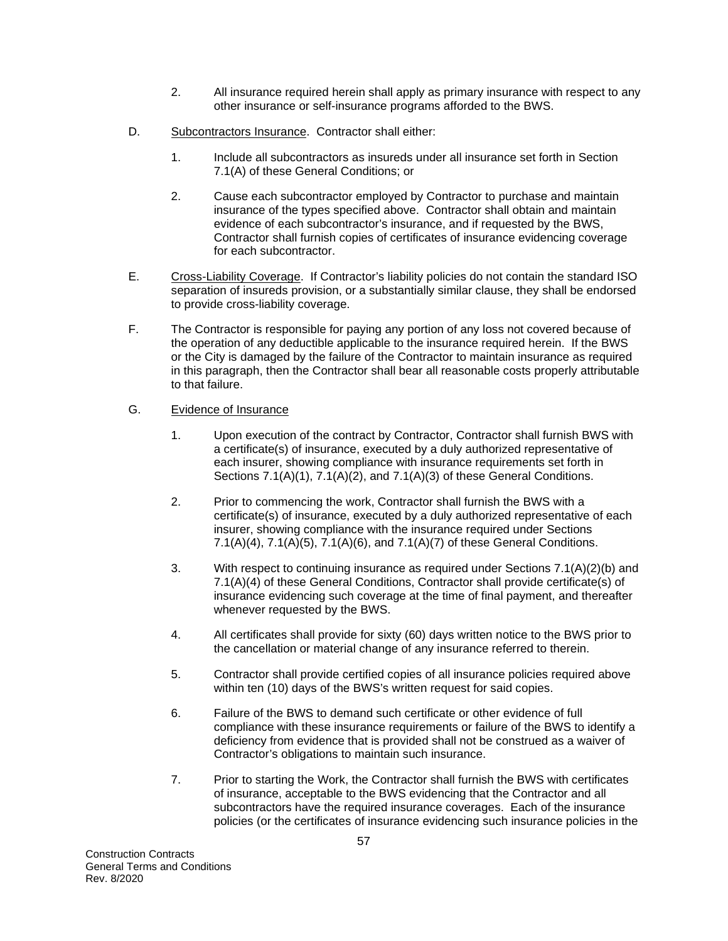- 2. All insurance required herein shall apply as primary insurance with respect to any other insurance or self-insurance programs afforded to the BWS.
- D. Subcontractors Insurance. Contractor shall either:
	- 1. Include all subcontractors as insureds under all insurance set forth in Section 7.1(A) of these General Conditions; or
	- 2. Cause each subcontractor employed by Contractor to purchase and maintain insurance of the types specified above. Contractor shall obtain and maintain evidence of each subcontractor's insurance, and if requested by the BWS, Contractor shall furnish copies of certificates of insurance evidencing coverage for each subcontractor.
- E. Cross-Liability Coverage. If Contractor's liability policies do not contain the standard ISO separation of insureds provision, or a substantially similar clause, they shall be endorsed to provide cross-liability coverage.
- F. The Contractor is responsible for paying any portion of any loss not covered because of the operation of any deductible applicable to the insurance required herein. If the BWS or the City is damaged by the failure of the Contractor to maintain insurance as required in this paragraph, then the Contractor shall bear all reasonable costs properly attributable to that failure.

## G. Evidence of Insurance

- 1. Upon execution of the contract by Contractor, Contractor shall furnish BWS with a certificate(s) of insurance, executed by a duly authorized representative of each insurer, showing compliance with insurance requirements set forth in Sections 7.1(A)(1), 7.1(A)(2), and 7.1(A)(3) of these General Conditions.
- 2. Prior to commencing the work, Contractor shall furnish the BWS with a certificate(s) of insurance, executed by a duly authorized representative of each insurer, showing compliance with the insurance required under Sections 7.1(A)(4), 7.1(A)(5), 7.1(A)(6), and 7.1(A)(7) of these General Conditions.
- 3. With respect to continuing insurance as required under Sections 7.1(A)(2)(b) and 7.1(A)(4) of these General Conditions, Contractor shall provide certificate(s) of insurance evidencing such coverage at the time of final payment, and thereafter whenever requested by the BWS.
- 4. All certificates shall provide for sixty (60) days written notice to the BWS prior to the cancellation or material change of any insurance referred to therein.
- 5. Contractor shall provide certified copies of all insurance policies required above within ten (10) days of the BWS's written request for said copies.
- 6. Failure of the BWS to demand such certificate or other evidence of full compliance with these insurance requirements or failure of the BWS to identify a deficiency from evidence that is provided shall not be construed as a waiver of Contractor's obligations to maintain such insurance.
- 7. Prior to starting the Work, the Contractor shall furnish the BWS with certificates of insurance, acceptable to the BWS evidencing that the Contractor and all subcontractors have the required insurance coverages. Each of the insurance policies (or the certificates of insurance evidencing such insurance policies in the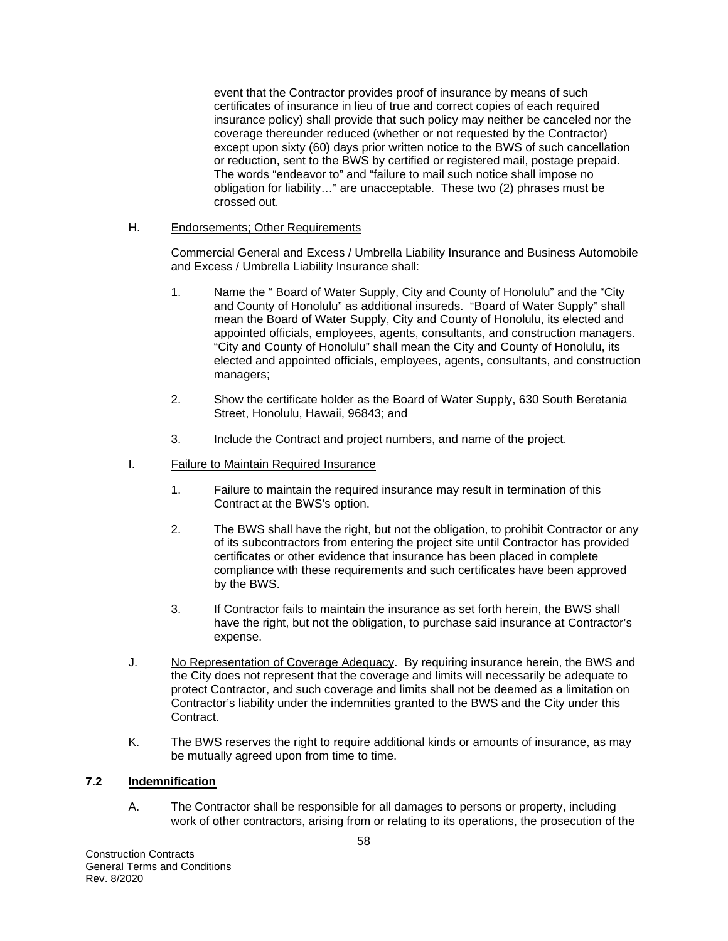event that the Contractor provides proof of insurance by means of such certificates of insurance in lieu of true and correct copies of each required insurance policy) shall provide that such policy may neither be canceled nor the coverage thereunder reduced (whether or not requested by the Contractor) except upon sixty (60) days prior written notice to the BWS of such cancellation or reduction, sent to the BWS by certified or registered mail, postage prepaid. The words "endeavor to" and "failure to mail such notice shall impose no obligation for liability…" are unacceptable. These two (2) phrases must be crossed out.

## H. Endorsements; Other Requirements

Commercial General and Excess / Umbrella Liability Insurance and Business Automobile and Excess / Umbrella Liability Insurance shall:

- 1. Name the " Board of Water Supply, City and County of Honolulu" and the "City and County of Honolulu" as additional insureds. "Board of Water Supply" shall mean the Board of Water Supply, City and County of Honolulu, its elected and appointed officials, employees, agents, consultants, and construction managers. "City and County of Honolulu" shall mean the City and County of Honolulu, its elected and appointed officials, employees, agents, consultants, and construction managers;
- 2. Show the certificate holder as the Board of Water Supply, 630 South Beretania Street, Honolulu, Hawaii, 96843; and
- 3. Include the Contract and project numbers, and name of the project.
- I. Failure to Maintain Required Insurance
	- 1. Failure to maintain the required insurance may result in termination of this Contract at the BWS's option.
	- 2. The BWS shall have the right, but not the obligation, to prohibit Contractor or any of its subcontractors from entering the project site until Contractor has provided certificates or other evidence that insurance has been placed in complete compliance with these requirements and such certificates have been approved by the BWS.
	- 3. If Contractor fails to maintain the insurance as set forth herein, the BWS shall have the right, but not the obligation, to purchase said insurance at Contractor's expense.
- J. No Representation of Coverage Adequacy. By requiring insurance herein, the BWS and the City does not represent that the coverage and limits will necessarily be adequate to protect Contractor, and such coverage and limits shall not be deemed as a limitation on Contractor's liability under the indemnities granted to the BWS and the City under this Contract.
- K. The BWS reserves the right to require additional kinds or amounts of insurance, as may be mutually agreed upon from time to time.

## **7.2 Indemnification**

A. The Contractor shall be responsible for all damages to persons or property, including work of other contractors, arising from or relating to its operations, the prosecution of the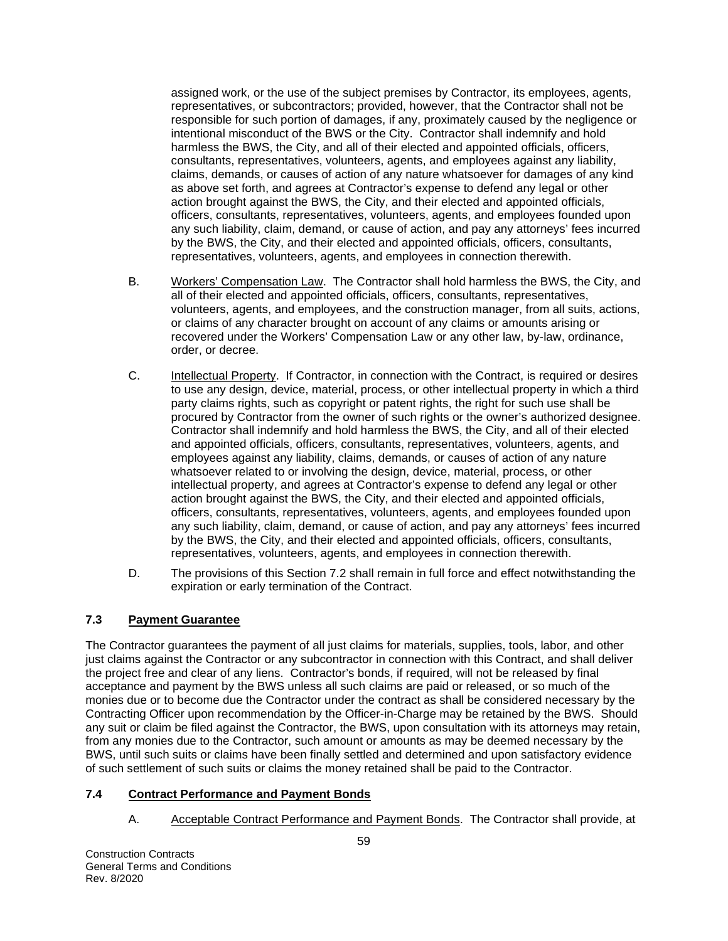assigned work, or the use of the subject premises by Contractor, its employees, agents, representatives, or subcontractors; provided, however, that the Contractor shall not be responsible for such portion of damages, if any, proximately caused by the negligence or intentional misconduct of the BWS or the City. Contractor shall indemnify and hold harmless the BWS, the City, and all of their elected and appointed officials, officers, consultants, representatives, volunteers, agents, and employees against any liability, claims, demands, or causes of action of any nature whatsoever for damages of any kind as above set forth, and agrees at Contractor's expense to defend any legal or other action brought against the BWS, the City, and their elected and appointed officials, officers, consultants, representatives, volunteers, agents, and employees founded upon any such liability, claim, demand, or cause of action, and pay any attorneys' fees incurred by the BWS, the City, and their elected and appointed officials, officers, consultants, representatives, volunteers, agents, and employees in connection therewith.

- B. Workers' Compensation Law. The Contractor shall hold harmless the BWS, the City, and all of their elected and appointed officials, officers, consultants, representatives, volunteers, agents, and employees, and the construction manager, from all suits, actions, or claims of any character brought on account of any claims or amounts arising or recovered under the Workers' Compensation Law or any other law, by-law, ordinance, order, or decree.
- C. Intellectual Property. If Contractor, in connection with the Contract, is required or desires to use any design, device, material, process, or other intellectual property in which a third party claims rights, such as copyright or patent rights, the right for such use shall be procured by Contractor from the owner of such rights or the owner's authorized designee. Contractor shall indemnify and hold harmless the BWS, the City, and all of their elected and appointed officials, officers, consultants, representatives, volunteers, agents, and employees against any liability, claims, demands, or causes of action of any nature whatsoever related to or involving the design, device, material, process, or other intellectual property, and agrees at Contractor's expense to defend any legal or other action brought against the BWS, the City, and their elected and appointed officials, officers, consultants, representatives, volunteers, agents, and employees founded upon any such liability, claim, demand, or cause of action, and pay any attorneys' fees incurred by the BWS, the City, and their elected and appointed officials, officers, consultants, representatives, volunteers, agents, and employees in connection therewith.
- D. The provisions of this Section 7.2 shall remain in full force and effect notwithstanding the expiration or early termination of the Contract.

# **7.3 Payment Guarantee**

The Contractor guarantees the payment of all just claims for materials, supplies, tools, labor, and other just claims against the Contractor or any subcontractor in connection with this Contract, and shall deliver the project free and clear of any liens. Contractor's bonds, if required, will not be released by final acceptance and payment by the BWS unless all such claims are paid or released, or so much of the monies due or to become due the Contractor under the contract as shall be considered necessary by the Contracting Officer upon recommendation by the Officer-in-Charge may be retained by the BWS. Should any suit or claim be filed against the Contractor, the BWS, upon consultation with its attorneys may retain, from any monies due to the Contractor, such amount or amounts as may be deemed necessary by the BWS, until such suits or claims have been finally settled and determined and upon satisfactory evidence of such settlement of such suits or claims the money retained shall be paid to the Contractor.

## **7.4 Contract Performance and Payment Bonds**

A. Acceptable Contract Performance and Payment Bonds. The Contractor shall provide, at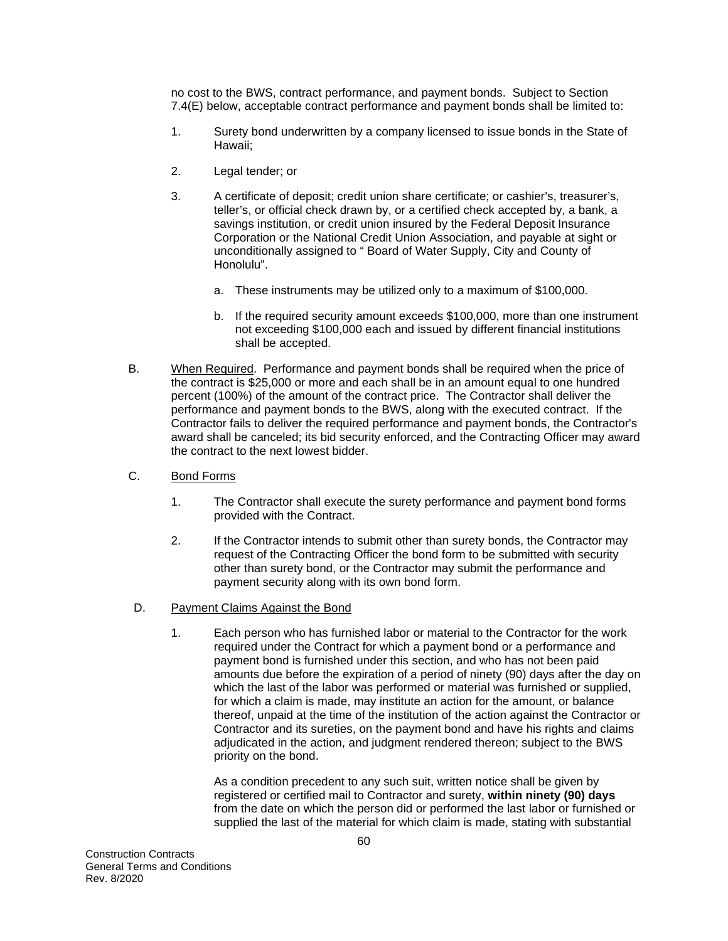no cost to the BWS, contract performance, and payment bonds. Subject to Section 7.4(E) below, acceptable contract performance and payment bonds shall be limited to:

- 1. Surety bond underwritten by a company licensed to issue bonds in the State of Hawaii;
- 2. Legal tender; or
- 3. A certificate of deposit; credit union share certificate; or cashier's, treasurer's, teller's, or official check drawn by, or a certified check accepted by, a bank, a savings institution, or credit union insured by the Federal Deposit Insurance Corporation or the National Credit Union Association, and payable at sight or unconditionally assigned to " Board of Water Supply, City and County of Honolulu".
	- a. These instruments may be utilized only to a maximum of \$100,000.
	- b. If the required security amount exceeds \$100,000, more than one instrument not exceeding \$100,000 each and issued by different financial institutions shall be accepted.
- B. When Required. Performance and payment bonds shall be required when the price of the contract is \$25,000 or more and each shall be in an amount equal to one hundred percent (100%) of the amount of the contract price. The Contractor shall deliver the performance and payment bonds to the BWS, along with the executed contract. If the Contractor fails to deliver the required performance and payment bonds, the Contractor's award shall be canceled; its bid security enforced, and the Contracting Officer may award the contract to the next lowest bidder.
- C. Bond Forms
	- 1. The Contractor shall execute the surety performance and payment bond forms provided with the Contract.
	- 2. If the Contractor intends to submit other than surety bonds, the Contractor may request of the Contracting Officer the bond form to be submitted with security other than surety bond, or the Contractor may submit the performance and payment security along with its own bond form.
- D. Payment Claims Against the Bond
	- 1. Each person who has furnished labor or material to the Contractor for the work required under the Contract for which a payment bond or a performance and payment bond is furnished under this section, and who has not been paid amounts due before the expiration of a period of ninety (90) days after the day on which the last of the labor was performed or material was furnished or supplied, for which a claim is made, may institute an action for the amount, or balance thereof, unpaid at the time of the institution of the action against the Contractor or Contractor and its sureties, on the payment bond and have his rights and claims adjudicated in the action, and judgment rendered thereon; subject to the BWS priority on the bond.

As a condition precedent to any such suit, written notice shall be given by registered or certified mail to Contractor and surety, **within ninety (90) days**  from the date on which the person did or performed the last labor or furnished or supplied the last of the material for which claim is made, stating with substantial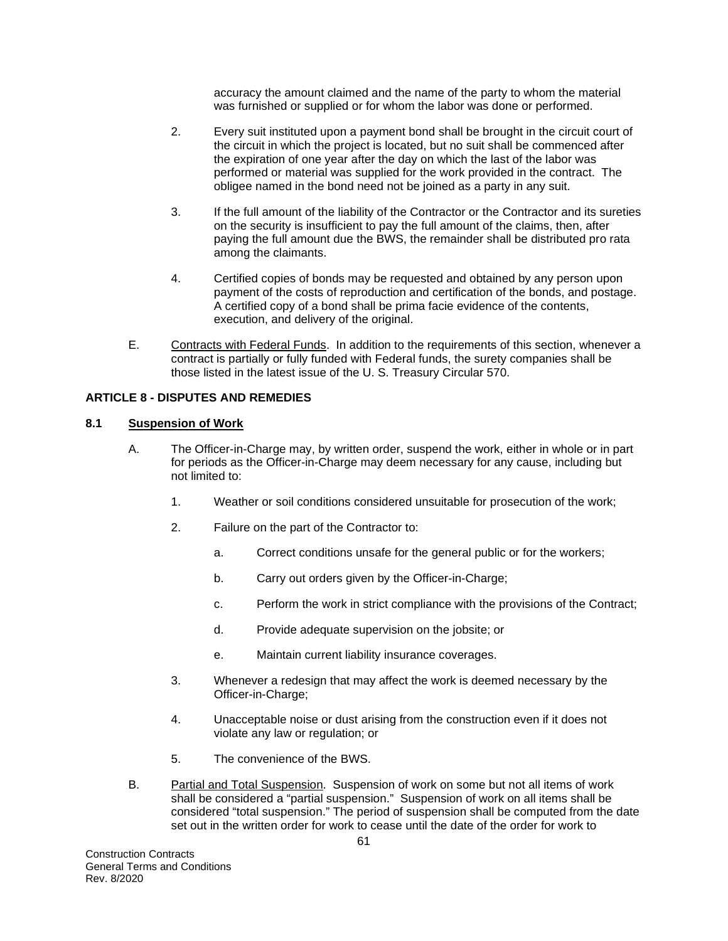accuracy the amount claimed and the name of the party to whom the material was furnished or supplied or for whom the labor was done or performed.

- 2. Every suit instituted upon a payment bond shall be brought in the circuit court of the circuit in which the project is located, but no suit shall be commenced after the expiration of one year after the day on which the last of the labor was performed or material was supplied for the work provided in the contract. The obligee named in the bond need not be joined as a party in any suit.
- 3. If the full amount of the liability of the Contractor or the Contractor and its sureties on the security is insufficient to pay the full amount of the claims, then, after paying the full amount due the BWS, the remainder shall be distributed pro rata among the claimants.
- 4. Certified copies of bonds may be requested and obtained by any person upon payment of the costs of reproduction and certification of the bonds, and postage. A certified copy of a bond shall be prima facie evidence of the contents, execution, and delivery of the original.
- E. Contracts with Federal Funds. In addition to the requirements of this section, whenever a contract is partially or fully funded with Federal funds, the surety companies shall be those listed in the latest issue of the U. S. Treasury Circular 570.

# **ARTICLE 8 - DISPUTES AND REMEDIES**

# **8.1 Suspension of Work**

- A. The Officer-in-Charge may, by written order, suspend the work, either in whole or in part for periods as the Officer-in-Charge may deem necessary for any cause, including but not limited to:
	- 1. Weather or soil conditions considered unsuitable for prosecution of the work;
	- 2. Failure on the part of the Contractor to:
		- a. Correct conditions unsafe for the general public or for the workers;
		- b. Carry out orders given by the Officer-in-Charge;
		- c. Perform the work in strict compliance with the provisions of the Contract;
		- d. Provide adequate supervision on the jobsite; or
		- e. Maintain current liability insurance coverages.
	- 3. Whenever a redesign that may affect the work is deemed necessary by the Officer-in-Charge;
	- 4. Unacceptable noise or dust arising from the construction even if it does not violate any law or regulation; or
	- 5. The convenience of the BWS.
- B. Partial and Total Suspension. Suspension of work on some but not all items of work shall be considered a "partial suspension." Suspension of work on all items shall be considered "total suspension." The period of suspension shall be computed from the date set out in the written order for work to cease until the date of the order for work to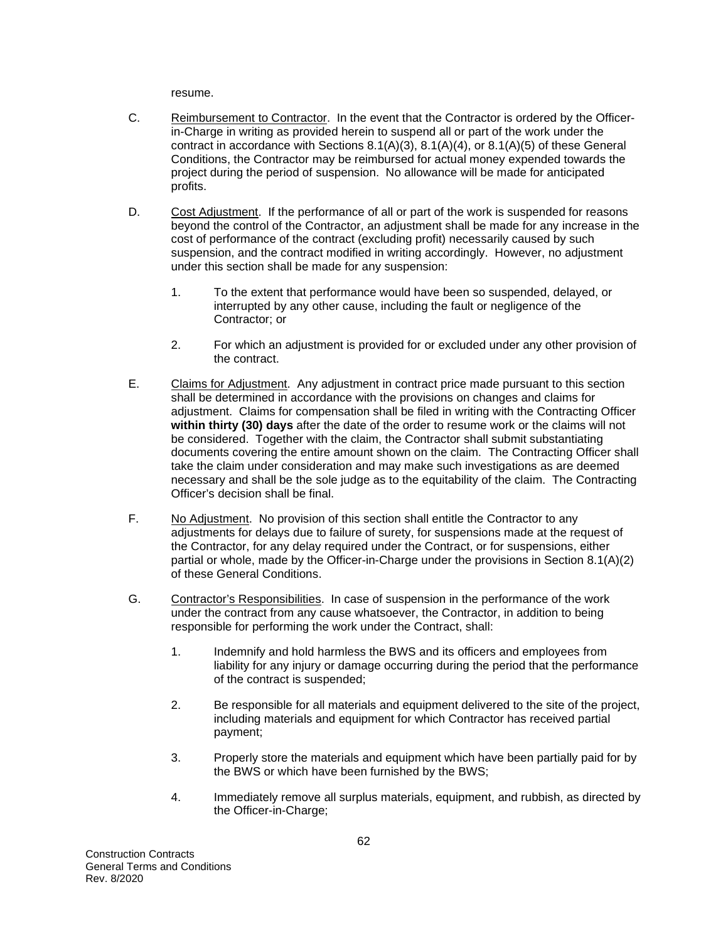resume.

- C. Reimbursement to Contractor. In the event that the Contractor is ordered by the Officerin-Charge in writing as provided herein to suspend all or part of the work under the contract in accordance with Sections 8.1(A)(3), 8.1(A)(4), or 8.1(A)(5) of these General Conditions, the Contractor may be reimbursed for actual money expended towards the project during the period of suspension. No allowance will be made for anticipated profits.
- D. Cost Adjustment. If the performance of all or part of the work is suspended for reasons beyond the control of the Contractor, an adjustment shall be made for any increase in the cost of performance of the contract (excluding profit) necessarily caused by such suspension, and the contract modified in writing accordingly. However, no adjustment under this section shall be made for any suspension:
	- 1. To the extent that performance would have been so suspended, delayed, or interrupted by any other cause, including the fault or negligence of the Contractor; or
	- 2. For which an adjustment is provided for or excluded under any other provision of the contract.
- E. Claims for Adjustment. Any adjustment in contract price made pursuant to this section shall be determined in accordance with the provisions on changes and claims for adjustment. Claims for compensation shall be filed in writing with the Contracting Officer **within thirty (30) days** after the date of the order to resume work or the claims will not be considered. Together with the claim, the Contractor shall submit substantiating documents covering the entire amount shown on the claim. The Contracting Officer shall take the claim under consideration and may make such investigations as are deemed necessary and shall be the sole judge as to the equitability of the claim. The Contracting Officer's decision shall be final.
- F. No Adjustment. No provision of this section shall entitle the Contractor to any adjustments for delays due to failure of surety, for suspensions made at the request of the Contractor, for any delay required under the Contract, or for suspensions, either partial or whole, made by the Officer-in-Charge under the provisions in Section 8.1(A)(2) of these General Conditions.
- G. Contractor's Responsibilities. In case of suspension in the performance of the work under the contract from any cause whatsoever, the Contractor, in addition to being responsible for performing the work under the Contract, shall:
	- 1. Indemnify and hold harmless the BWS and its officers and employees from liability for any injury or damage occurring during the period that the performance of the contract is suspended;
	- 2. Be responsible for all materials and equipment delivered to the site of the project, including materials and equipment for which Contractor has received partial payment;
	- 3. Properly store the materials and equipment which have been partially paid for by the BWS or which have been furnished by the BWS;
	- 4. Immediately remove all surplus materials, equipment, and rubbish, as directed by the Officer-in-Charge;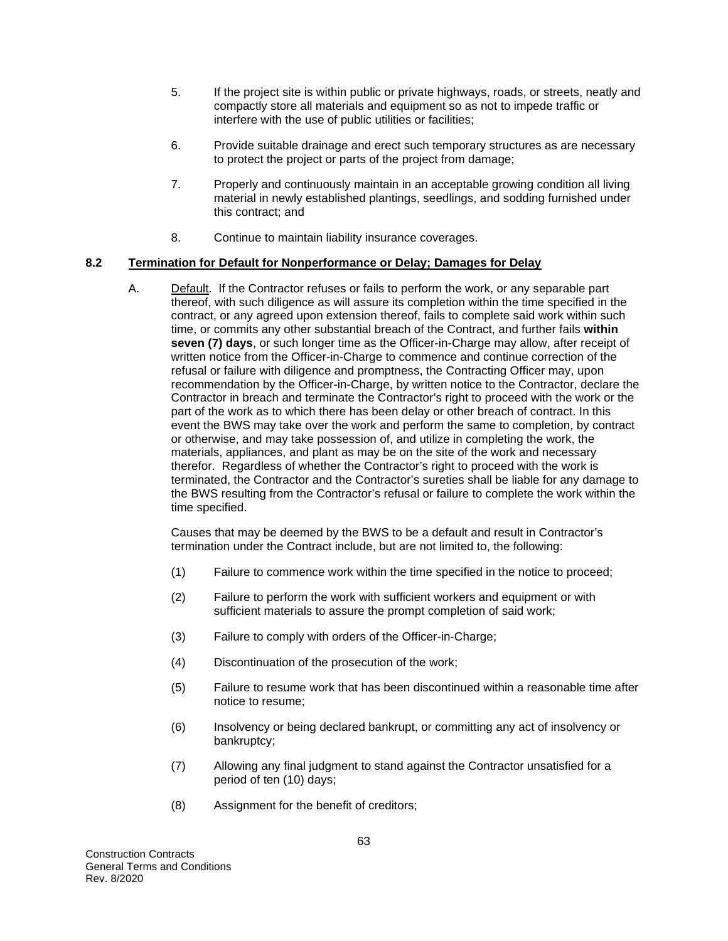- 5. If the project site is within public or private highways, roads, or streets, neatly and compactly store all materials and equipment so as not to impede traffic or interfere with the use of public utilities or facilities;
- 6. Provide suitable drainage and erect such temporary structures as are necessary to protect the project or parts of the project from damage;
- 7. Properly and continuously maintain in an acceptable growing condition all living material in newly established plantings, seedlings, and sodding furnished under this contract; and
- 8. Continue to maintain liability insurance coverages.

### **8.2 Termination for Default for Nonperformance or Delay; Damages for Delay**

A. Default. If the Contractor refuses or fails to perform the work, or any separable part thereof, with such diligence as will assure its completion within the time specified in the contract, or any agreed upon extension thereof, fails to complete said work within such time, or commits any other substantial breach of the Contract, and further fails **within seven (7) days**, or such longer time as the Officer-in-Charge may allow, after receipt of written notice from the Officer-in-Charge to commence and continue correction of the refusal or failure with diligence and promptness, the Contracting Officer may, upon recommendation by the Officer-in-Charge, by written notice to the Contractor, declare the Contractor in breach and terminate the Contractor's right to proceed with the work or the part of the work as to which there has been delay or other breach of contract. In this event the BWS may take over the work and perform the same to completion, by contract or otherwise, and may take possession of, and utilize in completing the work, the materials, appliances, and plant as may be on the site of the work and necessary therefor. Regardless of whether the Contractor's right to proceed with the work is terminated, the Contractor and the Contractor's sureties shall be liable for any damage to the BWS resulting from the Contractor's refusal or failure to complete the work within the time specified.

Causes that may be deemed by the BWS to be a default and result in Contractor's termination under the Contract include, but are not limited to, the following:

- (1) Failure to commence work within the time specified in the notice to proceed;
- (2) Failure to perform the work with sufficient workers and equipment or with sufficient materials to assure the prompt completion of said work;
- (3) Failure to comply with orders of the Officer-in-Charge;
- (4) Discontinuation of the prosecution of the work;
- (5) Failure to resume work that has been discontinued within a reasonable time after notice to resume;
- (6) Insolvency or being declared bankrupt, or committing any act of insolvency or bankruptcy;
- (7) Allowing any final judgment to stand against the Contractor unsatisfied for a period of ten (10) days;
- (8) Assignment for the benefit of creditors;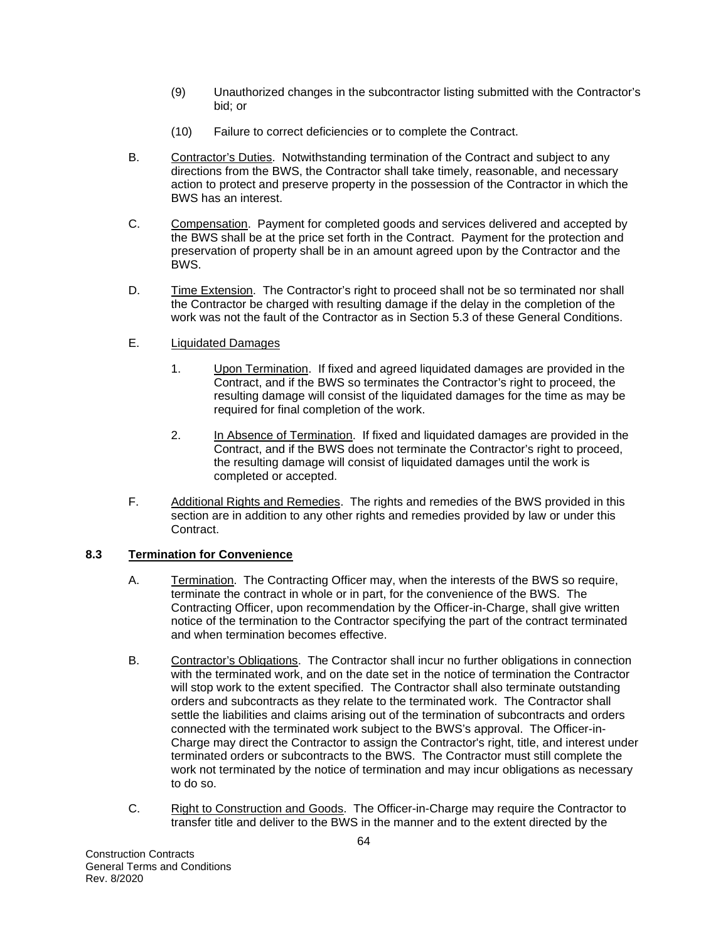- (9) Unauthorized changes in the subcontractor listing submitted with the Contractor's bid; or
- (10) Failure to correct deficiencies or to complete the Contract.
- B. Contractor's Duties. Notwithstanding termination of the Contract and subject to any directions from the BWS, the Contractor shall take timely, reasonable, and necessary action to protect and preserve property in the possession of the Contractor in which the BWS has an interest.
- C. Compensation. Payment for completed goods and services delivered and accepted by the BWS shall be at the price set forth in the Contract. Payment for the protection and preservation of property shall be in an amount agreed upon by the Contractor and the BWS.
- D. Time Extension. The Contractor's right to proceed shall not be so terminated nor shall the Contractor be charged with resulting damage if the delay in the completion of the work was not the fault of the Contractor as in Section 5.3 of these General Conditions.
- E. Liquidated Damages
	- 1. Upon Termination. If fixed and agreed liquidated damages are provided in the Contract, and if the BWS so terminates the Contractor's right to proceed, the resulting damage will consist of the liquidated damages for the time as may be required for final completion of the work.
	- 2. In Absence of Termination. If fixed and liquidated damages are provided in the Contract, and if the BWS does not terminate the Contractor's right to proceed, the resulting damage will consist of liquidated damages until the work is completed or accepted.
- F. Additional Rights and Remedies. The rights and remedies of the BWS provided in this section are in addition to any other rights and remedies provided by law or under this Contract.

# **8.3 Termination for Convenience**

- A. Termination. The Contracting Officer may, when the interests of the BWS so require, terminate the contract in whole or in part, for the convenience of the BWS. The Contracting Officer, upon recommendation by the Officer-in-Charge, shall give written notice of the termination to the Contractor specifying the part of the contract terminated and when termination becomes effective.
- B. Contractor's Obligations. The Contractor shall incur no further obligations in connection with the terminated work, and on the date set in the notice of termination the Contractor will stop work to the extent specified. The Contractor shall also terminate outstanding orders and subcontracts as they relate to the terminated work. The Contractor shall settle the liabilities and claims arising out of the termination of subcontracts and orders connected with the terminated work subject to the BWS's approval. The Officer-in-Charge may direct the Contractor to assign the Contractor's right, title, and interest under terminated orders or subcontracts to the BWS. The Contractor must still complete the work not terminated by the notice of termination and may incur obligations as necessary to do so.
- C. Right to Construction and Goods. The Officer-in-Charge may require the Contractor to transfer title and deliver to the BWS in the manner and to the extent directed by the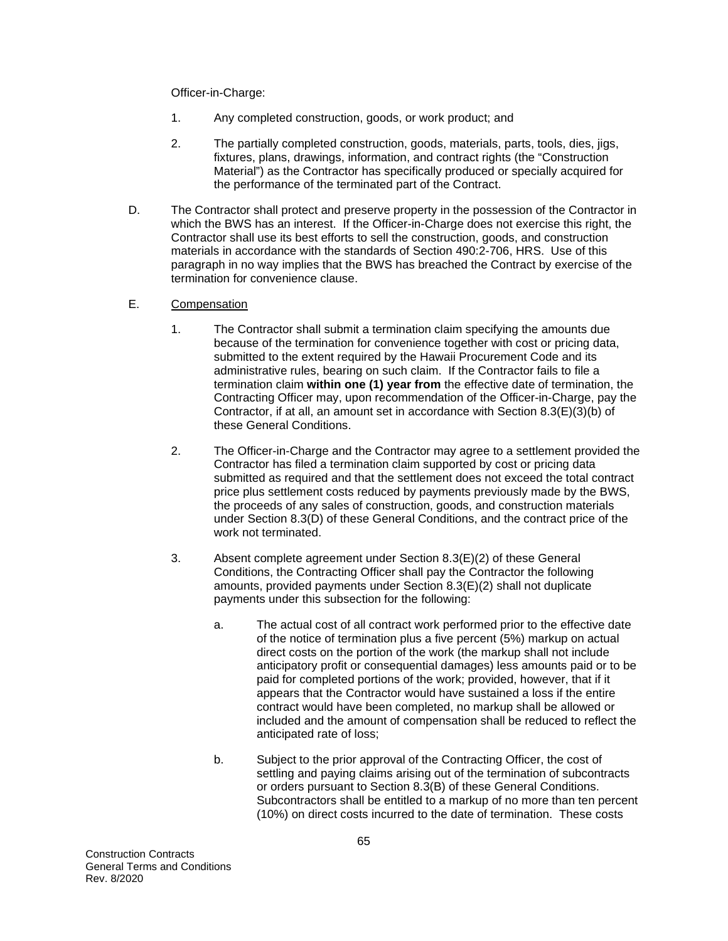Officer-in-Charge:

- 1. Any completed construction, goods, or work product; and
- 2. The partially completed construction, goods, materials, parts, tools, dies, jigs, fixtures, plans, drawings, information, and contract rights (the "Construction Material") as the Contractor has specifically produced or specially acquired for the performance of the terminated part of the Contract.
- D. The Contractor shall protect and preserve property in the possession of the Contractor in which the BWS has an interest. If the Officer-in-Charge does not exercise this right, the Contractor shall use its best efforts to sell the construction, goods, and construction materials in accordance with the standards of Section 490:2-706, HRS. Use of this paragraph in no way implies that the BWS has breached the Contract by exercise of the termination for convenience clause.
- E. Compensation
	- 1. The Contractor shall submit a termination claim specifying the amounts due because of the termination for convenience together with cost or pricing data, submitted to the extent required by the Hawaii Procurement Code and its administrative rules, bearing on such claim. If the Contractor fails to file a termination claim **within one (1) year from** the effective date of termination, the Contracting Officer may, upon recommendation of the Officer-in-Charge, pay the Contractor, if at all, an amount set in accordance with Section 8.3(E)(3)(b) of these General Conditions.
	- 2. The Officer-in-Charge and the Contractor may agree to a settlement provided the Contractor has filed a termination claim supported by cost or pricing data submitted as required and that the settlement does not exceed the total contract price plus settlement costs reduced by payments previously made by the BWS, the proceeds of any sales of construction, goods, and construction materials under Section 8.3(D) of these General Conditions, and the contract price of the work not terminated.
	- 3. Absent complete agreement under Section 8.3(E)(2) of these General Conditions, the Contracting Officer shall pay the Contractor the following amounts, provided payments under Section 8.3(E)(2) shall not duplicate payments under this subsection for the following:
		- a. The actual cost of all contract work performed prior to the effective date of the notice of termination plus a five percent (5%) markup on actual direct costs on the portion of the work (the markup shall not include anticipatory profit or consequential damages) less amounts paid or to be paid for completed portions of the work; provided, however, that if it appears that the Contractor would have sustained a loss if the entire contract would have been completed, no markup shall be allowed or included and the amount of compensation shall be reduced to reflect the anticipated rate of loss;
		- b. Subject to the prior approval of the Contracting Officer, the cost of settling and paying claims arising out of the termination of subcontracts or orders pursuant to Section 8.3(B) of these General Conditions. Subcontractors shall be entitled to a markup of no more than ten percent (10%) on direct costs incurred to the date of termination. These costs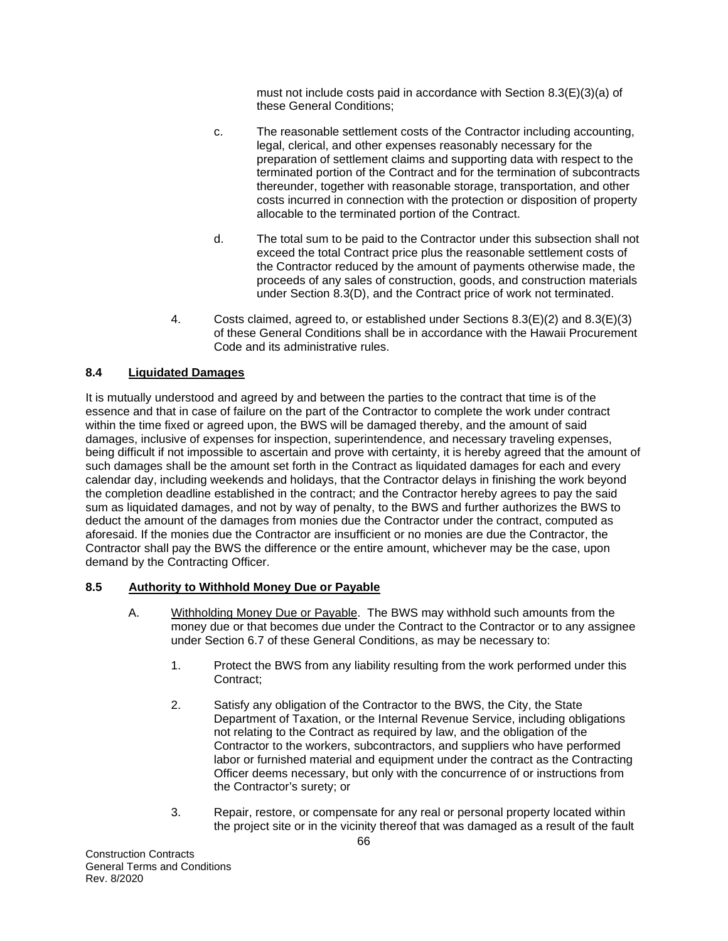must not include costs paid in accordance with Section 8.3(E)(3)(a) of these General Conditions;

- c. The reasonable settlement costs of the Contractor including accounting, legal, clerical, and other expenses reasonably necessary for the preparation of settlement claims and supporting data with respect to the terminated portion of the Contract and for the termination of subcontracts thereunder, together with reasonable storage, transportation, and other costs incurred in connection with the protection or disposition of property allocable to the terminated portion of the Contract.
- d. The total sum to be paid to the Contractor under this subsection shall not exceed the total Contract price plus the reasonable settlement costs of the Contractor reduced by the amount of payments otherwise made, the proceeds of any sales of construction, goods, and construction materials under Section 8.3(D), and the Contract price of work not terminated.
- 4. Costs claimed, agreed to, or established under Sections  $8.3(E)(2)$  and  $8.3(E)(3)$ of these General Conditions shall be in accordance with the Hawaii Procurement Code and its administrative rules.

# **8.4 Liquidated Damages**

It is mutually understood and agreed by and between the parties to the contract that time is of the essence and that in case of failure on the part of the Contractor to complete the work under contract within the time fixed or agreed upon, the BWS will be damaged thereby, and the amount of said damages, inclusive of expenses for inspection, superintendence, and necessary traveling expenses, being difficult if not impossible to ascertain and prove with certainty, it is hereby agreed that the amount of such damages shall be the amount set forth in the Contract as liquidated damages for each and every calendar day, including weekends and holidays, that the Contractor delays in finishing the work beyond the completion deadline established in the contract; and the Contractor hereby agrees to pay the said sum as liquidated damages, and not by way of penalty, to the BWS and further authorizes the BWS to deduct the amount of the damages from monies due the Contractor under the contract, computed as aforesaid. If the monies due the Contractor are insufficient or no monies are due the Contractor, the Contractor shall pay the BWS the difference or the entire amount, whichever may be the case, upon demand by the Contracting Officer.

# **8.5 Authority to Withhold Money Due or Payable**

- A. Withholding Money Due or Payable. The BWS may withhold such amounts from the money due or that becomes due under the Contract to the Contractor or to any assignee under Section 6.7 of these General Conditions, as may be necessary to:
	- 1. Protect the BWS from any liability resulting from the work performed under this Contract;
	- 2. Satisfy any obligation of the Contractor to the BWS, the City, the State Department of Taxation, or the Internal Revenue Service, including obligations not relating to the Contract as required by law, and the obligation of the Contractor to the workers, subcontractors, and suppliers who have performed labor or furnished material and equipment under the contract as the Contracting Officer deems necessary, but only with the concurrence of or instructions from the Contractor's surety; or
	- 3. Repair, restore, or compensate for any real or personal property located within the project site or in the vicinity thereof that was damaged as a result of the fault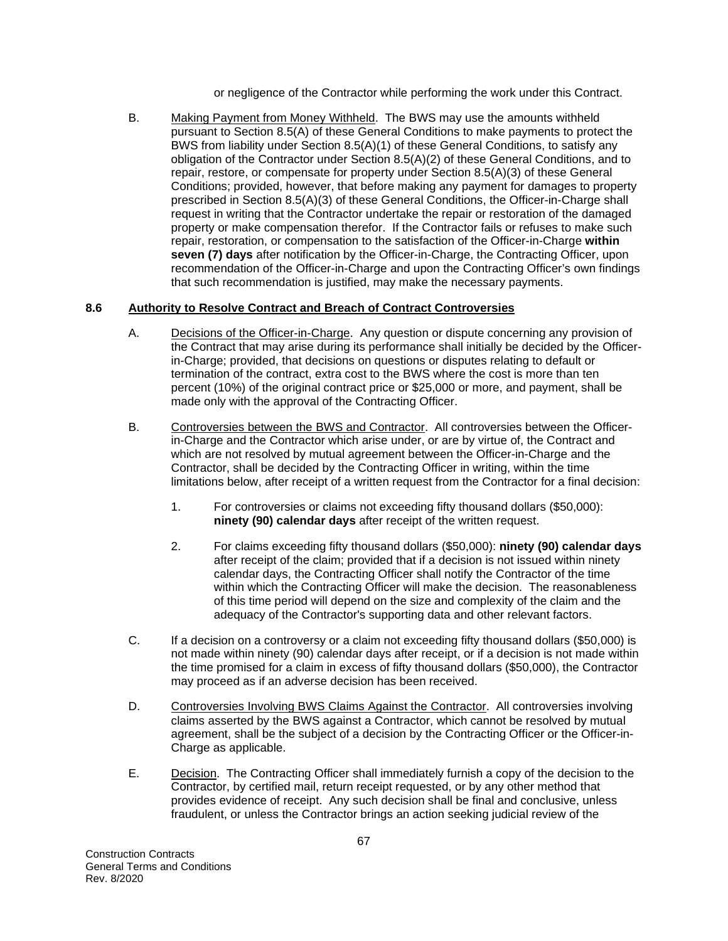or negligence of the Contractor while performing the work under this Contract.

B. Making Payment from Money Withheld. The BWS may use the amounts withheld pursuant to Section 8.5(A) of these General Conditions to make payments to protect the BWS from liability under Section 8.5(A)(1) of these General Conditions, to satisfy any obligation of the Contractor under Section 8.5(A)(2) of these General Conditions, and to repair, restore, or compensate for property under Section 8.5(A)(3) of these General Conditions; provided, however, that before making any payment for damages to property prescribed in Section 8.5(A)(3) of these General Conditions, the Officer-in-Charge shall request in writing that the Contractor undertake the repair or restoration of the damaged property or make compensation therefor. If the Contractor fails or refuses to make such repair, restoration, or compensation to the satisfaction of the Officer-in-Charge **within seven (7) days** after notification by the Officer-in-Charge, the Contracting Officer, upon recommendation of the Officer-in-Charge and upon the Contracting Officer's own findings that such recommendation is justified, may make the necessary payments.

# **8.6 Authority to Resolve Contract and Breach of Contract Controversies**

- A. Decisions of the Officer-in-Charge. Any question or dispute concerning any provision of the Contract that may arise during its performance shall initially be decided by the Officerin-Charge; provided, that decisions on questions or disputes relating to default or termination of the contract, extra cost to the BWS where the cost is more than ten percent (10%) of the original contract price or \$25,000 or more, and payment, shall be made only with the approval of the Contracting Officer.
- B. Controversies between the BWS and Contractor. All controversies between the Officerin-Charge and the Contractor which arise under, or are by virtue of, the Contract and which are not resolved by mutual agreement between the Officer-in-Charge and the Contractor, shall be decided by the Contracting Officer in writing, within the time limitations below, after receipt of a written request from the Contractor for a final decision:
	- 1. For controversies or claims not exceeding fifty thousand dollars (\$50,000): **ninety (90) calendar days** after receipt of the written request.
	- 2. For claims exceeding fifty thousand dollars (\$50,000): **ninety (90) calendar days**  after receipt of the claim; provided that if a decision is not issued within ninety calendar days, the Contracting Officer shall notify the Contractor of the time within which the Contracting Officer will make the decision. The reasonableness of this time period will depend on the size and complexity of the claim and the adequacy of the Contractor's supporting data and other relevant factors.
- C. If a decision on a controversy or a claim not exceeding fifty thousand dollars (\$50,000) is not made within ninety (90) calendar days after receipt, or if a decision is not made within the time promised for a claim in excess of fifty thousand dollars (\$50,000), the Contractor may proceed as if an adverse decision has been received.
- D. Controversies Involving BWS Claims Against the Contractor. All controversies involving claims asserted by the BWS against a Contractor, which cannot be resolved by mutual agreement, shall be the subject of a decision by the Contracting Officer or the Officer-in-Charge as applicable.
- E. Decision. The Contracting Officer shall immediately furnish a copy of the decision to the Contractor, by certified mail, return receipt requested, or by any other method that provides evidence of receipt. Any such decision shall be final and conclusive, unless fraudulent, or unless the Contractor brings an action seeking judicial review of the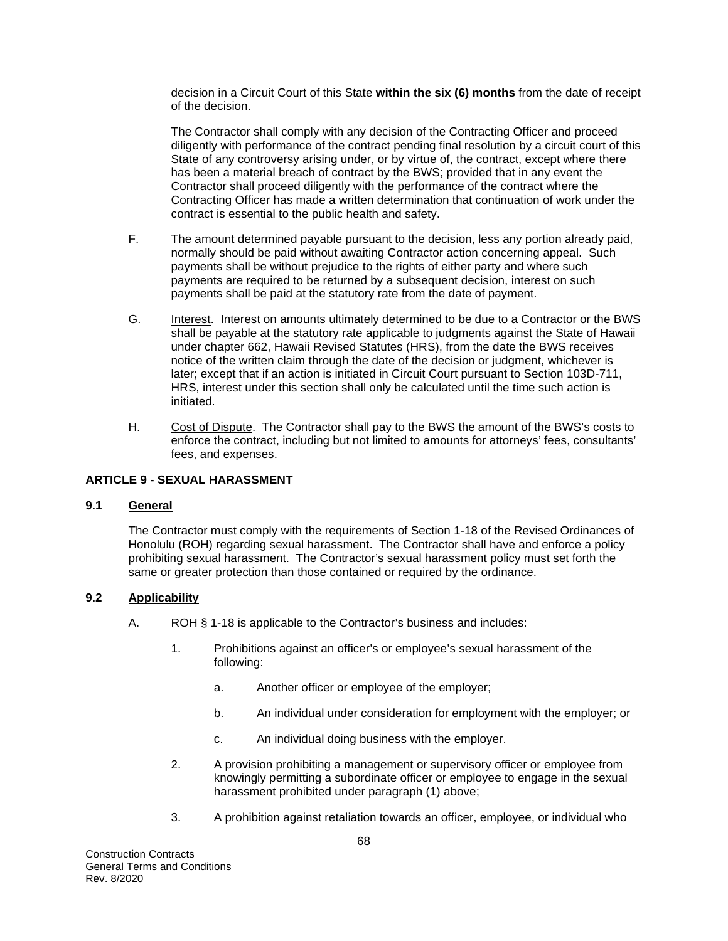decision in a Circuit Court of this State **within the six (6) months** from the date of receipt of the decision.

The Contractor shall comply with any decision of the Contracting Officer and proceed diligently with performance of the contract pending final resolution by a circuit court of this State of any controversy arising under, or by virtue of, the contract, except where there has been a material breach of contract by the BWS; provided that in any event the Contractor shall proceed diligently with the performance of the contract where the Contracting Officer has made a written determination that continuation of work under the contract is essential to the public health and safety.

- F. The amount determined payable pursuant to the decision, less any portion already paid, normally should be paid without awaiting Contractor action concerning appeal. Such payments shall be without prejudice to the rights of either party and where such payments are required to be returned by a subsequent decision, interest on such payments shall be paid at the statutory rate from the date of payment.
- G. Interest. Interest on amounts ultimately determined to be due to a Contractor or the BWS shall be payable at the statutory rate applicable to judgments against the State of Hawaii under chapter 662, Hawaii Revised Statutes (HRS), from the date the BWS receives notice of the written claim through the date of the decision or judgment, whichever is later; except that if an action is initiated in Circuit Court pursuant to Section 103D-711, HRS, interest under this section shall only be calculated until the time such action is initiated.
- H. Cost of Dispute. The Contractor shall pay to the BWS the amount of the BWS's costs to enforce the contract, including but not limited to amounts for attorneys' fees, consultants' fees, and expenses.

## **ARTICLE 9 - SEXUAL HARASSMENT**

## **9.1 General**

The Contractor must comply with the requirements of Section 1-18 of the Revised Ordinances of Honolulu (ROH) regarding sexual harassment. The Contractor shall have and enforce a policy prohibiting sexual harassment. The Contractor's sexual harassment policy must set forth the same or greater protection than those contained or required by the ordinance.

## **9.2 Applicability**

- A. ROH § 1-18 is applicable to the Contractor's business and includes:
	- 1. Prohibitions against an officer's or employee's sexual harassment of the following:
		- a. Another officer or employee of the employer;
		- b. An individual under consideration for employment with the employer; or
		- c. An individual doing business with the employer.
	- 2. A provision prohibiting a management or supervisory officer or employee from knowingly permitting a subordinate officer or employee to engage in the sexual harassment prohibited under paragraph (1) above;
	- 3. A prohibition against retaliation towards an officer, employee, or individual who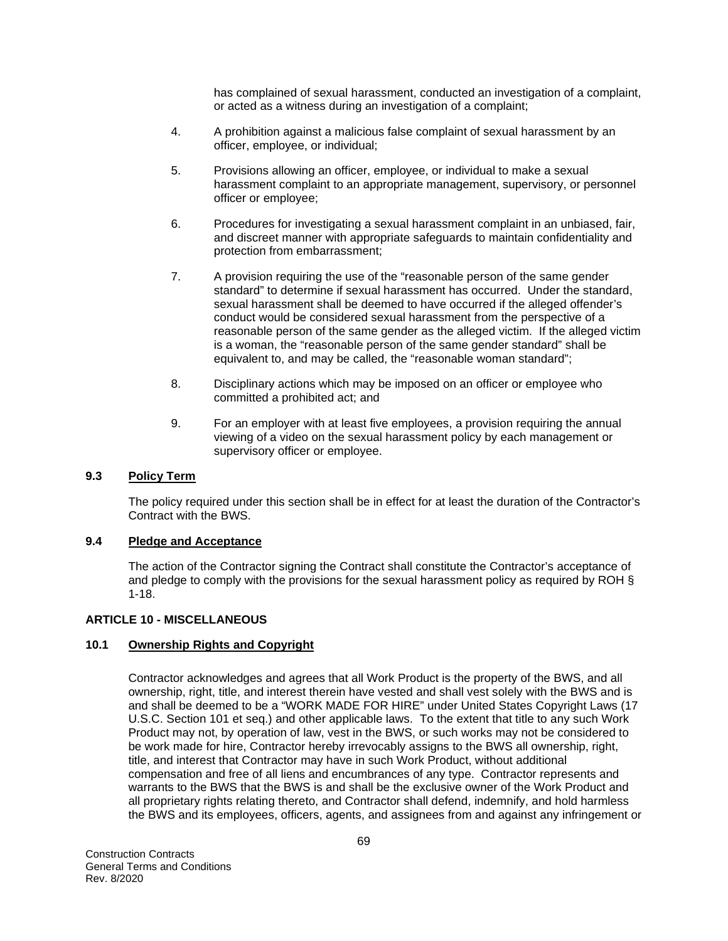has complained of sexual harassment, conducted an investigation of a complaint, or acted as a witness during an investigation of a complaint;

- 4. A prohibition against a malicious false complaint of sexual harassment by an officer, employee, or individual;
- 5. Provisions allowing an officer, employee, or individual to make a sexual harassment complaint to an appropriate management, supervisory, or personnel officer or employee;
- 6. Procedures for investigating a sexual harassment complaint in an unbiased, fair, and discreet manner with appropriate safeguards to maintain confidentiality and protection from embarrassment;
- 7. A provision requiring the use of the "reasonable person of the same gender standard" to determine if sexual harassment has occurred. Under the standard, sexual harassment shall be deemed to have occurred if the alleged offender's conduct would be considered sexual harassment from the perspective of a reasonable person of the same gender as the alleged victim. If the alleged victim is a woman, the "reasonable person of the same gender standard" shall be equivalent to, and may be called, the "reasonable woman standard";
- 8. Disciplinary actions which may be imposed on an officer or employee who committed a prohibited act; and
- 9. For an employer with at least five employees, a provision requiring the annual viewing of a video on the sexual harassment policy by each management or supervisory officer or employee.

## **9.3 Policy Term**

The policy required under this section shall be in effect for at least the duration of the Contractor's Contract with the BWS.

## **9.4 Pledge and Acceptance**

The action of the Contractor signing the Contract shall constitute the Contractor's acceptance of and pledge to comply with the provisions for the sexual harassment policy as required by ROH § 1-18.

## **ARTICLE 10 - MISCELLANEOUS**

## **10.1 Ownership Rights and Copyright**

Contractor acknowledges and agrees that all Work Product is the property of the BWS, and all ownership, right, title, and interest therein have vested and shall vest solely with the BWS and is and shall be deemed to be a "WORK MADE FOR HIRE" under United States Copyright Laws (17 U.S.C. Section 101 et seq.) and other applicable laws. To the extent that title to any such Work Product may not, by operation of law, vest in the BWS, or such works may not be considered to be work made for hire, Contractor hereby irrevocably assigns to the BWS all ownership, right, title, and interest that Contractor may have in such Work Product, without additional compensation and free of all liens and encumbrances of any type. Contractor represents and warrants to the BWS that the BWS is and shall be the exclusive owner of the Work Product and all proprietary rights relating thereto, and Contractor shall defend, indemnify, and hold harmless the BWS and its employees, officers, agents, and assignees from and against any infringement or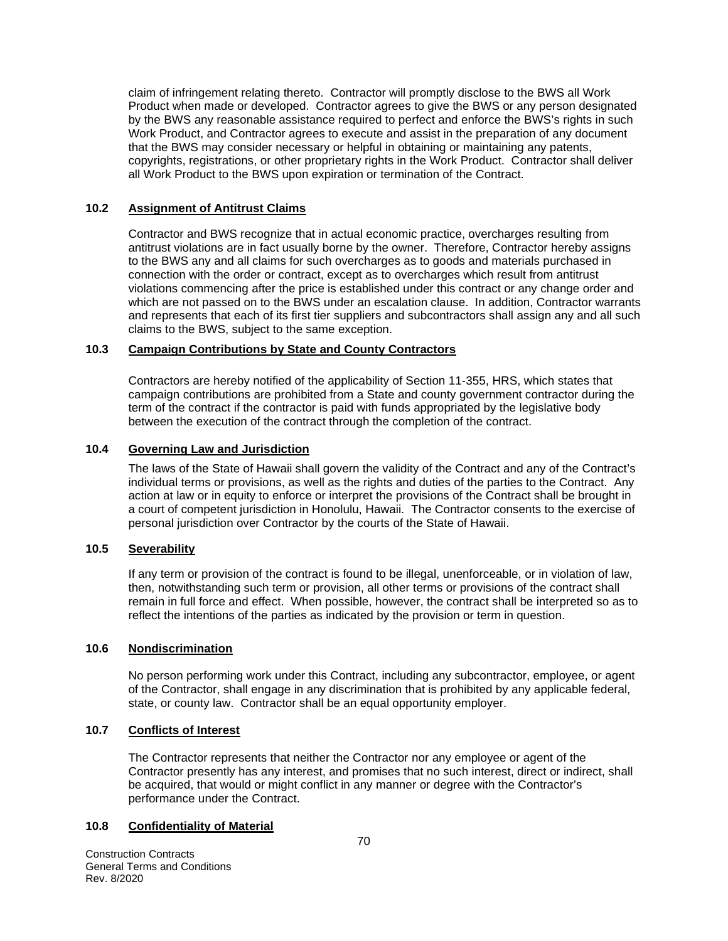claim of infringement relating thereto. Contractor will promptly disclose to the BWS all Work Product when made or developed. Contractor agrees to give the BWS or any person designated by the BWS any reasonable assistance required to perfect and enforce the BWS's rights in such Work Product, and Contractor agrees to execute and assist in the preparation of any document that the BWS may consider necessary or helpful in obtaining or maintaining any patents, copyrights, registrations, or other proprietary rights in the Work Product. Contractor shall deliver all Work Product to the BWS upon expiration or termination of the Contract.

## **10.2 Assignment of Antitrust Claims**

Contractor and BWS recognize that in actual economic practice, overcharges resulting from antitrust violations are in fact usually borne by the owner. Therefore, Contractor hereby assigns to the BWS any and all claims for such overcharges as to goods and materials purchased in connection with the order or contract, except as to overcharges which result from antitrust violations commencing after the price is established under this contract or any change order and which are not passed on to the BWS under an escalation clause. In addition, Contractor warrants and represents that each of its first tier suppliers and subcontractors shall assign any and all such claims to the BWS, subject to the same exception.

### **10.3 Campaign Contributions by State and County Contractors**

Contractors are hereby notified of the applicability of Section 11-355, HRS, which states that campaign contributions are prohibited from a State and county government contractor during the term of the contract if the contractor is paid with funds appropriated by the legislative body between the execution of the contract through the completion of the contract.

### **10.4 Governing Law and Jurisdiction**

The laws of the State of Hawaii shall govern the validity of the Contract and any of the Contract's individual terms or provisions, as well as the rights and duties of the parties to the Contract. Any action at law or in equity to enforce or interpret the provisions of the Contract shall be brought in a court of competent jurisdiction in Honolulu, Hawaii. The Contractor consents to the exercise of personal jurisdiction over Contractor by the courts of the State of Hawaii.

# **10.5 Severability**

If any term or provision of the contract is found to be illegal, unenforceable, or in violation of law, then, notwithstanding such term or provision, all other terms or provisions of the contract shall remain in full force and effect. When possible, however, the contract shall be interpreted so as to reflect the intentions of the parties as indicated by the provision or term in question.

#### **10.6 Nondiscrimination**

No person performing work under this Contract, including any subcontractor, employee, or agent of the Contractor, shall engage in any discrimination that is prohibited by any applicable federal, state, or county law. Contractor shall be an equal opportunity employer.

## **10.7 Conflicts of Interest**

The Contractor represents that neither the Contractor nor any employee or agent of the Contractor presently has any interest, and promises that no such interest, direct or indirect, shall be acquired, that would or might conflict in any manner or degree with the Contractor's performance under the Contract.

## **10.8 Confidentiality of Material**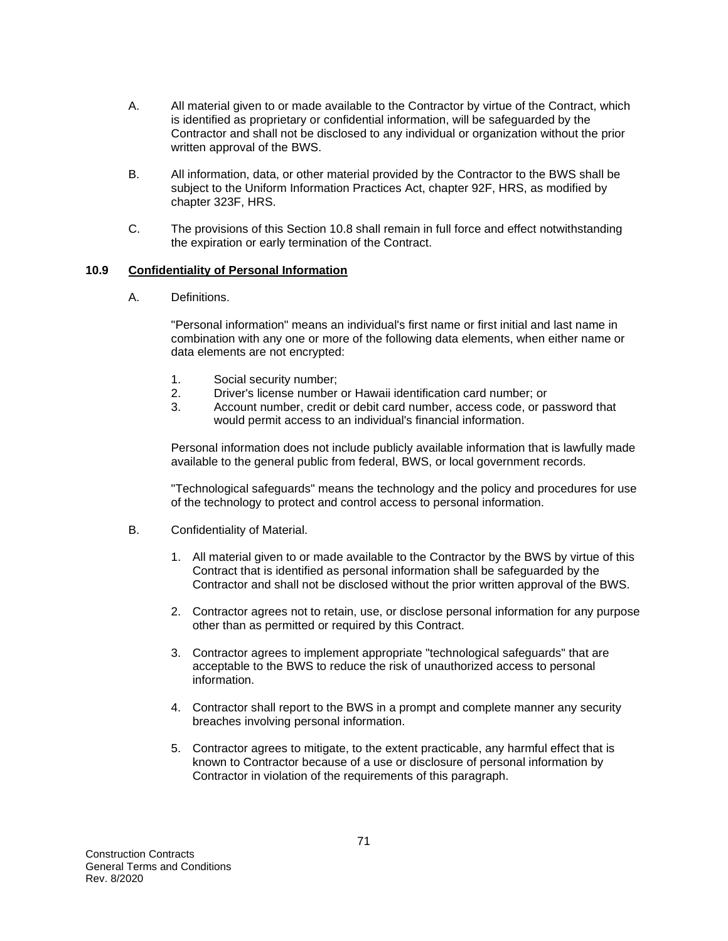- A. All material given to or made available to the Contractor by virtue of the Contract, which is identified as proprietary or confidential information, will be safeguarded by the Contractor and shall not be disclosed to any individual or organization without the prior written approval of the BWS.
- B. All information, data, or other material provided by the Contractor to the BWS shall be subject to the Uniform Information Practices Act, chapter 92F, HRS, as modified by chapter 323F, HRS.
- C. The provisions of this Section 10.8 shall remain in full force and effect notwithstanding the expiration or early termination of the Contract.

## **10.9 Confidentiality of Personal Information**

A. Definitions.

"Personal information" means an individual's first name or first initial and last name in combination with any one or more of the following data elements, when either name or data elements are not encrypted:

- 1. Social security number;
- 2. Driver's license number or Hawaii identification card number; or
- 3. Account number, credit or debit card number, access code, or password that would permit access to an individual's financial information.

Personal information does not include publicly available information that is lawfully made available to the general public from federal, BWS, or local government records.

"Technological safeguards" means the technology and the policy and procedures for use of the technology to protect and control access to personal information.

- B. Confidentiality of Material.
	- 1. All material given to or made available to the Contractor by the BWS by virtue of this Contract that is identified as personal information shall be safeguarded by the Contractor and shall not be disclosed without the prior written approval of the BWS.
	- 2. Contractor agrees not to retain, use, or disclose personal information for any purpose other than as permitted or required by this Contract.
	- 3. Contractor agrees to implement appropriate "technological safeguards" that are acceptable to the BWS to reduce the risk of unauthorized access to personal information.
	- 4. Contractor shall report to the BWS in a prompt and complete manner any security breaches involving personal information.
	- 5. Contractor agrees to mitigate, to the extent practicable, any harmful effect that is known to Contractor because of a use or disclosure of personal information by Contractor in violation of the requirements of this paragraph.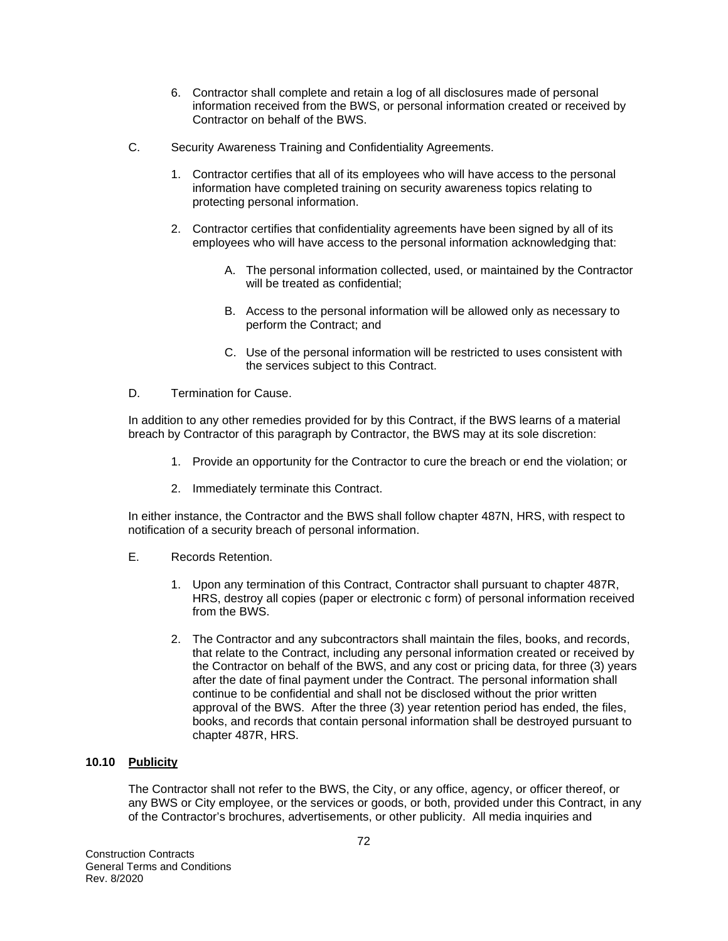- 6. Contractor shall complete and retain a log of all disclosures made of personal information received from the BWS, or personal information created or received by Contractor on behalf of the BWS.
- C. Security Awareness Training and Confidentiality Agreements.
	- 1. Contractor certifies that all of its employees who will have access to the personal information have completed training on security awareness topics relating to protecting personal information.
	- 2. Contractor certifies that confidentiality agreements have been signed by all of its employees who will have access to the personal information acknowledging that:
		- A. The personal information collected, used, or maintained by the Contractor will be treated as confidential;
		- B. Access to the personal information will be allowed only as necessary to perform the Contract; and
		- C. Use of the personal information will be restricted to uses consistent with the services subject to this Contract.
- D. Termination for Cause.

In addition to any other remedies provided for by this Contract, if the BWS learns of a material breach by Contractor of this paragraph by Contractor, the BWS may at its sole discretion:

- 1. Provide an opportunity for the Contractor to cure the breach or end the violation; or
- 2. Immediately terminate this Contract.

In either instance, the Contractor and the BWS shall follow chapter 487N, HRS, with respect to notification of a security breach of personal information.

- E. Records Retention.
	- 1. Upon any termination of this Contract, Contractor shall pursuant to chapter 487R, HRS, destroy all copies (paper or electronic c form) of personal information received from the BWS.
	- 2. The Contractor and any subcontractors shall maintain the files, books, and records, that relate to the Contract, including any personal information created or received by the Contractor on behalf of the BWS, and any cost or pricing data, for three (3) years after the date of final payment under the Contract. The personal information shall continue to be confidential and shall not be disclosed without the prior written approval of the BWS. After the three (3) year retention period has ended, the files, books, and records that contain personal information shall be destroyed pursuant to chapter 487R, HRS.

## **10.10 Publicity**

The Contractor shall not refer to the BWS, the City, or any office, agency, or officer thereof, or any BWS or City employee, or the services or goods, or both, provided under this Contract, in any of the Contractor's brochures, advertisements, or other publicity. All media inquiries and